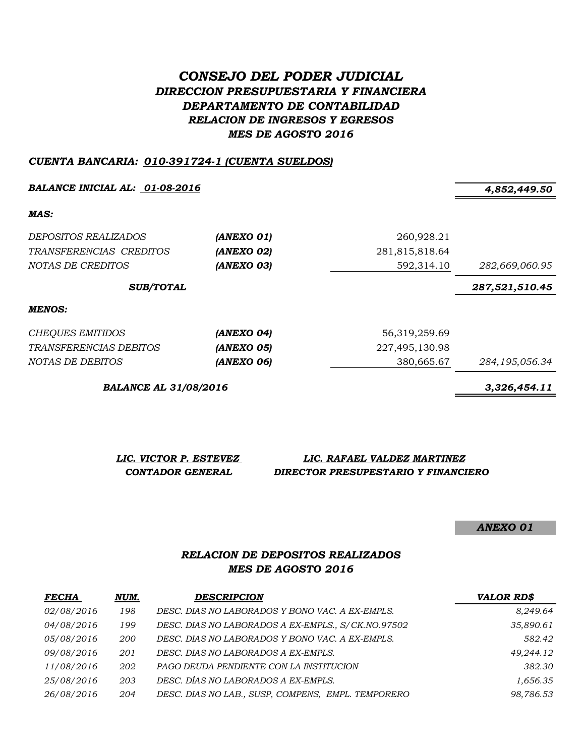# *CONSEJO DEL PODER JUDICIAL DIRECCION PRESUPUESTARIA Y FINANCIERA DEPARTAMENTO DE CONTABILIDAD RELACION DE INGRESOS Y EGRESOS MES DE AGOSTO 2016*

#### *CUENTA BANCARIA: 010-391724-1 (CUENTA SUELDOS)*

*BALANCE INICIAL AL: 01-08-2016 4,852,449.50*

*MAS:*

| <i>DEPOSITOS REALIZADOS</i><br>TRANSFERENCIAS CREDITOS<br>NOTAS DE CREDITOS | (ANEXO 01)<br>(ANEXO 02)<br>(ANEXO 03) | 260,928.21<br>281,815,818.64<br>592,314.10 | 282,669,060.95 |
|-----------------------------------------------------------------------------|----------------------------------------|--------------------------------------------|----------------|
| <b>SUB/TOTAL</b>                                                            |                                        |                                            | 287,521,510.45 |
| MENOS:                                                                      |                                        |                                            |                |
| CHEQUES EMITIDOS                                                            | (ANEXO 04)                             | 56,319,259.69                              |                |
| <i>TRANSFERENCIAS DEBITOS</i>                                               | (ANEXO 05)                             | 227,495,130.98                             |                |
| NOTAS DE DEBITOS                                                            | (ANEXO 06)                             | 380,665.67                                 | 284,195,056.34 |

*BALANCE AL 31/08/2016 3,326,454.11*

*LIC. VICTOR P. ESTEVEZ LIC. RAFAEL VALDEZ MARTINEZ CONTADOR GENERAL DIRECTOR PRESUPESTARIO Y FINANCIERO*

*ANEXO 01*

#### *RELACION DE DEPOSITOS REALIZADOS MES DE AGOSTO 2016*

| <b>FECHA</b> | NUM.       | <b>DESCRIPCION</b>                                 | <b>VALOR RD\$</b> |
|--------------|------------|----------------------------------------------------|-------------------|
| 02/08/2016   | 198        | DESC. DIAS NO LABORADOS Y BONO VAC. A EX-EMPLS.    | 8,249.64          |
| 04/08/2016   | 199        | DESC. DIAS NO LABORADOS A EX-EMPLS., S/CK.NO.97502 | 35,890.61         |
| 05/08/2016   | <i>200</i> | DESC. DIAS NO LABORADOS Y BONO VAC. A EX-EMPLS.    | 582.42            |
| 09/08/2016   | 201        | DESC. DIAS NO LABORADOS A EX-EMPLS.                | 49,244.12         |
| 11/08/2016   | 202        | PAGO DEUDA PENDIENTE CON LA INSTITUCION            | 382.30            |
| 25/08/2016   | 203        | DESC. DÍAS NO LABORADOS A EX-EMPLS.                | 1,656.35          |
| 26/08/2016   | 204        | DESC. DIAS NO LAB., SUSP, COMPENS, EMPL. TEMPORERO | 98,786.53         |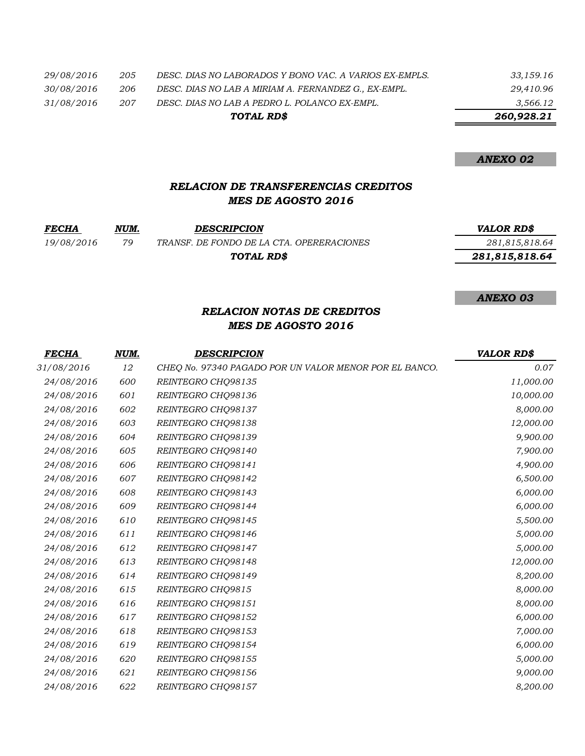|            |     | TOTAL RD\$                                             | 260,928.21 |
|------------|-----|--------------------------------------------------------|------------|
| 31/08/2016 | 207 | DESC. DIAS NO LAB A PEDRO L. POLANCO EX-EMPL.          | 3,566.12   |
| 30/08/2016 | 206 | DESC. DIAS NO LAB A MIRIAM A. FERNANDEZ G., EX-EMPL.   | 29,410.96  |
| 29/08/2016 | 205 | DESC. DIAS NO LABORADOS Y BONO VAC. A VARIOS EX-EMPLS. | 33,159.16  |

*ANEXO 02*

#### *RELACION DE TRANSFERENCIAS CREDITOS MES DE AGOSTO 2016*

| <b>FECHA</b> | NUM. | <b>DESCRIPCION</b>                        | VALOR RD\$     |
|--------------|------|-------------------------------------------|----------------|
| 19/08/2016   | 79   | TRANSF. DE FONDO DE LA CTA. OPERERACIONES | 281,815,818.64 |
|              |      | TOTAL RD\$                                | 281,815,818.64 |

*ANEXO 03*

### *RELACION NOTAS DE CREDITOS MES DE AGOSTO 2016*

| <i>FECHA</i> | NUM. | <b>DESCRIPCION</b>                                     | <b>VALOR RD\$</b> |
|--------------|------|--------------------------------------------------------|-------------------|
| 31/08/2016   | 12   | CHEQ No. 97340 PAGADO POR UN VALOR MENOR POR EL BANCO. | 0.07              |
| 24/08/2016   | 600  | REINTEGRO CHQ98135                                     | 11,000.00         |
| 24/08/2016   | 601  | REINTEGRO CHQ98136                                     | 10,000.00         |
| 24/08/2016   | 602  | REINTEGRO CHO98137                                     | 8,000.00          |
| 24/08/2016   | 603  | REINTEGRO CHO98138                                     | 12,000.00         |
| 24/08/2016   | 604  | REINTEGRO CHQ98139                                     | 9,900.00          |
| 24/08/2016   | 605  | REINTEGRO CHQ98140                                     | 7,900.00          |
| 24/08/2016   | 606  | REINTEGRO CHQ98141                                     | 4,900.00          |
| 24/08/2016   | 607  | REINTEGRO CHQ98142                                     | 6,500.00          |
| 24/08/2016   | 608  | REINTEGRO CHO98143                                     | 6,000.00          |
| 24/08/2016   | 609  | REINTEGRO CHO98144                                     | 6,000.00          |
| 24/08/2016   | 610  | REINTEGRO CHQ98145                                     | 5,500.00          |
| 24/08/2016   | 611  | REINTEGRO CHQ98146                                     | 5,000.00          |
| 24/08/2016   | 612  | REINTEGRO CHQ98147                                     | 5,000.00          |
| 24/08/2016   | 613  | REINTEGRO CHO98148                                     | 12,000.00         |
| 24/08/2016   | 614  | REINTEGRO CHO98149                                     | 8,200.00          |
| 24/08/2016   | 615  | REINTEGRO CHQ9815                                      | 8,000.00          |
| 24/08/2016   | 616  | REINTEGRO CHQ98151                                     | 8,000.00          |
| 24/08/2016   | 617  | REINTEGRO CHQ98152                                     | 6,000.00          |
| 24/08/2016   | 618  | REINTEGRO CHQ98153                                     | 7,000.00          |
| 24/08/2016   | 619  | REINTEGRO CHQ98154                                     | 6,000.00          |
| 24/08/2016   | 620  | REINTEGRO CHQ98155                                     | 5,000.00          |
| 24/08/2016   | 621  | REINTEGRO CHQ98156                                     | 9,000.00          |
| 24/08/2016   | 622  | REINTEGRO CHQ98157                                     | 8,200.00          |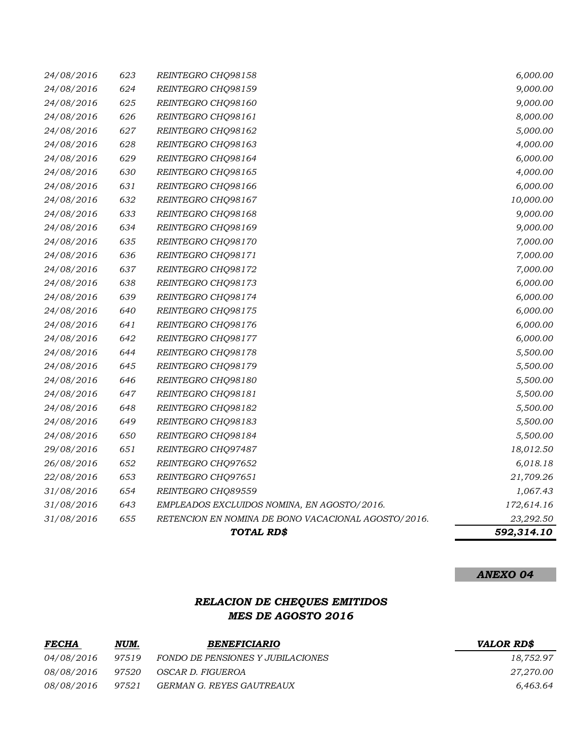|                   |     | TOTAL RD\$                                          | 592,314.10 |
|-------------------|-----|-----------------------------------------------------|------------|
| 31/08/2016        | 655 | RETENCION EN NOMINA DE BONO VACACIONAL AGOSTO/2016. | 23,292.50  |
| 31/08/2016        | 643 | EMPLEADOS EXCLUIDOS NOMINA, EN AGOSTO/2016.         | 172,614.16 |
| 31/08/2016        | 654 | REINTEGRO CHQ89559                                  | 1,067.43   |
| 22/08/2016        | 653 | REINTEGRO CHQ97651                                  | 21,709.26  |
| 26/08/2016        | 652 | REINTEGRO CHQ97652                                  | 6,018.18   |
| 29/08/2016        | 651 | REINTEGRO CHQ97487                                  | 18,012.50  |
| 24/08/2016        | 650 | REINTEGRO CHQ98184                                  | 5,500.00   |
| 24/08/2016        | 649 | REINTEGRO CHQ98183                                  | 5,500.00   |
| 24/08/2016        | 648 | REINTEGRO CHQ98182                                  | 5,500.00   |
| 24/08/2016        | 647 | REINTEGRO CHQ98181                                  | 5,500.00   |
| <i>24/08/2016</i> | 646 | REINTEGRO CHO98180                                  | 5,500.00   |
| 24/08/2016        | 645 | REINTEGRO CHQ98179                                  | 5,500.00   |
| 24/08/2016        | 644 | REINTEGRO CHQ98178                                  | 5,500.00   |
| 24/08/2016        | 642 | REINTEGRO CHQ98177                                  | 6,000.00   |
| 24/08/2016        | 641 | REINTEGRO CHQ98176                                  | 6,000.00   |
| 24/08/2016        | 640 | REINTEGRO CHQ98175                                  | 6,000.00   |
| 24/08/2016        | 639 | REINTEGRO CHQ98174                                  | 6,000.00   |
| 24/08/2016        | 638 | REINTEGRO CHQ98173                                  | 6,000.00   |
| 24/08/2016        | 637 | REINTEGRO CHQ98172                                  | 7,000.00   |
| <i>24/08/2016</i> | 636 | REINTEGRO CHQ98171                                  | 7,000.00   |
| 24/08/2016        | 635 | REINTEGRO CHQ98170                                  | 7,000.00   |
| 24/08/2016        | 634 | REINTEGRO CHQ98169                                  | 9,000.00   |
| 24/08/2016        | 633 | REINTEGRO CHQ98168                                  | 9,000.00   |
| 24/08/2016        | 632 | REINTEGRO CHQ98167                                  | 10,000.00  |
| 24/08/2016        | 631 | REINTEGRO CHQ98166                                  | 6,000.00   |
| 24/08/2016        | 630 | REINTEGRO CHQ98165                                  | 4,000.00   |
| 24/08/2016        | 629 | REINTEGRO CHQ98164                                  | 6,000.00   |
| <i>24/08/2016</i> | 628 | REINTEGRO CHQ98163                                  | 4,000.00   |
| <i>24/08/2016</i> | 627 | REINTEGRO CHQ98162                                  | 5,000.00   |
| 24/08/2016        | 626 | REINTEGRO CHQ98161                                  | 8,000.00   |
| 24/08/2016        | 625 | REINTEGRO CHQ98160                                  | 9,000.00   |
| 24/08/2016        | 624 | REINTEGRO CHQ98159                                  | 9,000.00   |
| 24/08/2016        | 623 | REINTEGRO CHQ98158                                  | 6,000.00   |

## *ANEXO 04*

## *RELACION DE CHEQUES EMITIDOS MES DE AGOSTO 2016*

| <u>FECHA</u> | NUM.  | <b>BENEFICIARIO</b>               | <b>VALOR RDS</b> |
|--------------|-------|-----------------------------------|------------------|
| 04/08/2016   | 97519 | FONDO DE PENSIONES Y JUBILACIONES | 18.752.97        |
| 08/08/2016   | 97520 | OSCAR D. FIGUEROA                 | 27.270.00        |
| 08/08/2016   | 97521 | GERMAN G. REYES GAUTREAUX         | 6.463.64         |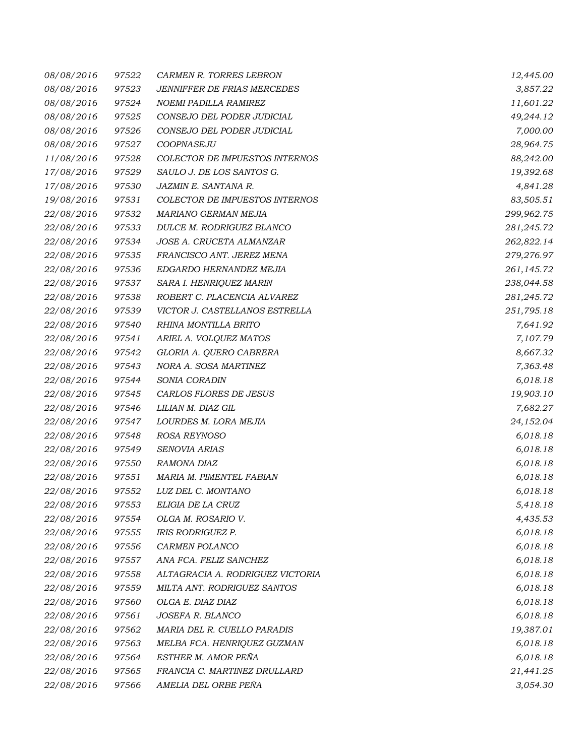| 08/08/2016 | 97522 | <b>CARMEN R. TORRES LEBRON</b>   | 12,445.00  |
|------------|-------|----------------------------------|------------|
| 08/08/2016 | 97523 | JENNIFFER DE FRIAS MERCEDES      | 3,857.22   |
| 08/08/2016 | 97524 | NOEMI PADILLA RAMIREZ            | 11,601.22  |
| 08/08/2016 | 97525 | CONSEJO DEL PODER JUDICIAL       | 49,244.12  |
| 08/08/2016 | 97526 | CONSEJO DEL PODER JUDICIAL       | 7,000.00   |
| 08/08/2016 | 97527 | COOPNASEJU                       | 28,964.75  |
| 11/08/2016 | 97528 | COLECTOR DE IMPUESTOS INTERNOS   | 88,242.00  |
| 17/08/2016 | 97529 | SAULO J. DE LOS SANTOS G.        | 19,392.68  |
| 17/08/2016 | 97530 | JAZMIN E. SANTANA R.             | 4,841.28   |
| 19/08/2016 | 97531 | COLECTOR DE IMPUESTOS INTERNOS   | 83,505.51  |
| 22/08/2016 | 97532 | MARIANO GERMAN MEJIA             | 299,962.75 |
| 22/08/2016 | 97533 | DULCE M. RODRIGUEZ BLANCO        | 281,245.72 |
| 22/08/2016 | 97534 | JOSE A. CRUCETA ALMANZAR         | 262,822.14 |
| 22/08/2016 | 97535 | FRANCISCO ANT. JEREZ MENA        | 279,276.97 |
| 22/08/2016 | 97536 | EDGARDO HERNANDEZ MEJIA          | 261,145.72 |
| 22/08/2016 | 97537 | SARA I. HENRIQUEZ MARIN          | 238,044.58 |
| 22/08/2016 | 97538 | ROBERT C. PLACENCIA ALVAREZ      | 281,245.72 |
| 22/08/2016 | 97539 | VICTOR J. CASTELLANOS ESTRELLA   | 251,795.18 |
| 22/08/2016 | 97540 | RHINA MONTILLA BRITO             | 7,641.92   |
| 22/08/2016 | 97541 | ARIEL A. VOLQUEZ MATOS           | 7,107.79   |
| 22/08/2016 | 97542 | GLORIA A. QUERO CABRERA          | 8,667.32   |
| 22/08/2016 | 97543 | NORA A. SOSA MARTINEZ            | 7,363.48   |
| 22/08/2016 | 97544 | SONIA CORADIN                    | 6,018.18   |
| 22/08/2016 | 97545 | CARLOS FLORES DE JESUS           | 19,903.10  |
| 22/08/2016 | 97546 | LILIAN M. DIAZ GIL               | 7,682.27   |
| 22/08/2016 | 97547 | LOURDES M. LORA MEJIA            | 24,152.04  |
| 22/08/2016 | 97548 | ROSA REYNOSO                     | 6,018.18   |
| 22/08/2016 | 97549 | SENOVIA ARIAS                    | 6,018.18   |
| 22/08/2016 | 97550 | RAMONA DIAZ                      | 6,018.18   |
| 22/08/2016 | 97551 | MARIA M. PIMENTEL FABIAN         | 6,018.18   |
| 22/08/2016 | 97552 | LUZ DEL C. MONTANO               | 6,018.18   |
| 22/08/2016 | 97553 | ELIGIA DE LA CRUZ                | 5,418.18   |
| 22/08/2016 | 97554 | OLGA M. ROSARIO V.               | 4,435.53   |
| 22/08/2016 | 97555 | IRIS RODRIGUEZ P.                | 6,018.18   |
| 22/08/2016 | 97556 | CARMEN POLANCO                   | 6,018.18   |
| 22/08/2016 | 97557 | ANA FCA. FELIZ SANCHEZ           | 6,018.18   |
| 22/08/2016 | 97558 | ALTAGRACIA A. RODRIGUEZ VICTORIA | 6,018.18   |
| 22/08/2016 | 97559 | MILTA ANT. RODRIGUEZ SANTOS      | 6,018.18   |
| 22/08/2016 | 97560 | OLGA E. DIAZ DIAZ                | 6,018.18   |
| 22/08/2016 | 97561 | JOSEFA R. BLANCO                 | 6,018.18   |
| 22/08/2016 | 97562 | MARIA DEL R. CUELLO PARADIS      | 19,387.01  |
| 22/08/2016 | 97563 | MELBA FCA. HENRIQUEZ GUZMAN      | 6,018.18   |
| 22/08/2016 | 97564 | ESTHER M. AMOR PEÑA              | 6,018.18   |
| 22/08/2016 | 97565 | FRANCIA C. MARTINEZ DRULLARD     | 21,441.25  |
| 22/08/2016 | 97566 | AMELIA DEL ORBE PEÑA             | 3,054.30   |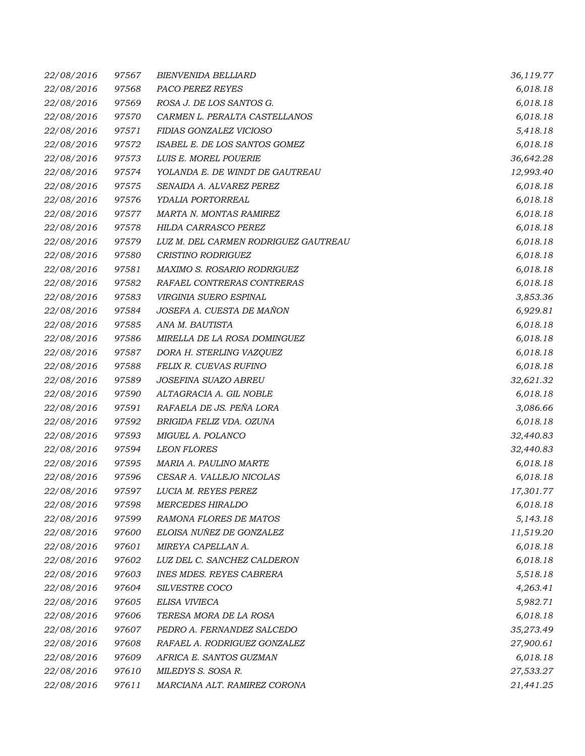| 22/08/2016 | 97567 | <b>BIENVENIDA BELLIARD</b>           | 36,119.77 |
|------------|-------|--------------------------------------|-----------|
| 22/08/2016 | 97568 | PACO PEREZ REYES                     | 6,018.18  |
| 22/08/2016 | 97569 | ROSA J. DE LOS SANTOS G.             | 6,018.18  |
| 22/08/2016 | 97570 | CARMEN L. PERALTA CASTELLANOS        | 6,018.18  |
| 22/08/2016 | 97571 | FIDIAS GONZALEZ VICIOSO              | 5,418.18  |
| 22/08/2016 | 97572 | ISABEL E. DE LOS SANTOS GOMEZ        | 6,018.18  |
| 22/08/2016 | 97573 | LUIS E. MOREL POUERIE                | 36,642.28 |
| 22/08/2016 | 97574 | YOLANDA E. DE WINDT DE GAUTREAU      | 12,993.40 |
| 22/08/2016 | 97575 | SENAIDA A. ALVAREZ PEREZ             | 6,018.18  |
| 22/08/2016 | 97576 | YDALIA PORTORREAL                    | 6,018.18  |
| 22/08/2016 | 97577 | MARTA N. MONTAS RAMIREZ              | 6,018.18  |
| 22/08/2016 | 97578 | HILDA CARRASCO PEREZ                 | 6,018.18  |
| 22/08/2016 | 97579 | LUZ M. DEL CARMEN RODRIGUEZ GAUTREAU | 6,018.18  |
| 22/08/2016 | 97580 | CRISTINO RODRIGUEZ                   | 6,018.18  |
| 22/08/2016 | 97581 | MAXIMO S. ROSARIO RODRIGUEZ          | 6,018.18  |
| 22/08/2016 | 97582 | RAFAEL CONTRERAS CONTRERAS           | 6,018.18  |
| 22/08/2016 | 97583 | VIRGINIA SUERO ESPINAL               | 3,853.36  |
| 22/08/2016 | 97584 | JOSEFA A. CUESTA DE MAÑON            | 6,929.81  |
| 22/08/2016 | 97585 | ANA M. BAUTISTA                      | 6,018.18  |
| 22/08/2016 | 97586 | MIRELLA DE LA ROSA DOMINGUEZ         | 6,018.18  |
| 22/08/2016 | 97587 | DORA H. STERLING VAZQUEZ             | 6,018.18  |
| 22/08/2016 | 97588 | FELIX R. CUEVAS RUFINO               | 6,018.18  |
| 22/08/2016 | 97589 | JOSEFINA SUAZO ABREU                 | 32,621.32 |
| 22/08/2016 | 97590 | ALTAGRACIA A. GIL NOBLE              | 6,018.18  |
| 22/08/2016 | 97591 | RAFAELA DE JS. PEÑA LORA             | 3,086.66  |
| 22/08/2016 | 97592 | BRIGIDA FELIZ VDA. OZUNA             | 6,018.18  |
| 22/08/2016 | 97593 | MIGUEL A. POLANCO                    | 32,440.83 |
| 22/08/2016 | 97594 | <b>LEON FLORES</b>                   | 32,440.83 |
| 22/08/2016 | 97595 | MARIA A. PAULINO MARTE               | 6,018.18  |
| 22/08/2016 | 97596 | CESAR A. VALLEJO NICOLAS             | 6,018.18  |
| 22/08/2016 | 97597 | LUCIA M. REYES PEREZ                 | 17,301.77 |
| 22/08/2016 | 97598 | <b>MERCEDES HIRALDO</b>              | 6,018.18  |
| 22/08/2016 | 97599 | RAMONA FLORES DE MATOS               | 5,143.18  |
| 22/08/2016 | 97600 | ELOISA NUÑEZ DE GONZALEZ             | 11,519.20 |
| 22/08/2016 | 97601 | MIREYA CAPELLAN A.                   | 6,018.18  |
| 22/08/2016 | 97602 | LUZ DEL C. SANCHEZ CALDERON          | 6,018.18  |
| 22/08/2016 | 97603 | <b>INES MDES. REYES CABRERA</b>      | 5,518.18  |
| 22/08/2016 | 97604 | SILVESTRE COCO                       | 4,263.41  |
| 22/08/2016 | 97605 | ELISA VIVIECA                        | 5,982.71  |
| 22/08/2016 | 97606 | TERESA MORA DE LA ROSA               | 6,018.18  |
| 22/08/2016 | 97607 | PEDRO A. FERNANDEZ SALCEDO           | 35,273.49 |
| 22/08/2016 | 97608 | RAFAEL A. RODRIGUEZ GONZALEZ         | 27,900.61 |
| 22/08/2016 | 97609 | AFRICA E. SANTOS GUZMAN              | 6,018.18  |
| 22/08/2016 | 97610 | MILEDYS S. SOSA R.                   | 27,533.27 |
| 22/08/2016 | 97611 | MARCIANA ALT. RAMIREZ CORONA         | 21,441.25 |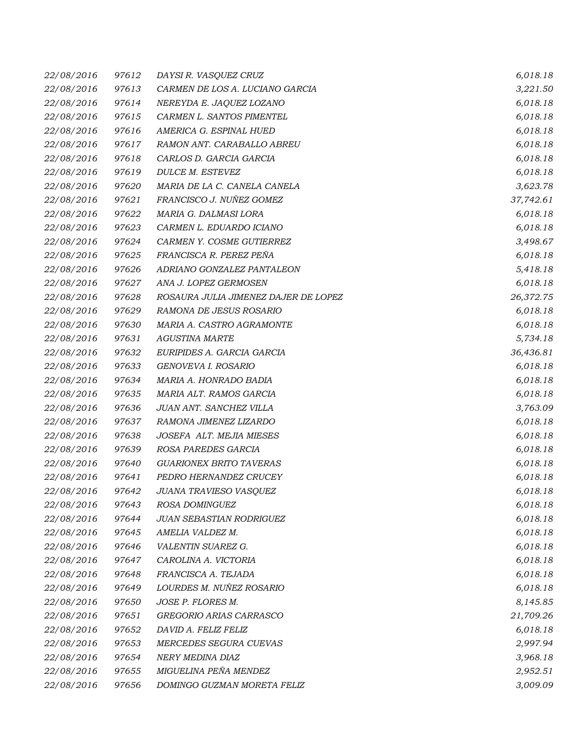| 22/08/2016 | 97612 | DAYSI R. VASQUEZ CRUZ                | 6,018.18  |
|------------|-------|--------------------------------------|-----------|
| 22/08/2016 | 97613 | CARMEN DE LOS A. LUCIANO GARCIA      | 3,221.50  |
| 22/08/2016 | 97614 | NEREYDA E. JAQUEZ LOZANO             | 6,018.18  |
| 22/08/2016 | 97615 | CARMEN L. SANTOS PIMENTEL            | 6,018.18  |
| 22/08/2016 | 97616 | AMERICA G. ESPINAL HUED              | 6,018.18  |
| 22/08/2016 | 97617 | RAMON ANT. CARABALLO ABREU           | 6,018.18  |
| 22/08/2016 | 97618 | CARLOS D. GARCIA GARCIA              | 6,018.18  |
| 22/08/2016 | 97619 | DULCE M. ESTEVEZ                     | 6,018.18  |
| 22/08/2016 | 97620 | MARIA DE LA C. CANELA CANELA         | 3,623.78  |
| 22/08/2016 | 97621 | FRANCISCO J. NUÑEZ GOMEZ             | 37,742.61 |
| 22/08/2016 | 97622 | MARIA G. DALMASI LORA                | 6,018.18  |
| 22/08/2016 | 97623 | CARMEN L. EDUARDO ICIANO             | 6,018.18  |
| 22/08/2016 | 97624 | CARMEN Y. COSME GUTIERREZ            | 3,498.67  |
| 22/08/2016 | 97625 | FRANCISCA R. PEREZ PEÑA              | 6,018.18  |
| 22/08/2016 | 97626 | ADRIANO GONZALEZ PANTALEON           | 5,418.18  |
| 22/08/2016 | 97627 | ANA J. LOPEZ GERMOSEN                | 6,018.18  |
| 22/08/2016 | 97628 | ROSAURA JULIA JIMENEZ DAJER DE LOPEZ | 26,372.75 |
| 22/08/2016 | 97629 | RAMONA DE JESUS ROSARIO              | 6,018.18  |
| 22/08/2016 | 97630 | MARIA A. CASTRO AGRAMONTE            | 6,018.18  |
| 22/08/2016 | 97631 | <b>AGUSTINA MARTE</b>                | 5,734.18  |
| 22/08/2016 | 97632 | EURIPIDES A. GARCIA GARCIA           | 36,436.81 |
| 22/08/2016 | 97633 | GENOVEVA I. ROSARIO                  | 6,018.18  |
| 22/08/2016 | 97634 | MARIA A. HONRADO BADIA               | 6,018.18  |
| 22/08/2016 | 97635 | MARIA ALT. RAMOS GARCIA              | 6,018.18  |
| 22/08/2016 | 97636 | JUAN ANT. SANCHEZ VILLA              | 3,763.09  |
| 22/08/2016 | 97637 | RAMONA JIMENEZ LIZARDO               | 6,018.18  |
| 22/08/2016 | 97638 | JOSEFA ALT. MEJIA MIESES             | 6,018.18  |
| 22/08/2016 | 97639 | ROSA PAREDES GARCIA                  | 6,018.18  |
| 22/08/2016 | 97640 | <b>GUARIONEX BRITO TAVERAS</b>       | 6,018.18  |
| 22/08/2016 | 97641 | PEDRO HERNANDEZ CRUCEY               | 6,018.18  |
| 22/08/2016 | 97642 | JUANA TRAVIESO VASQUEZ               | 6,018.18  |
| 22/08/2016 | 97643 | ROSA DOMINGUEZ                       | 6,018.18  |
| 22/08/2016 | 97644 | <b>JUAN SEBASTIAN RODRIGUEZ</b>      | 6,018.18  |
| 22/08/2016 | 97645 | AMELIA VALDEZ M.                     | 6,018.18  |
| 22/08/2016 | 97646 | VALENTIN SUAREZ G.                   | 6,018.18  |
| 22/08/2016 | 97647 | CAROLINA A. VICTORIA                 | 6,018.18  |
| 22/08/2016 | 97648 | FRANCISCA A. TEJADA                  | 6,018.18  |
| 22/08/2016 | 97649 | LOURDES M. NUÑEZ ROSARIO             | 6,018.18  |
| 22/08/2016 | 97650 | JOSE P. FLORES M.                    | 8,145.85  |
| 22/08/2016 | 97651 | GREGORIO ARIAS CARRASCO              | 21,709.26 |
| 22/08/2016 | 97652 | DAVID A. FELIZ FELIZ                 | 6,018.18  |
| 22/08/2016 | 97653 | MERCEDES SEGURA CUEVAS               | 2,997.94  |
| 22/08/2016 | 97654 | NERY MEDINA DIAZ                     | 3,968.18  |
| 22/08/2016 | 97655 | MIGUELINA PEÑA MENDEZ                | 2,952.51  |
| 22/08/2016 | 97656 | DOMINGO GUZMAN MORETA FELIZ          | 3,009.09  |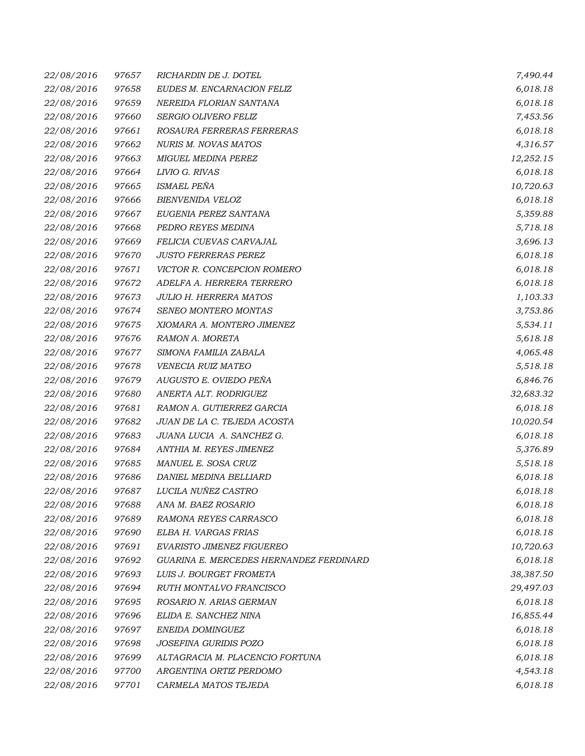| 22/08/2016 | 97657 | RICHARDIN DE J. DOTEL                   | 7,490.44  |
|------------|-------|-----------------------------------------|-----------|
| 22/08/2016 | 97658 | EUDES M. ENCARNACION FELIZ              | 6,018.18  |
| 22/08/2016 | 97659 | NEREIDA FLORIAN SANTANA                 | 6,018.18  |
| 22/08/2016 | 97660 | SERGIO OLIVERO FELIZ                    | 7,453.56  |
| 22/08/2016 | 97661 | ROSAURA FERRERAS FERRERAS               | 6,018.18  |
| 22/08/2016 | 97662 | NURIS M. NOVAS MATOS                    | 4,316.57  |
| 22/08/2016 | 97663 | MIGUEL MEDINA PEREZ                     | 12,252.15 |
| 22/08/2016 | 97664 | LIVIO G. RIVAS                          | 6,018.18  |
| 22/08/2016 | 97665 | ISMAEL PEÑA                             | 10,720.63 |
| 22/08/2016 | 97666 | <b>BIENVENIDA VELOZ</b>                 | 6,018.18  |
| 22/08/2016 | 97667 | EUGENIA PEREZ SANTANA                   | 5,359.88  |
| 22/08/2016 | 97668 | PEDRO REYES MEDINA                      | 5,718.18  |
| 22/08/2016 | 97669 | FELICIA CUEVAS CARVAJAL                 | 3,696.13  |
| 22/08/2016 | 97670 | <b>JUSTO FERRERAS PEREZ</b>             | 6,018.18  |
| 22/08/2016 | 97671 | VICTOR R. CONCEPCION ROMERO             | 6,018.18  |
| 22/08/2016 | 97672 | ADELFA A. HERRERA TERRERO               | 6,018.18  |
| 22/08/2016 | 97673 | <b>JULIO H. HERRERA MATOS</b>           | 1,103.33  |
| 22/08/2016 | 97674 | SENEO MONTERO MONTAS                    | 3,753.86  |
| 22/08/2016 | 97675 | XIOMARA A. MONTERO JIMENEZ              | 5,534.11  |
| 22/08/2016 | 97676 | RAMON A. MORETA                         | 5,618.18  |
| 22/08/2016 | 97677 | SIMONA FAMILIA ZABALA                   | 4,065.48  |
| 22/08/2016 | 97678 | VENECIA RUIZ MATEO                      | 5,518.18  |
| 22/08/2016 | 97679 | AUGUSTO E. OVIEDO PEÑA                  | 6,846.76  |
| 22/08/2016 | 97680 | ANERTA ALT. RODRIGUEZ                   | 32,683.32 |
| 22/08/2016 | 97681 | RAMON A. GUTIERREZ GARCIA               | 6,018.18  |
| 22/08/2016 | 97682 | JUAN DE LA C. TEJEDA ACOSTA             | 10,020.54 |
| 22/08/2016 | 97683 | JUANA LUCIA A. SANCHEZ G.               | 6,018.18  |
| 22/08/2016 | 97684 | ANTHIA M. REYES JIMENEZ                 | 5,376.89  |
| 22/08/2016 | 97685 | MANUEL E. SOSA CRUZ                     | 5,518.18  |
| 22/08/2016 | 97686 | DANIEL MEDINA BELLIARD                  | 6,018.18  |
| 22/08/2016 | 97687 | LUCILA NUÑEZ CASTRO                     | 6,018.18  |
| 22/08/2016 | 97688 | ANA M. BAEZ ROSARIO                     | 6,018.18  |
| 22/08/2016 | 97689 | RAMONA REYES CARRASCO                   | 6,018.18  |
| 22/08/2016 | 97690 | ELBA H. VARGAS FRIAS                    | 6,018.18  |
| 22/08/2016 | 97691 | EVARISTO JIMENEZ FIGUEREO               | 10,720.63 |
| 22/08/2016 | 97692 | GUARINA E. MERCEDES HERNANDEZ FERDINARD | 6,018.18  |
| 22/08/2016 | 97693 | LUIS J. BOURGET FROMETA                 | 38,387.50 |
| 22/08/2016 | 97694 | RUTH MONTALVO FRANCISCO                 | 29,497.03 |
| 22/08/2016 | 97695 | ROSARIO N. ARIAS GERMAN                 | 6,018.18  |
| 22/08/2016 | 97696 | ELIDA E. SANCHEZ NINA                   | 16,855.44 |
| 22/08/2016 | 97697 | ENEIDA DOMINGUEZ                        | 6,018.18  |
| 22/08/2016 | 97698 | JOSEFINA GURIDIS POZO                   | 6,018.18  |
| 22/08/2016 | 97699 | ALTAGRACIA M. PLACENCIO FORTUNA         | 6,018.18  |
| 22/08/2016 | 97700 | ARGENTINA ORTIZ PERDOMO                 | 4,543.18  |
| 22/08/2016 | 97701 | CARMELA MATOS TEJEDA                    | 6,018.18  |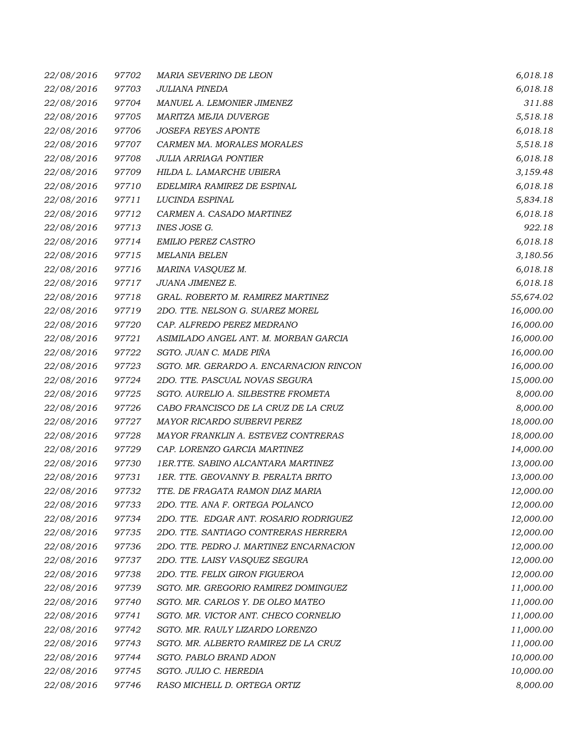| 22/08/2016 | 97702 | MARIA SEVERINO DE LEON                  | 6,018.18  |
|------------|-------|-----------------------------------------|-----------|
| 22/08/2016 | 97703 | JULIANA PINEDA                          | 6,018.18  |
| 22/08/2016 | 97704 | MANUEL A. LEMONIER JIMENEZ              | 311.88    |
| 22/08/2016 | 97705 | MARITZA MEJIA DUVERGE                   | 5,518.18  |
| 22/08/2016 | 97706 | <b>JOSEFA REYES APONTE</b>              | 6,018.18  |
| 22/08/2016 | 97707 | CARMEN MA. MORALES MORALES              | 5,518.18  |
| 22/08/2016 | 97708 | <b>JULIA ARRIAGA PONTIER</b>            | 6,018.18  |
| 22/08/2016 | 97709 | HILDA L. LAMARCHE UBIERA                | 3,159.48  |
| 22/08/2016 | 97710 | EDELMIRA RAMIREZ DE ESPINAL             | 6,018.18  |
| 22/08/2016 | 97711 | LUCINDA ESPINAL                         | 5,834.18  |
| 22/08/2016 | 97712 | CARMEN A. CASADO MARTINEZ               | 6,018.18  |
| 22/08/2016 | 97713 | INES JOSE G.                            | 922.18    |
| 22/08/2016 | 97714 | <b>EMILIO PEREZ CASTRO</b>              | 6,018.18  |
| 22/08/2016 | 97715 | <b>MELANIA BELEN</b>                    | 3,180.56  |
| 22/08/2016 | 97716 | MARINA VASQUEZ M.                       | 6,018.18  |
| 22/08/2016 | 97717 | JUANA JIMENEZ E.                        | 6,018.18  |
| 22/08/2016 | 97718 | GRAL. ROBERTO M. RAMIREZ MARTINEZ       | 55,674.02 |
| 22/08/2016 | 97719 | 2DO. TTE. NELSON G. SUAREZ MOREL        | 16,000.00 |
| 22/08/2016 | 97720 | CAP. ALFREDO PEREZ MEDRANO              | 16,000.00 |
| 22/08/2016 | 97721 | ASIMILADO ANGEL ANT. M. MORBAN GARCIA   | 16,000.00 |
| 22/08/2016 | 97722 | SGTO. JUAN C. MADE PIÑA                 | 16,000.00 |
| 22/08/2016 | 97723 | SGTO. MR. GERARDO A. ENCARNACION RINCON | 16,000.00 |
| 22/08/2016 | 97724 | 2DO. TTE. PASCUAL NOVAS SEGURA          | 15,000.00 |
| 22/08/2016 | 97725 | SGTO. AURELIO A. SILBESTRE FROMETA      | 8,000.00  |
| 22/08/2016 | 97726 | CABO FRANCISCO DE LA CRUZ DE LA CRUZ    | 8,000.00  |
| 22/08/2016 | 97727 | MAYOR RICARDO SUBERVI PEREZ             | 18,000.00 |
| 22/08/2016 | 97728 | MAYOR FRANKLIN A. ESTEVEZ CONTRERAS     | 18,000.00 |
| 22/08/2016 | 97729 | CAP. LORENZO GARCIA MARTINEZ            | 14,000.00 |
| 22/08/2016 | 97730 | 1ER.TTE. SABINO ALCANTARA MARTINEZ      | 13,000.00 |
| 22/08/2016 | 97731 | 1ER. TTE. GEOVANNY B. PERALTA BRITO     | 13,000.00 |
| 22/08/2016 | 97732 | TTE. DE FRAGATA RAMON DIAZ MARIA        | 12,000.00 |
| 22/08/2016 | 97733 | 2DO. TTE. ANA F. ORTEGA POLANCO         | 12,000.00 |
| 22/08/2016 | 97734 | 2DO. TTE. EDGAR ANT. ROSARIO RODRIGUEZ  | 12,000.00 |
| 22/08/2016 | 97735 | 2DO. TTE. SANTIAGO CONTRERAS HERRERA    | 12,000.00 |
| 22/08/2016 | 97736 | 2DO. TTE. PEDRO J. MARTINEZ ENCARNACION | 12,000.00 |
| 22/08/2016 | 97737 | 2DO. TTE. LAISY VASQUEZ SEGURA          | 12,000.00 |
| 22/08/2016 | 97738 | 2DO. TTE. FELIX GIRON FIGUEROA          | 12,000.00 |
| 22/08/2016 | 97739 | SGTO. MR. GREGORIO RAMIREZ DOMINGUEZ    | 11,000.00 |
| 22/08/2016 | 97740 | SGTO. MR. CARLOS Y. DE OLEO MATEO       | 11,000.00 |
| 22/08/2016 | 97741 | SGTO. MR. VICTOR ANT. CHECO CORNELIO    | 11,000.00 |
| 22/08/2016 | 97742 | SGTO. MR. RAULY LIZARDO LORENZO         | 11,000.00 |
| 22/08/2016 | 97743 | SGTO. MR. ALBERTO RAMIREZ DE LA CRUZ    | 11,000.00 |
| 22/08/2016 | 97744 | SGTO. PABLO BRAND ADON                  | 10,000.00 |
| 22/08/2016 | 97745 | SGTO. JULIO C. HEREDIA                  | 10,000.00 |
| 22/08/2016 | 97746 | RASO MICHELL D. ORTEGA ORTIZ            | 8,000.00  |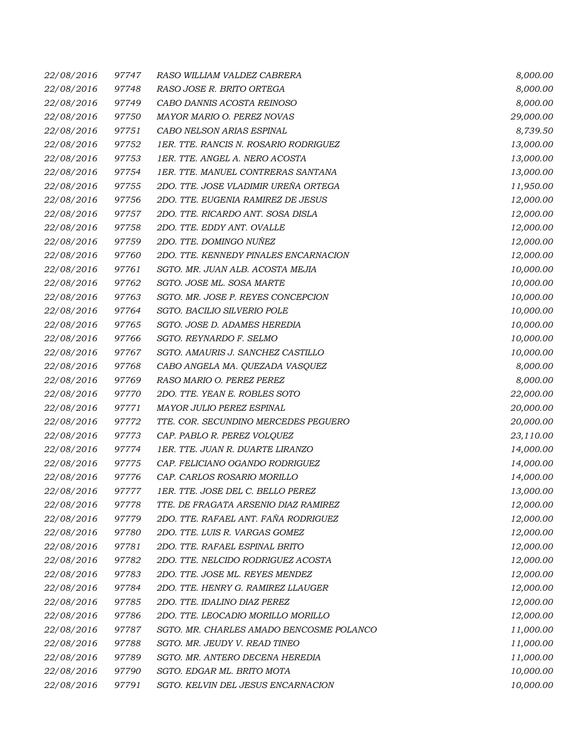| 22/08/2016 | 97747 | RASO WILLIAM VALDEZ CABRERA              | 8,000.00  |
|------------|-------|------------------------------------------|-----------|
| 22/08/2016 | 97748 | RASO JOSE R. BRITO ORTEGA                | 8,000.00  |
| 22/08/2016 | 97749 | CABO DANNIS ACOSTA REINOSO               | 8,000.00  |
| 22/08/2016 | 97750 | MAYOR MARIO O. PEREZ NOVAS               | 29,000.00 |
| 22/08/2016 | 97751 | CABO NELSON ARIAS ESPINAL                | 8,739.50  |
| 22/08/2016 | 97752 | 1ER. TTE. RANCIS N. ROSARIO RODRIGUEZ    | 13,000.00 |
| 22/08/2016 | 97753 | 1ER. TTE. ANGEL A. NERO ACOSTA           | 13,000.00 |
| 22/08/2016 | 97754 | 1ER. TTE. MANUEL CONTRERAS SANTANA       | 13,000.00 |
| 22/08/2016 | 97755 | 2DO. TTE. JOSE VLADIMIR UREÑA ORTEGA     | 11,950.00 |
| 22/08/2016 | 97756 | 2DO. TTE. EUGENIA RAMIREZ DE JESUS       | 12,000.00 |
| 22/08/2016 | 97757 | 2DO. TTE. RICARDO ANT. SOSA DISLA        | 12,000.00 |
| 22/08/2016 | 97758 | 2DO. TTE. EDDY ANT. OVALLE               | 12,000.00 |
| 22/08/2016 | 97759 | 2DO. TTE. DOMINGO NUÑEZ                  | 12,000.00 |
| 22/08/2016 | 97760 | 2DO. TTE. KENNEDY PINALES ENCARNACION    | 12,000.00 |
| 22/08/2016 | 97761 | SGTO. MR. JUAN ALB. ACOSTA MEJIA         | 10,000.00 |
| 22/08/2016 | 97762 | SGTO. JOSE ML. SOSA MARTE                | 10,000.00 |
| 22/08/2016 | 97763 | SGTO. MR. JOSE P. REYES CONCEPCION       | 10,000.00 |
| 22/08/2016 | 97764 | SGTO. BACILIO SILVERIO POLE              | 10,000.00 |
| 22/08/2016 | 97765 | SGTO. JOSE D. ADAMES HEREDIA             | 10,000.00 |
| 22/08/2016 | 97766 | SGTO. REYNARDO F. SELMO                  | 10,000.00 |
| 22/08/2016 | 97767 | SGTO. AMAURIS J. SANCHEZ CASTILLO        | 10,000.00 |
| 22/08/2016 | 97768 | CABO ANGELA MA. QUEZADA VASQUEZ          | 8,000.00  |
| 22/08/2016 | 97769 | RASO MARIO O. PEREZ PEREZ                | 8,000.00  |
| 22/08/2016 | 97770 | 2DO. TTE. YEAN E. ROBLES SOTO            | 22,000.00 |
| 22/08/2016 | 97771 | MAYOR JULIO PEREZ ESPINAL                | 20,000.00 |
| 22/08/2016 | 97772 | TTE. COR. SECUNDINO MERCEDES PEGUERO     | 20,000.00 |
| 22/08/2016 | 97773 | CAP. PABLO R. PEREZ VOLQUEZ              | 23,110.00 |
| 22/08/2016 | 97774 | 1ER. TTE. JUAN R. DUARTE LIRANZO         | 14,000.00 |
| 22/08/2016 | 97775 | CAP. FELICIANO OGANDO RODRIGUEZ          | 14,000.00 |
| 22/08/2016 | 97776 | CAP. CARLOS ROSARIO MORILLO              | 14,000.00 |
| 22/08/2016 | 97777 | 1ER. TTE. JOSE DEL C. BELLO PEREZ        | 13,000.00 |
| 22/08/2016 | 97778 | TTE. DE FRAGATA ARSENIO DIAZ RAMIREZ     | 12,000.00 |
| 22/08/2016 | 97779 | 2DO. TTE. RAFAEL ANT. FAÑA RODRIGUEZ     | 12,000.00 |
| 22/08/2016 | 97780 | 2DO. TTE. LUIS R. VARGAS GOMEZ           | 12,000.00 |
| 22/08/2016 | 97781 | 2DO. TTE. RAFAEL ESPINAL BRITO           | 12,000.00 |
| 22/08/2016 | 97782 | 2DO. TTE. NELCIDO RODRIGUEZ ACOSTA       | 12,000.00 |
| 22/08/2016 | 97783 | 2DO. TTE. JOSE ML. REYES MENDEZ          | 12,000.00 |
| 22/08/2016 | 97784 | 2DO. TTE. HENRY G. RAMIREZ LLAUGER       | 12,000.00 |
| 22/08/2016 | 97785 | 2DO. TTE. IDALINO DIAZ PEREZ             | 12,000.00 |
| 22/08/2016 | 97786 | 2DO. TTE. LEOCADIO MORILLO MORILLO       | 12,000.00 |
| 22/08/2016 | 97787 | SGTO. MR. CHARLES AMADO BENCOSME POLANCO | 11,000.00 |
| 22/08/2016 | 97788 | SGTO. MR. JEUDY V. READ TINEO            | 11,000.00 |
| 22/08/2016 | 97789 | SGTO. MR. ANTERO DECENA HEREDIA          | 11,000.00 |
| 22/08/2016 | 97790 | SGTO. EDGAR ML. BRITO MOTA               | 10,000.00 |
| 22/08/2016 | 97791 | SGTO. KELVIN DEL JESUS ENCARNACION       | 10,000.00 |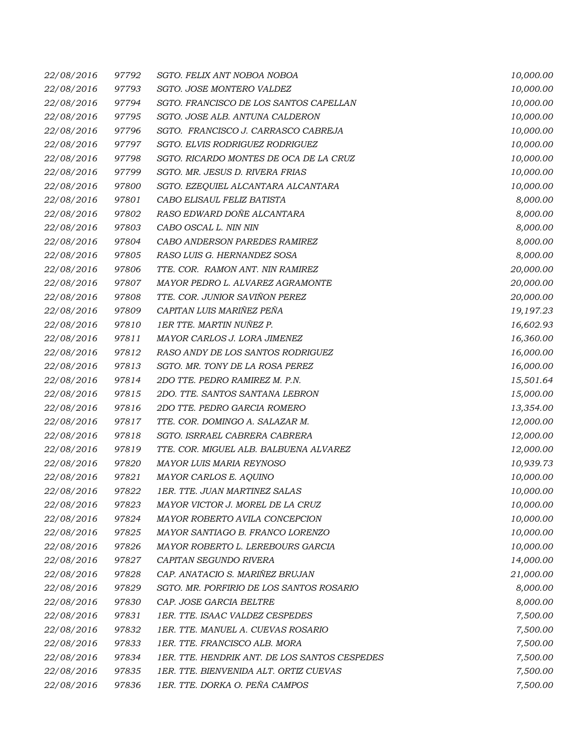| 22/08/2016 | 97792 | SGTO. FELIX ANT NOBOA NOBOA                   | 10,000.00 |
|------------|-------|-----------------------------------------------|-----------|
| 22/08/2016 | 97793 | SGTO. JOSE MONTERO VALDEZ                     | 10,000.00 |
| 22/08/2016 | 97794 | SGTO. FRANCISCO DE LOS SANTOS CAPELLAN        | 10,000.00 |
| 22/08/2016 | 97795 | SGTO. JOSE ALB. ANTUNA CALDERON               | 10,000.00 |
| 22/08/2016 | 97796 | SGTO. FRANCISCO J. CARRASCO CABREJA           | 10,000.00 |
| 22/08/2016 | 97797 | SGTO. ELVIS RODRIGUEZ RODRIGUEZ               | 10,000.00 |
| 22/08/2016 | 97798 | SGTO. RICARDO MONTES DE OCA DE LA CRUZ        | 10,000.00 |
| 22/08/2016 | 97799 | SGTO. MR. JESUS D. RIVERA FRIAS               | 10,000.00 |
| 22/08/2016 | 97800 | SGTO. EZEQUIEL ALCANTARA ALCANTARA            | 10,000.00 |
| 22/08/2016 | 97801 | CABO ELISAUL FELIZ BATISTA                    | 8,000.00  |
| 22/08/2016 | 97802 | RASO EDWARD DOÑE ALCANTARA                    | 8,000.00  |
| 22/08/2016 | 97803 | CABO OSCAL L. NIN NIN                         | 8,000.00  |
| 22/08/2016 | 97804 | CABO ANDERSON PAREDES RAMIREZ                 | 8,000.00  |
| 22/08/2016 | 97805 | RASO LUIS G. HERNANDEZ SOSA                   | 8,000.00  |
| 22/08/2016 | 97806 | TTE. COR. RAMON ANT. NIN RAMIREZ              | 20,000.00 |
| 22/08/2016 | 97807 | MAYOR PEDRO L. ALVAREZ AGRAMONTE              | 20,000.00 |
| 22/08/2016 | 97808 | TTE. COR. JUNIOR SAVIÑON PEREZ                | 20,000.00 |
| 22/08/2016 | 97809 | CAPITAN LUIS MARIÑEZ PEÑA                     | 19,197.23 |
| 22/08/2016 | 97810 | 1 ER TTE. MARTIN NUÑEZ P.                     | 16,602.93 |
| 22/08/2016 | 97811 | MAYOR CARLOS J. LORA JIMENEZ                  | 16,360.00 |
| 22/08/2016 | 97812 | RASO ANDY DE LOS SANTOS RODRIGUEZ             | 16,000.00 |
| 22/08/2016 | 97813 | SGTO. MR. TONY DE LA ROSA PEREZ               | 16,000.00 |
| 22/08/2016 | 97814 | 2DO TTE. PEDRO RAMIREZ M. P.N.                | 15,501.64 |
| 22/08/2016 | 97815 | 2DO. TTE. SANTOS SANTANA LEBRON               | 15,000.00 |
| 22/08/2016 | 97816 | 2DO TTE. PEDRO GARCIA ROMERO                  | 13,354.00 |
| 22/08/2016 | 97817 | TTE. COR. DOMINGO A. SALAZAR M.               | 12,000.00 |
| 22/08/2016 | 97818 | SGTO. ISRRAEL CABRERA CABRERA                 | 12,000.00 |
| 22/08/2016 | 97819 | TTE. COR. MIGUEL ALB. BALBUENA ALVAREZ        | 12,000.00 |
| 22/08/2016 | 97820 | MAYOR LUIS MARIA REYNOSO                      | 10,939.73 |
| 22/08/2016 | 97821 | MAYOR CARLOS E. AQUINO                        | 10,000.00 |
| 22/08/2016 | 97822 | 1ER. TTE. JUAN MARTINEZ SALAS                 | 10,000.00 |
| 22/08/2016 | 97823 | MAYOR VICTOR J. MOREL DE LA CRUZ              | 10,000.00 |
| 22/08/2016 | 97824 | MAYOR ROBERTO AVILA CONCEPCION                | 10,000.00 |
| 22/08/2016 | 97825 | MAYOR SANTIAGO B. FRANCO LORENZO              | 10,000.00 |
| 22/08/2016 | 97826 | MAYOR ROBERTO L. LEREBOURS GARCIA             | 10,000.00 |
| 22/08/2016 | 97827 | CAPITAN SEGUNDO RIVERA                        | 14,000.00 |
| 22/08/2016 | 97828 | CAP. ANATACIO S. MARIÑEZ BRUJAN               | 21,000.00 |
| 22/08/2016 | 97829 | SGTO. MR. PORFIRIO DE LOS SANTOS ROSARIO      | 8,000.00  |
| 22/08/2016 | 97830 | CAP. JOSE GARCIA BELTRE                       | 8,000.00  |
| 22/08/2016 | 97831 | 1ER. TTE. ISAAC VALDEZ CESPEDES               | 7,500.00  |
| 22/08/2016 | 97832 | 1ER. TTE. MANUEL A. CUEVAS ROSARIO            | 7,500.00  |
| 22/08/2016 | 97833 | 1ER. TTE. FRANCISCO ALB. MORA                 | 7,500.00  |
| 22/08/2016 | 97834 | 1ER. TTE. HENDRIK ANT. DE LOS SANTOS CESPEDES | 7,500.00  |
| 22/08/2016 | 97835 | 1ER. TTE. BIENVENIDA ALT. ORTIZ CUEVAS        | 7,500.00  |
| 22/08/2016 | 97836 | 1ER. TTE. DORKA O. PEÑA CAMPOS                | 7,500.00  |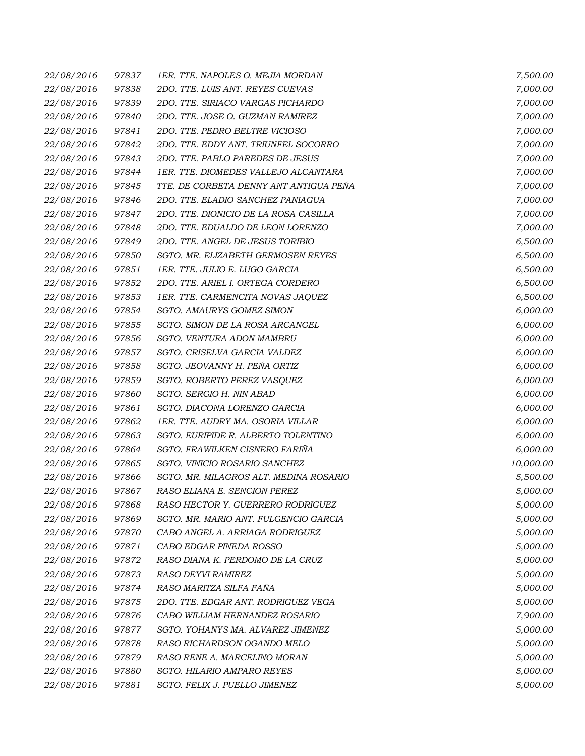| 22/08/2016 | 97837 | 1ER. TTE. NAPOLES O. MEJIA MORDAN      | 7,500.00  |
|------------|-------|----------------------------------------|-----------|
| 22/08/2016 | 97838 | 2DO. TTE. LUIS ANT. REYES CUEVAS       | 7,000.00  |
| 22/08/2016 | 97839 | 2DO. TTE. SIRIACO VARGAS PICHARDO      | 7,000.00  |
| 22/08/2016 | 97840 | 2DO. TTE. JOSE O. GUZMAN RAMIREZ       | 7,000.00  |
| 22/08/2016 | 97841 | 2DO. TTE. PEDRO BELTRE VICIOSO         | 7,000.00  |
| 22/08/2016 | 97842 | 2DO. TTE. EDDY ANT. TRIUNFEL SOCORRO   | 7,000.00  |
| 22/08/2016 | 97843 | 2DO. TTE. PABLO PAREDES DE JESUS       | 7,000.00  |
| 22/08/2016 | 97844 | 1ER. TTE. DIOMEDES VALLEJO ALCANTARA   | 7,000.00  |
| 22/08/2016 | 97845 | TTE. DE CORBETA DENNY ANT ANTIGUA PEÑA | 7,000.00  |
| 22/08/2016 | 97846 | 2DO. TTE. ELADIO SANCHEZ PANIAGUA      | 7,000.00  |
| 22/08/2016 | 97847 | 2DO. TTE. DIONICIO DE LA ROSA CASILLA  | 7,000.00  |
| 22/08/2016 | 97848 | 2DO. TTE. EDUALDO DE LEON LORENZO      | 7,000.00  |
| 22/08/2016 | 97849 | 2DO. TTE. ANGEL DE JESUS TORIBIO       | 6,500.00  |
| 22/08/2016 | 97850 | SGTO. MR. ELIZABETH GERMOSEN REYES     | 6,500.00  |
| 22/08/2016 | 97851 | 1ER. TTE. JULIO E. LUGO GARCIA         | 6,500.00  |
| 22/08/2016 | 97852 | 2DO. TTE. ARIEL I. ORTEGA CORDERO      | 6,500.00  |
| 22/08/2016 | 97853 | 1ER. TTE. CARMENCITA NOVAS JAQUEZ      | 6,500.00  |
| 22/08/2016 | 97854 | SGTO. AMAURYS GOMEZ SIMON              | 6,000.00  |
| 22/08/2016 | 97855 | SGTO. SIMON DE LA ROSA ARCANGEL        | 6,000.00  |
| 22/08/2016 | 97856 | SGTO. VENTURA ADON MAMBRU              | 6,000.00  |
| 22/08/2016 | 97857 | SGTO. CRISELVA GARCIA VALDEZ           | 6,000.00  |
| 22/08/2016 | 97858 | SGTO. JEOVANNY H. PEÑA ORTIZ           | 6,000.00  |
| 22/08/2016 | 97859 | SGTO. ROBERTO PEREZ VASQUEZ            | 6,000.00  |
| 22/08/2016 | 97860 | SGTO. SERGIO H. NIN ABAD               | 6,000.00  |
| 22/08/2016 | 97861 | SGTO. DIACONA LORENZO GARCIA           | 6,000.00  |
| 22/08/2016 | 97862 | 1ER. TTE. AUDRY MA. OSORIA VILLAR      | 6,000.00  |
| 22/08/2016 | 97863 | SGTO. EURIPIDE R. ALBERTO TOLENTINO    | 6,000.00  |
| 22/08/2016 | 97864 | SGTO. FRAWILKEN CISNERO FARIÑA         | 6,000.00  |
| 22/08/2016 | 97865 | SGTO. VINICIO ROSARIO SANCHEZ          | 10,000.00 |
| 22/08/2016 | 97866 | SGTO. MR. MILAGROS ALT. MEDINA ROSARIO | 5,500.00  |
| 22/08/2016 | 97867 | RASO ELIANA E. SENCION PEREZ           | 5,000.00  |
| 22/08/2016 | 97868 | RASO HECTOR Y. GUERRERO RODRIGUEZ      | 5,000.00  |
| 22/08/2016 | 97869 | SGTO. MR. MARIO ANT. FULGENCIO GARCIA  | 5,000.00  |
| 22/08/2016 | 97870 | CABO ANGEL A. ARRIAGA RODRIGUEZ        | 5,000.00  |
| 22/08/2016 | 97871 | CABO EDGAR PINEDA ROSSO                | 5,000.00  |
| 22/08/2016 | 97872 | RASO DIANA K. PERDOMO DE LA CRUZ       | 5,000.00  |
| 22/08/2016 | 97873 | <b>RASO DEYVI RAMIREZ</b>              | 5,000.00  |
| 22/08/2016 | 97874 | RASO MARITZA SILFA FAÑA                | 5,000.00  |
| 22/08/2016 | 97875 | 2DO. TTE. EDGAR ANT. RODRIGUEZ VEGA    | 5,000.00  |
| 22/08/2016 | 97876 | CABO WILLIAM HERNANDEZ ROSARIO         | 7,900.00  |
| 22/08/2016 | 97877 | SGTO. YOHANYS MA. ALVAREZ JIMENEZ      | 5,000.00  |
| 22/08/2016 | 97878 | RASO RICHARDSON OGANDO MELO            | 5,000.00  |
| 22/08/2016 | 97879 | RASO RENE A. MARCELINO MORAN           | 5,000.00  |
| 22/08/2016 | 97880 | SGTO. HILARIO AMPARO REYES             | 5,000.00  |
| 22/08/2016 | 97881 | SGTO. FELIX J. PUELLO JIMENEZ          | 5,000.00  |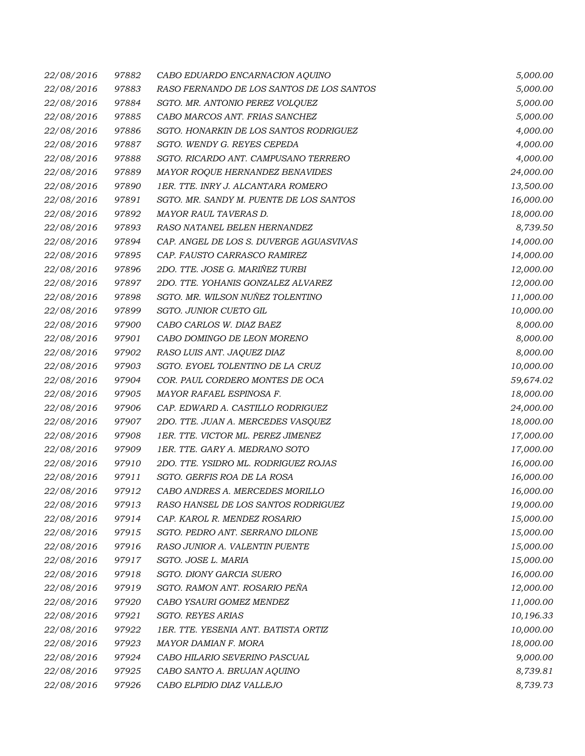| 22/08/2016 | 97882 | CABO EDUARDO ENCARNACION AQUINO           | 5,000.00  |
|------------|-------|-------------------------------------------|-----------|
| 22/08/2016 | 97883 | RASO FERNANDO DE LOS SANTOS DE LOS SANTOS | 5,000.00  |
| 22/08/2016 | 97884 | SGTO. MR. ANTONIO PEREZ VOLQUEZ           | 5,000.00  |
| 22/08/2016 | 97885 | CABO MARCOS ANT. FRIAS SANCHEZ            | 5,000.00  |
| 22/08/2016 | 97886 | SGTO. HONARKIN DE LOS SANTOS RODRIGUEZ    | 4,000.00  |
| 22/08/2016 | 97887 | SGTO. WENDY G. REYES CEPEDA               | 4,000.00  |
| 22/08/2016 | 97888 | SGTO. RICARDO ANT. CAMPUSANO TERRERO      | 4,000.00  |
| 22/08/2016 | 97889 | MAYOR ROQUE HERNANDEZ BENAVIDES           | 24,000.00 |
| 22/08/2016 | 97890 | 1ER. TTE. INRY J. ALCANTARA ROMERO        | 13,500.00 |
| 22/08/2016 | 97891 | SGTO. MR. SANDY M. PUENTE DE LOS SANTOS   | 16,000.00 |
| 22/08/2016 | 97892 | MAYOR RAUL TAVERAS D.                     | 18,000.00 |
| 22/08/2016 | 97893 | RASO NATANEL BELEN HERNANDEZ              | 8,739.50  |
| 22/08/2016 | 97894 | CAP. ANGEL DE LOS S. DUVERGE AGUASVIVAS   | 14,000.00 |
| 22/08/2016 | 97895 | CAP. FAUSTO CARRASCO RAMIREZ              | 14,000.00 |
| 22/08/2016 | 97896 | 2DO. TTE. JOSE G. MARIÑEZ TURBI           | 12,000.00 |
| 22/08/2016 | 97897 | 2DO. TTE. YOHANIS GONZALEZ ALVAREZ        | 12,000.00 |
| 22/08/2016 | 97898 | SGTO. MR. WILSON NUÑEZ TOLENTINO          | 11,000.00 |
| 22/08/2016 | 97899 | SGTO. JUNIOR CUETO GIL                    | 10,000.00 |
| 22/08/2016 | 97900 | CABO CARLOS W. DIAZ BAEZ                  | 8,000.00  |
| 22/08/2016 | 97901 | CABO DOMINGO DE LEON MORENO               | 8,000.00  |
| 22/08/2016 | 97902 | RASO LUIS ANT. JAQUEZ DIAZ                | 8,000.00  |
| 22/08/2016 | 97903 | SGTO. EYOEL TOLENTINO DE LA CRUZ          | 10,000.00 |
| 22/08/2016 | 97904 | COR. PAUL CORDERO MONTES DE OCA           | 59,674.02 |
| 22/08/2016 | 97905 | MAYOR RAFAEL ESPINOSA F.                  | 18,000.00 |
| 22/08/2016 | 97906 | CAP. EDWARD A. CASTILLO RODRIGUEZ         | 24,000.00 |
| 22/08/2016 | 97907 | 2DO. TTE. JUAN A. MERCEDES VASQUEZ        | 18,000.00 |
| 22/08/2016 | 97908 | 1ER. TTE. VICTOR ML. PEREZ JIMENEZ        | 17,000.00 |
| 22/08/2016 | 97909 | 1ER. TTE. GARY A. MEDRANO SOTO            | 17,000.00 |
| 22/08/2016 | 97910 | 2DO. TTE. YSIDRO ML. RODRIGUEZ ROJAS      | 16,000.00 |
| 22/08/2016 | 97911 | SGTO. GERFIS ROA DE LA ROSA               | 16,000.00 |
| 22/08/2016 | 97912 | CABO ANDRES A. MERCEDES MORILLO           | 16,000.00 |
| 22/08/2016 | 97913 | RASO HANSEL DE LOS SANTOS RODRIGUEZ       | 19,000.00 |
| 22/08/2016 | 97914 | CAP. KAROL R. MENDEZ ROSARIO              | 15,000.00 |
| 22/08/2016 | 97915 | SGTO. PEDRO ANT. SERRANO DILONE           | 15,000.00 |
| 22/08/2016 | 97916 | RASO JUNIOR A. VALENTIN PUENTE            | 15,000.00 |
| 22/08/2016 | 97917 | SGTO. JOSE L. MARIA                       | 15,000.00 |
| 22/08/2016 | 97918 | SGTO. DIONY GARCIA SUERO                  | 16,000.00 |
| 22/08/2016 | 97919 | SGTO. RAMON ANT. ROSARIO PEÑA             | 12,000.00 |
| 22/08/2016 | 97920 | CABO YSAURI GOMEZ MENDEZ                  | 11,000.00 |
| 22/08/2016 | 97921 | SGTO. REYES ARIAS                         | 10,196.33 |
| 22/08/2016 | 97922 | 1ER. TTE. YESENIA ANT. BATISTA ORTIZ      | 10,000.00 |
| 22/08/2016 | 97923 | MAYOR DAMIAN F. MORA                      | 18,000.00 |
| 22/08/2016 | 97924 | CABO HILARIO SEVERINO PASCUAL             | 9,000.00  |
| 22/08/2016 | 97925 | CABO SANTO A. BRUJAN AQUINO               | 8,739.81  |
| 22/08/2016 | 97926 | CABO ELPIDIO DIAZ VALLEJO                 | 8,739.73  |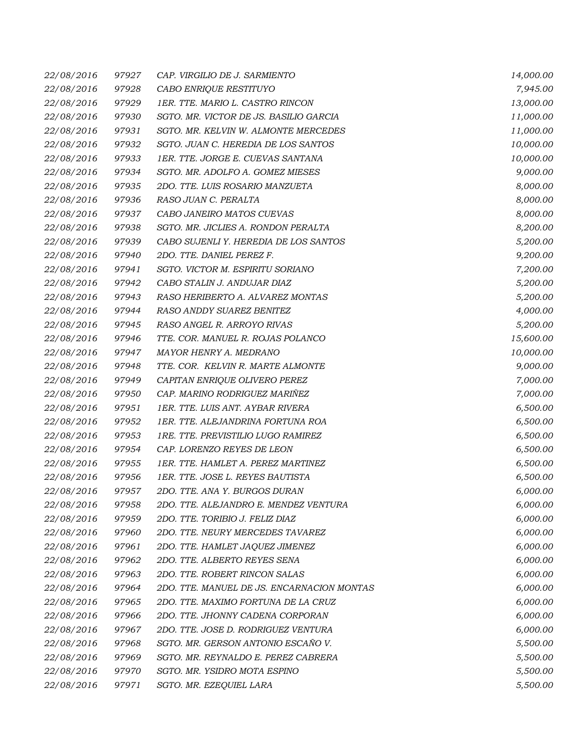| 22/08/2016 | 97927 | CAP. VIRGILIO DE J. SARMIENTO              | 14,000.00 |
|------------|-------|--------------------------------------------|-----------|
| 22/08/2016 | 97928 | CABO ENRIQUE RESTITUYO                     | 7,945.00  |
| 22/08/2016 | 97929 | 1ER. TTE. MARIO L. CASTRO RINCON           | 13,000.00 |
| 22/08/2016 | 97930 | SGTO. MR. VICTOR DE JS. BASILIO GARCIA     | 11,000.00 |
| 22/08/2016 | 97931 | SGTO. MR. KELVIN W. ALMONTE MERCEDES       | 11,000.00 |
| 22/08/2016 | 97932 | SGTO. JUAN C. HEREDIA DE LOS SANTOS        | 10,000.00 |
| 22/08/2016 | 97933 | 1ER. TTE. JORGE E. CUEVAS SANTANA          | 10,000.00 |
| 22/08/2016 | 97934 | SGTO. MR. ADOLFO A. GOMEZ MIESES           | 9,000.00  |
| 22/08/2016 | 97935 | 2DO. TTE. LUIS ROSARIO MANZUETA            | 8,000.00  |
| 22/08/2016 | 97936 | RASO JUAN C. PERALTA                       | 8,000.00  |
| 22/08/2016 | 97937 | CABO JANEIRO MATOS CUEVAS                  | 8,000.00  |
| 22/08/2016 | 97938 | SGTO. MR. JICLIES A. RONDON PERALTA        | 8,200.00  |
| 22/08/2016 | 97939 | CABO SUJENLI Y. HEREDIA DE LOS SANTOS      | 5,200.00  |
| 22/08/2016 | 97940 | 2DO. TTE. DANIEL PEREZ F.                  | 9,200.00  |
| 22/08/2016 | 97941 | SGTO. VICTOR M. ESPIRITU SORIANO           | 7,200.00  |
| 22/08/2016 | 97942 | CABO STALIN J. ANDUJAR DIAZ                | 5,200.00  |
| 22/08/2016 | 97943 | RASO HERIBERTO A. ALVAREZ MONTAS           | 5,200.00  |
| 22/08/2016 | 97944 | RASO ANDDY SUAREZ BENITEZ                  | 4,000.00  |
| 22/08/2016 | 97945 | RASO ANGEL R. ARROYO RIVAS                 | 5,200.00  |
| 22/08/2016 | 97946 | TTE. COR. MANUEL R. ROJAS POLANCO          | 15,600.00 |
| 22/08/2016 | 97947 | MAYOR HENRY A. MEDRANO                     | 10,000.00 |
| 22/08/2016 | 97948 | TTE. COR. KELVIN R. MARTE ALMONTE          | 9,000.00  |
| 22/08/2016 | 97949 | CAPITAN ENRIQUE OLIVERO PEREZ              | 7,000.00  |
| 22/08/2016 | 97950 | CAP. MARINO RODRIGUEZ MARIÑEZ              | 7,000.00  |
| 22/08/2016 | 97951 | 1ER. TTE. LUIS ANT. AYBAR RIVERA           | 6,500.00  |
| 22/08/2016 | 97952 | 1ER. TTE. ALEJANDRINA FORTUNA ROA          | 6,500.00  |
| 22/08/2016 | 97953 | 1RE. TTE. PREVISTILIO LUGO RAMIREZ         | 6,500.00  |
| 22/08/2016 | 97954 | CAP. LORENZO REYES DE LEON                 | 6,500.00  |
| 22/08/2016 | 97955 | 1ER. TTE. HAMLET A. PEREZ MARTINEZ         | 6,500.00  |
| 22/08/2016 | 97956 | 1ER. TTE. JOSE L. REYES BAUTISTA           | 6,500.00  |
| 22/08/2016 | 97957 | 2DO. TTE. ANA Y. BURGOS DURAN              | 6,000.00  |
| 22/08/2016 | 97958 | 2DO. TTE. ALEJANDRO E. MENDEZ VENTURA      | 6,000.00  |
| 22/08/2016 | 97959 | 2DO. TTE. TORIBIO J. FELIZ DIAZ            | 6,000.00  |
| 22/08/2016 | 97960 | 2DO. TTE. NEURY MERCEDES TAVAREZ           | 6,000.00  |
| 22/08/2016 | 97961 | 2DO. TTE. HAMLET JAQUEZ JIMENEZ            | 6,000.00  |
| 22/08/2016 | 97962 | 2DO. TTE. ALBERTO REYES SENA               | 6,000.00  |
| 22/08/2016 | 97963 | 2DO. TTE. ROBERT RINCON SALAS              | 6,000.00  |
| 22/08/2016 | 97964 | 2DO. TTE. MANUEL DE JS. ENCARNACION MONTAS | 6,000.00  |
| 22/08/2016 | 97965 | 2DO. TTE. MAXIMO FORTUNA DE LA CRUZ        | 6,000.00  |
| 22/08/2016 | 97966 | 2DO. TTE. JHONNY CADENA CORPORAN           | 6,000.00  |
| 22/08/2016 | 97967 | 2DO. TTE. JOSE D. RODRIGUEZ VENTURA        | 6,000.00  |
| 22/08/2016 | 97968 | SGTO. MR. GERSON ANTONIO ESCAÑO V.         | 5,500.00  |
| 22/08/2016 | 97969 | SGTO. MR. REYNALDO E. PEREZ CABRERA        | 5,500.00  |
| 22/08/2016 | 97970 | SGTO. MR. YSIDRO MOTA ESPINO               | 5,500.00  |
| 22/08/2016 | 97971 | SGTO. MR. EZEQUIEL LARA                    | 5,500.00  |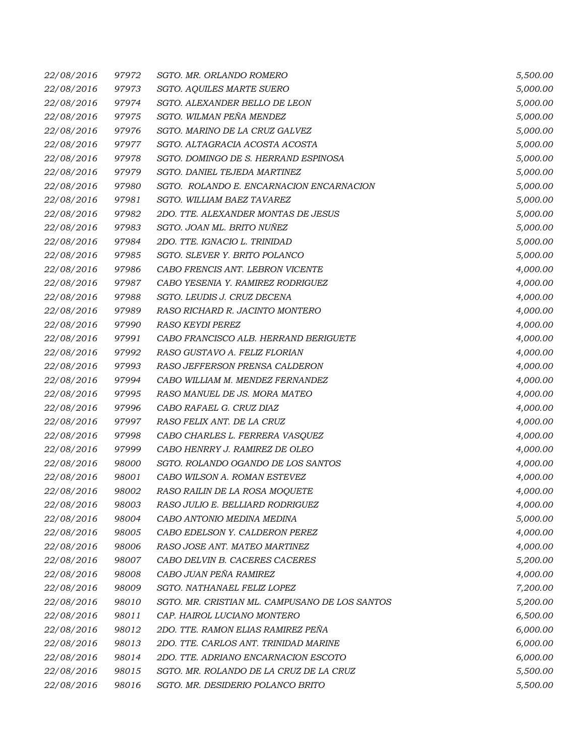| 22/08/2016 | 97972 | SGTO. MR. ORLANDO ROMERO                       | 5,500.00 |
|------------|-------|------------------------------------------------|----------|
| 22/08/2016 | 97973 | SGTO. AQUILES MARTE SUERO                      | 5,000.00 |
| 22/08/2016 | 97974 | SGTO. ALEXANDER BELLO DE LEON                  | 5,000.00 |
| 22/08/2016 | 97975 | SGTO. WILMAN PEÑA MENDEZ                       | 5,000.00 |
| 22/08/2016 | 97976 | SGTO. MARINO DE LA CRUZ GALVEZ                 | 5,000.00 |
| 22/08/2016 | 97977 | SGTO. ALTAGRACIA ACOSTA ACOSTA                 | 5,000.00 |
| 22/08/2016 | 97978 | SGTO. DOMINGO DE S. HERRAND ESPINOSA           | 5,000.00 |
| 22/08/2016 | 97979 | SGTO. DANIEL TEJEDA MARTINEZ                   | 5,000.00 |
| 22/08/2016 | 97980 | SGTO. ROLANDO E. ENCARNACION ENCARNACION       | 5,000.00 |
| 22/08/2016 | 97981 | SGTO. WILLIAM BAEZ TAVAREZ                     | 5,000.00 |
| 22/08/2016 | 97982 | 2DO. TTE. ALEXANDER MONTAS DE JESUS            | 5,000.00 |
| 22/08/2016 | 97983 | SGTO. JOAN ML. BRITO NUÑEZ                     | 5,000.00 |
| 22/08/2016 | 97984 | 2DO. TTE. IGNACIO L. TRINIDAD                  | 5,000.00 |
| 22/08/2016 | 97985 | SGTO. SLEVER Y. BRITO POLANCO                  | 5,000.00 |
| 22/08/2016 | 97986 | CABO FRENCIS ANT. LEBRON VICENTE               | 4,000.00 |
| 22/08/2016 | 97987 | CABO YESENIA Y. RAMIREZ RODRIGUEZ              | 4,000.00 |
| 22/08/2016 | 97988 | SGTO. LEUDIS J. CRUZ DECENA                    | 4,000.00 |
| 22/08/2016 | 97989 | RASO RICHARD R. JACINTO MONTERO                | 4,000.00 |
| 22/08/2016 | 97990 | <b>RASO KEYDI PEREZ</b>                        | 4,000.00 |
| 22/08/2016 | 97991 | CABO FRANCISCO ALB. HERRAND BERIGUETE          | 4,000.00 |
| 22/08/2016 | 97992 | RASO GUSTAVO A. FELIZ FLORIAN                  | 4,000.00 |
| 22/08/2016 | 97993 | RASO JEFFERSON PRENSA CALDERON                 | 4,000.00 |
| 22/08/2016 | 97994 | CABO WILLIAM M. MENDEZ FERNANDEZ               | 4,000.00 |
| 22/08/2016 | 97995 | RASO MANUEL DE JS. MORA MATEO                  | 4,000.00 |
| 22/08/2016 | 97996 | CABO RAFAEL G. CRUZ DIAZ                       | 4,000.00 |
| 22/08/2016 | 97997 | RASO FELIX ANT. DE LA CRUZ                     | 4,000.00 |
| 22/08/2016 | 97998 | CABO CHARLES L. FERRERA VASQUEZ                | 4,000.00 |
| 22/08/2016 | 97999 | CABO HENRRY J. RAMIREZ DE OLEO                 | 4,000.00 |
| 22/08/2016 | 98000 | SGTO. ROLANDO OGANDO DE LOS SANTOS             | 4,000.00 |
| 22/08/2016 | 98001 | CABO WILSON A. ROMAN ESTEVEZ                   | 4,000.00 |
| 22/08/2016 | 98002 | RASO RAILIN DE LA ROSA MOQUETE                 | 4,000.00 |
| 22/08/2016 | 98003 | RASO JULIO E. BELLIARD RODRIGUEZ               | 4,000.00 |
| 22/08/2016 | 98004 | CABO ANTONIO MEDINA MEDINA                     | 5,000.00 |
| 22/08/2016 | 98005 | CABO EDELSON Y. CALDERON PEREZ                 | 4,000.00 |
| 22/08/2016 | 98006 | RASO JOSE ANT. MATEO MARTINEZ                  | 4,000.00 |
| 22/08/2016 | 98007 | CABO DELVIN B. CACERES CACERES                 | 5,200.00 |
| 22/08/2016 | 98008 | CABO JUAN PEÑA RAMIREZ                         | 4,000.00 |
| 22/08/2016 | 98009 | SGTO. NATHANAEL FELIZ LOPEZ                    | 7,200.00 |
| 22/08/2016 | 98010 | SGTO. MR. CRISTIAN ML. CAMPUSANO DE LOS SANTOS | 5,200.00 |
| 22/08/2016 | 98011 | CAP. HAIROL LUCIANO MONTERO                    | 6,500.00 |
| 22/08/2016 | 98012 | 2DO. TTE. RAMON ELIAS RAMIREZ PEÑA             | 6,000.00 |
| 22/08/2016 | 98013 | 2DO. TTE. CARLOS ANT. TRINIDAD MARINE          | 6,000.00 |
| 22/08/2016 | 98014 | 2DO. TTE. ADRIANO ENCARNACION ESCOTO           | 6,000.00 |
| 22/08/2016 | 98015 | SGTO. MR. ROLANDO DE LA CRUZ DE LA CRUZ        | 5,500.00 |
| 22/08/2016 | 98016 | SGTO. MR. DESIDERIO POLANCO BRITO              | 5,500.00 |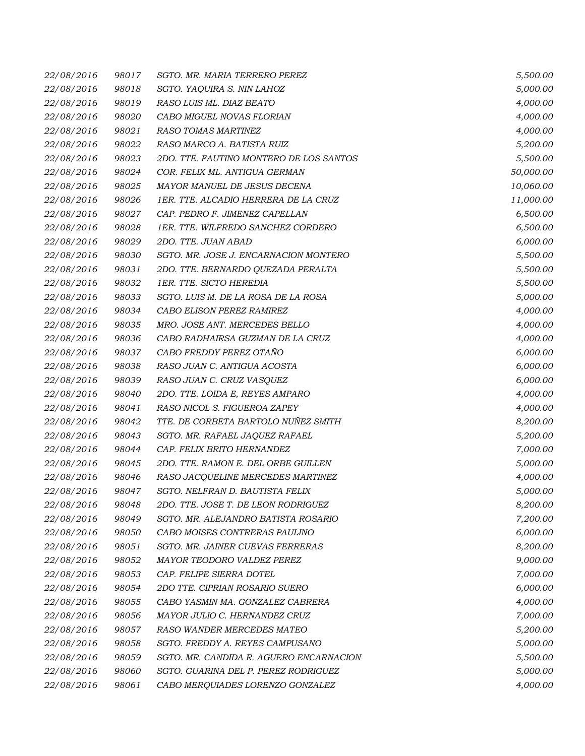| 22/08/2016 | 98017 | SGTO. MR. MARIA TERRERO PEREZ           | 5,500.00  |
|------------|-------|-----------------------------------------|-----------|
| 22/08/2016 | 98018 | SGTO. YAQUIRA S. NIN LAHOZ              | 5,000.00  |
| 22/08/2016 | 98019 | RASO LUIS ML. DIAZ BEATO                | 4,000.00  |
| 22/08/2016 | 98020 | CABO MIGUEL NOVAS FLORIAN               | 4,000.00  |
| 22/08/2016 | 98021 | RASO TOMAS MARTINEZ                     | 4,000.00  |
| 22/08/2016 | 98022 | RASO MARCO A. BATISTA RUIZ              | 5,200.00  |
| 22/08/2016 | 98023 | 2DO. TTE. FAUTINO MONTERO DE LOS SANTOS | 5,500.00  |
| 22/08/2016 | 98024 | COR. FELIX ML. ANTIGUA GERMAN           | 50,000.00 |
| 22/08/2016 | 98025 | MAYOR MANUEL DE JESUS DECENA            | 10,060.00 |
| 22/08/2016 | 98026 | 1ER. TTE. ALCADIO HERRERA DE LA CRUZ    | 11,000.00 |
| 22/08/2016 | 98027 | CAP. PEDRO F. JIMENEZ CAPELLAN          | 6,500.00  |
| 22/08/2016 | 98028 | 1ER. TTE. WILFREDO SANCHEZ CORDERO      | 6,500.00  |
| 22/08/2016 | 98029 | 2DO. TTE. JUAN ABAD                     | 6,000.00  |
| 22/08/2016 | 98030 | SGTO. MR. JOSE J. ENCARNACION MONTERO   | 5,500.00  |
| 22/08/2016 | 98031 | 2DO. TTE. BERNARDO QUEZADA PERALTA      | 5,500.00  |
| 22/08/2016 | 98032 | 1ER. TTE. SICTO HEREDIA                 | 5,500.00  |
| 22/08/2016 | 98033 | SGTO. LUIS M. DE LA ROSA DE LA ROSA     | 5,000.00  |
| 22/08/2016 | 98034 | CABO ELISON PEREZ RAMIREZ               | 4,000.00  |
| 22/08/2016 | 98035 | MRO. JOSE ANT. MERCEDES BELLO           | 4,000.00  |
| 22/08/2016 | 98036 | CABO RADHAIRSA GUZMAN DE LA CRUZ        | 4,000.00  |
| 22/08/2016 | 98037 | CABO FREDDY PEREZ OTAÑO                 | 6,000.00  |
| 22/08/2016 | 98038 | RASO JUAN C. ANTIGUA ACOSTA             | 6,000.00  |
| 22/08/2016 | 98039 | RASO JUAN C. CRUZ VASQUEZ               | 6,000.00  |
| 22/08/2016 | 98040 | 2DO. TTE. LOIDA E, REYES AMPARO         | 4,000.00  |
| 22/08/2016 | 98041 | RASO NICOL S. FIGUEROA ZAPEY            | 4,000.00  |
| 22/08/2016 | 98042 | TTE. DE CORBETA BARTOLO NUÑEZ SMITH     | 8,200.00  |
| 22/08/2016 | 98043 | SGTO. MR. RAFAEL JAQUEZ RAFAEL          | 5,200.00  |
| 22/08/2016 | 98044 | CAP. FELIX BRITO HERNANDEZ              | 7,000.00  |
| 22/08/2016 | 98045 | 2DO. TTE. RAMON E. DEL ORBE GUILLEN     | 5,000.00  |
| 22/08/2016 | 98046 | RASO JACQUELINE MERCEDES MARTINEZ       | 4,000.00  |
| 22/08/2016 | 98047 | SGTO. NELFRAN D. BAUTISTA FELIX         | 5,000.00  |
| 22/08/2016 | 98048 | 2DO. TTE. JOSE T. DE LEON RODRIGUEZ     | 8,200.00  |
| 22/08/2016 | 98049 | SGTO. MR. ALEJANDRO BATISTA ROSARIO     | 7,200.00  |
| 22/08/2016 | 98050 | CABO MOISES CONTRERAS PAULINO           | 6,000.00  |
| 22/08/2016 | 98051 | SGTO. MR. JAINER CUEVAS FERRERAS        | 8,200.00  |
| 22/08/2016 | 98052 | MAYOR TEODORO VALDEZ PEREZ              | 9,000.00  |
| 22/08/2016 | 98053 | CAP. FELIPE SIERRA DOTEL                | 7,000.00  |
| 22/08/2016 | 98054 | 2DO TTE. CIPRIAN ROSARIO SUERO          | 6,000.00  |
| 22/08/2016 | 98055 | CABO YASMIN MA. GONZALEZ CABRERA        | 4,000.00  |
| 22/08/2016 | 98056 | MAYOR JULIO C. HERNANDEZ CRUZ           | 7,000.00  |
| 22/08/2016 | 98057 | RASO WANDER MERCEDES MATEO              | 5,200.00  |
| 22/08/2016 | 98058 | SGTO. FREDDY A. REYES CAMPUSANO         | 5,000.00  |
| 22/08/2016 | 98059 | SGTO. MR. CANDIDA R. AGUERO ENCARNACION | 5,500.00  |
| 22/08/2016 | 98060 | SGTO. GUARINA DEL P. PEREZ RODRIGUEZ    | 5,000.00  |
| 22/08/2016 | 98061 | CABO MERQUIADES LORENZO GONZALEZ        | 4,000.00  |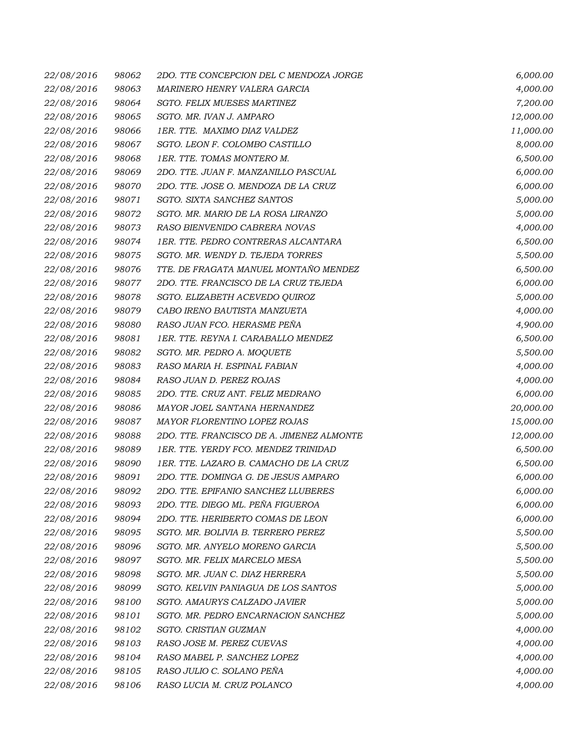| 22/08/2016 | 98062 | 2DO. TTE CONCEPCION DEL C MENDOZA JORGE    | 6,000.00  |
|------------|-------|--------------------------------------------|-----------|
| 22/08/2016 | 98063 | MARINERO HENRY VALERA GARCIA               | 4,000.00  |
| 22/08/2016 | 98064 | SGTO. FELIX MUESES MARTINEZ                | 7,200.00  |
| 22/08/2016 | 98065 | SGTO. MR. IVAN J. AMPARO                   | 12,000.00 |
| 22/08/2016 | 98066 | 1ER. TTE. MAXIMO DIAZ VALDEZ               | 11,000.00 |
| 22/08/2016 | 98067 | SGTO. LEON F. COLOMBO CASTILLO             | 8,000.00  |
| 22/08/2016 | 98068 | 1ER. TTE. TOMAS MONTERO M.                 | 6,500.00  |
| 22/08/2016 | 98069 | 2DO. TTE. JUAN F. MANZANILLO PASCUAL       | 6,000.00  |
| 22/08/2016 | 98070 | 2DO. TTE. JOSE O. MENDOZA DE LA CRUZ       | 6,000.00  |
| 22/08/2016 | 98071 | SGTO. SIXTA SANCHEZ SANTOS                 | 5,000.00  |
| 22/08/2016 | 98072 | SGTO. MR. MARIO DE LA ROSA LIRANZO         | 5,000.00  |
| 22/08/2016 | 98073 | RASO BIENVENIDO CABRERA NOVAS              | 4,000.00  |
| 22/08/2016 | 98074 | <i>1ER. TTE. PEDRO CONTRERAS ALCANTARA</i> | 6,500.00  |
| 22/08/2016 | 98075 | SGTO. MR. WENDY D. TEJEDA TORRES           | 5,500.00  |
| 22/08/2016 | 98076 | TTE. DE FRAGATA MANUEL MONTAÑO MENDEZ      | 6,500.00  |
| 22/08/2016 | 98077 | 2DO. TTE. FRANCISCO DE LA CRUZ TEJEDA      | 6,000.00  |
| 22/08/2016 | 98078 | SGTO. ELIZABETH ACEVEDO QUIROZ             | 5,000.00  |
| 22/08/2016 | 98079 | CABO IRENO BAUTISTA MANZUETA               | 4,000.00  |
| 22/08/2016 | 98080 | RASO JUAN FCO. HERASME PEÑA                | 4,900.00  |
| 22/08/2016 | 98081 | 1ER. TTE. REYNA I. CARABALLO MENDEZ        | 6,500.00  |
| 22/08/2016 | 98082 | SGTO. MR. PEDRO A. MOQUETE                 | 5,500.00  |
| 22/08/2016 | 98083 | RASO MARIA H. ESPINAL FABIAN               | 4,000.00  |
| 22/08/2016 | 98084 | RASO JUAN D. PEREZ ROJAS                   | 4,000.00  |
| 22/08/2016 | 98085 | 2DO. TTE. CRUZ ANT. FELIZ MEDRANO          | 6,000.00  |
| 22/08/2016 | 98086 | MAYOR JOEL SANTANA HERNANDEZ               | 20,000.00 |
| 22/08/2016 | 98087 | MAYOR FLORENTINO LOPEZ ROJAS               | 15,000.00 |
| 22/08/2016 | 98088 | 2DO. TTE. FRANCISCO DE A. JIMENEZ ALMONTE  | 12,000.00 |
| 22/08/2016 | 98089 | 1ER. TTE. YERDY FCO. MENDEZ TRINIDAD       | 6,500.00  |
| 22/08/2016 | 98090 | 1ER. TTE. LAZARO B. CAMACHO DE LA CRUZ     | 6,500.00  |
| 22/08/2016 | 98091 | 2DO. TTE. DOMINGA G. DE JESUS AMPARO       | 6,000.00  |
| 22/08/2016 | 98092 | 2DO. TTE. EPIFANIO SANCHEZ LLUBERES        | 6,000.00  |
| 22/08/2016 | 98093 | 2DO. TTE. DIEGO ML. PEÑA FIGUEROA          | 6,000.00  |
| 22/08/2016 | 98094 | 2DO. TTE. HERIBERTO COMAS DE LEON          | 6,000.00  |
| 22/08/2016 | 98095 | SGTO. MR. BOLIVIA B. TERRERO PEREZ         | 5,500.00  |
| 22/08/2016 | 98096 | SGTO. MR. ANYELO MORENO GARCIA             | 5,500.00  |
| 22/08/2016 | 98097 | SGTO. MR. FELIX MARCELO MESA               | 5,500.00  |
| 22/08/2016 | 98098 | SGTO. MR. JUAN C. DIAZ HERRERA             | 5,500.00  |
| 22/08/2016 | 98099 | SGTO. KELVIN PANIAGUA DE LOS SANTOS        | 5,000.00  |
| 22/08/2016 | 98100 | SGTO. AMAURYS CALZADO JAVIER               | 5,000.00  |
| 22/08/2016 | 98101 | SGTO. MR. PEDRO ENCARNACION SANCHEZ        | 5,000.00  |
| 22/08/2016 | 98102 | SGTO. CRISTIAN GUZMAN                      | 4,000.00  |
| 22/08/2016 | 98103 | RASO JOSE M. PEREZ CUEVAS                  | 4,000.00  |
| 22/08/2016 | 98104 | RASO MABEL P. SANCHEZ LOPEZ                | 4,000.00  |
| 22/08/2016 | 98105 | RASO JULIO C. SOLANO PEÑA                  | 4,000.00  |
| 22/08/2016 | 98106 | RASO LUCIA M. CRUZ POLANCO                 | 4,000.00  |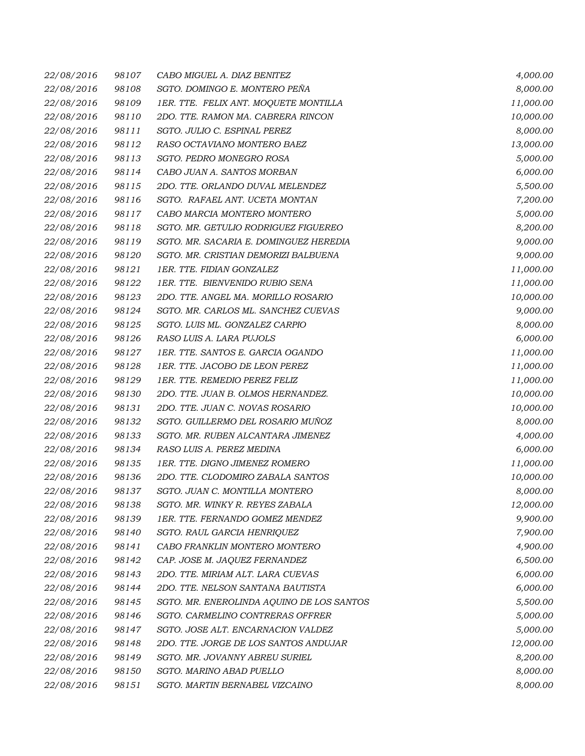| 22/08/2016 | 98107 | CABO MIGUEL A. DIAZ BENITEZ               | 4,000.00  |
|------------|-------|-------------------------------------------|-----------|
| 22/08/2016 | 98108 | SGTO. DOMINGO E. MONTERO PEÑA             | 8,000.00  |
| 22/08/2016 | 98109 | 1ER. TTE. FELIX ANT. MOQUETE MONTILLA     | 11,000.00 |
| 22/08/2016 | 98110 | 2DO. TTE. RAMON MA. CABRERA RINCON        | 10,000.00 |
| 22/08/2016 | 98111 | SGTO. JULIO C. ESPINAL PEREZ              | 8,000.00  |
| 22/08/2016 | 98112 | RASO OCTAVIANO MONTERO BAEZ               | 13,000.00 |
| 22/08/2016 | 98113 | SGTO. PEDRO MONEGRO ROSA                  | 5,000.00  |
| 22/08/2016 | 98114 | CABO JUAN A. SANTOS MORBAN                | 6,000.00  |
| 22/08/2016 | 98115 | 2DO. TTE. ORLANDO DUVAL MELENDEZ          | 5,500.00  |
| 22/08/2016 | 98116 | SGTO. RAFAEL ANT. UCETA MONTAN            | 7,200.00  |
| 22/08/2016 | 98117 | CABO MARCIA MONTERO MONTERO               | 5,000.00  |
| 22/08/2016 | 98118 | SGTO. MR. GETULIO RODRIGUEZ FIGUEREO      | 8,200.00  |
| 22/08/2016 | 98119 | SGTO. MR. SACARIA E. DOMINGUEZ HEREDIA    | 9,000.00  |
| 22/08/2016 | 98120 | SGTO. MR. CRISTIAN DEMORIZI BALBUENA      | 9,000.00  |
| 22/08/2016 | 98121 | 1ER. TTE. FIDIAN GONZALEZ                 | 11,000.00 |
| 22/08/2016 | 98122 | 1ER. TTE. BIENVENIDO RUBIO SENA           | 11,000.00 |
| 22/08/2016 | 98123 | 2DO. TTE. ANGEL MA. MORILLO ROSARIO       | 10,000.00 |
| 22/08/2016 | 98124 | SGTO. MR. CARLOS ML. SANCHEZ CUEVAS       | 9,000.00  |
| 22/08/2016 | 98125 | SGTO. LUIS ML. GONZALEZ CARPIO            | 8,000.00  |
| 22/08/2016 | 98126 | RASO LUIS A. LARA PUJOLS                  | 6,000.00  |
| 22/08/2016 | 98127 | 1ER. TTE. SANTOS E. GARCIA OGANDO         | 11,000.00 |
| 22/08/2016 | 98128 | 1ER. TTE. JACOBO DE LEON PEREZ            | 11,000.00 |
| 22/08/2016 | 98129 | 1ER. TTE. REMEDIO PEREZ FELIZ             | 11,000.00 |
| 22/08/2016 | 98130 | 2DO. TTE. JUAN B. OLMOS HERNANDEZ.        | 10,000.00 |
| 22/08/2016 | 98131 | 2DO. TTE. JUAN C. NOVAS ROSARIO           | 10,000.00 |
| 22/08/2016 | 98132 | SGTO. GUILLERMO DEL ROSARIO MUÑOZ         | 8,000.00  |
| 22/08/2016 | 98133 | SGTO. MR. RUBEN ALCANTARA JIMENEZ         | 4,000.00  |
| 22/08/2016 | 98134 | RASO LUIS A. PEREZ MEDINA                 | 6,000.00  |
| 22/08/2016 | 98135 | 1ER. TTE. DIGNO JIMENEZ ROMERO            | 11,000.00 |
| 22/08/2016 | 98136 | 2DO. TTE. CLODOMIRO ZABALA SANTOS         | 10,000.00 |
| 22/08/2016 | 98137 | SGTO. JUAN C. MONTILLA MONTERO            | 8,000.00  |
| 22/08/2016 | 98138 | SGTO. MR. WINKY R. REYES ZABALA           | 12,000.00 |
| 22/08/2016 | 98139 | 1ER. TTE. FERNANDO GOMEZ MENDEZ           | 9,900.00  |
| 22/08/2016 | 98140 | SGTO. RAUL GARCIA HENRIQUEZ               | 7,900.00  |
| 22/08/2016 | 98141 | CABO FRANKLIN MONTERO MONTERO             | 4,900.00  |
| 22/08/2016 | 98142 | CAP. JOSE M. JAQUEZ FERNANDEZ             | 6,500.00  |
| 22/08/2016 | 98143 | 2DO. TTE. MIRIAM ALT. LARA CUEVAS         | 6,000.00  |
| 22/08/2016 | 98144 | 2DO. TTE. NELSON SANTANA BAUTISTA         | 6,000.00  |
| 22/08/2016 | 98145 | SGTO. MR. ENEROLINDA AQUINO DE LOS SANTOS | 5,500.00  |
| 22/08/2016 | 98146 | SGTO. CARMELINO CONTRERAS OFFRER          | 5,000.00  |
| 22/08/2016 | 98147 | SGTO. JOSE ALT. ENCARNACION VALDEZ        | 5,000.00  |
| 22/08/2016 | 98148 | 2DO. TTE. JORGE DE LOS SANTOS ANDUJAR     | 12,000.00 |
| 22/08/2016 | 98149 | SGTO. MR. JOVANNY ABREU SURIEL            | 8,200.00  |
| 22/08/2016 | 98150 | SGTO. MARINO ABAD PUELLO                  | 8,000.00  |
| 22/08/2016 | 98151 | SGTO. MARTIN BERNABEL VIZCAINO            | 8,000.00  |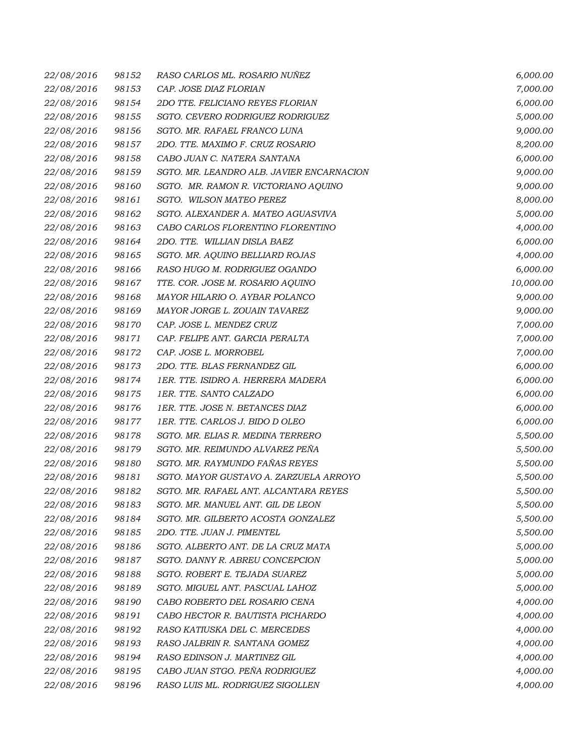| 22/08/2016 | 98152 | RASO CARLOS ML. ROSARIO NUÑEZ             | 6,000.00  |
|------------|-------|-------------------------------------------|-----------|
| 22/08/2016 | 98153 | CAP. JOSE DIAZ FLORIAN                    | 7,000.00  |
| 22/08/2016 | 98154 | 2DO TTE. FELICIANO REYES FLORIAN          | 6,000.00  |
| 22/08/2016 | 98155 | SGTO. CEVERO RODRIGUEZ RODRIGUEZ          | 5,000.00  |
| 22/08/2016 | 98156 | SGTO. MR. RAFAEL FRANCO LUNA              | 9,000.00  |
| 22/08/2016 | 98157 | 2DO. TTE. MAXIMO F. CRUZ ROSARIO          | 8,200.00  |
| 22/08/2016 | 98158 | CABO JUAN C. NATERA SANTANA               | 6,000.00  |
| 22/08/2016 | 98159 | SGTO. MR. LEANDRO ALB. JAVIER ENCARNACION | 9,000.00  |
| 22/08/2016 | 98160 | SGTO. MR. RAMON R. VICTORIANO AQUINO      | 9,000.00  |
| 22/08/2016 | 98161 | SGTO. WILSON MATEO PEREZ                  | 8,000.00  |
| 22/08/2016 | 98162 | SGTO. ALEXANDER A. MATEO AGUASVIVA        | 5,000.00  |
| 22/08/2016 | 98163 | CABO CARLOS FLORENTINO FLORENTINO         | 4,000.00  |
| 22/08/2016 | 98164 | 2DO. TTE. WILLIAN DISLA BAEZ              | 6,000.00  |
| 22/08/2016 | 98165 | SGTO. MR. AQUINO BELLIARD ROJAS           | 4,000.00  |
| 22/08/2016 | 98166 | RASO HUGO M. RODRIGUEZ OGANDO             | 6,000.00  |
| 22/08/2016 | 98167 | TTE. COR. JOSE M. ROSARIO AQUINO          | 10,000.00 |
| 22/08/2016 | 98168 | MAYOR HILARIO O. AYBAR POLANCO            | 9,000.00  |
| 22/08/2016 | 98169 | MAYOR JORGE L. ZOUAIN TAVAREZ             | 9,000.00  |
| 22/08/2016 | 98170 | CAP. JOSE L. MENDEZ CRUZ                  | 7,000.00  |
| 22/08/2016 | 98171 | CAP. FELIPE ANT. GARCIA PERALTA           | 7,000.00  |
| 22/08/2016 | 98172 | CAP. JOSE L. MORROBEL                     | 7,000.00  |
| 22/08/2016 | 98173 | 2DO. TTE. BLAS FERNANDEZ GIL              | 6,000.00  |
| 22/08/2016 | 98174 | 1ER. TTE. ISIDRO A. HERRERA MADERA        | 6,000.00  |
| 22/08/2016 | 98175 | 1ER. TTE. SANTO CALZADO                   | 6,000.00  |
| 22/08/2016 | 98176 | 1ER. TTE. JOSE N. BETANCES DIAZ           | 6,000.00  |
| 22/08/2016 | 98177 | 1ER. TTE. CARLOS J. BIDO D OLEO           | 6,000.00  |
| 22/08/2016 | 98178 | SGTO. MR. ELIAS R. MEDINA TERRERO         | 5,500.00  |
| 22/08/2016 | 98179 | SGTO. MR. REIMUNDO ALVAREZ PEÑA           | 5,500.00  |
| 22/08/2016 | 98180 | SGTO. MR. RAYMUNDO FAÑAS REYES            | 5,500.00  |
| 22/08/2016 | 98181 | SGTO. MAYOR GUSTAVO A. ZARZUELA ARROYO    | 5,500.00  |
| 22/08/2016 | 98182 | SGTO. MR. RAFAEL ANT. ALCANTARA REYES     | 5,500.00  |
| 22/08/2016 | 98183 | SGTO. MR. MANUEL ANT. GIL DE LEON         | 5,500.00  |
| 22/08/2016 | 98184 | SGTO. MR. GILBERTO ACOSTA GONZALEZ        | 5,500.00  |
| 22/08/2016 | 98185 | 2DO. TTE. JUAN J. PIMENTEL                | 5,500.00  |
| 22/08/2016 | 98186 | SGTO. ALBERTO ANT. DE LA CRUZ MATA        | 5,000.00  |
| 22/08/2016 | 98187 | SGTO. DANNY R. ABREU CONCEPCION           | 5,000.00  |
| 22/08/2016 | 98188 | SGTO. ROBERT E. TEJADA SUAREZ             | 5,000.00  |
| 22/08/2016 | 98189 | SGTO. MIGUEL ANT. PASCUAL LAHOZ           | 5,000.00  |
| 22/08/2016 | 98190 | CABO ROBERTO DEL ROSARIO CENA             | 4,000.00  |
| 22/08/2016 | 98191 | CABO HECTOR R. BAUTISTA PICHARDO          | 4,000.00  |
| 22/08/2016 | 98192 | RASO KATIUSKA DEL C. MERCEDES             | 4,000.00  |
| 22/08/2016 | 98193 | RASO JALBRIN R. SANTANA GOMEZ             | 4,000.00  |
| 22/08/2016 | 98194 | RASO EDINSON J. MARTINEZ GIL              | 4,000.00  |
| 22/08/2016 | 98195 | CABO JUAN STGO. PEÑA RODRIGUEZ            | 4,000.00  |
| 22/08/2016 | 98196 | RASO LUIS ML. RODRIGUEZ SIGOLLEN          | 4,000.00  |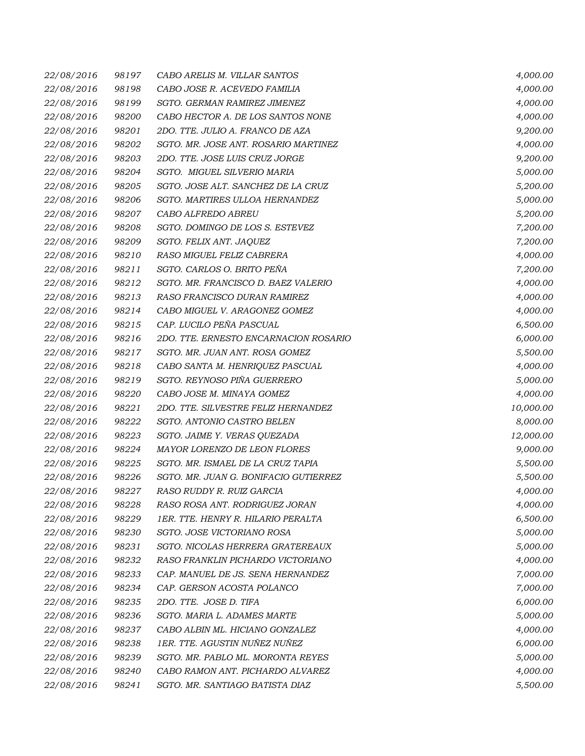| 22/08/2016 | 98197 | CABO ARELIS M. VILLAR SANTOS          | 4,000.00  |
|------------|-------|---------------------------------------|-----------|
| 22/08/2016 | 98198 | CABO JOSE R. ACEVEDO FAMILIA          | 4,000.00  |
| 22/08/2016 | 98199 | SGTO. GERMAN RAMIREZ JIMENEZ          | 4,000.00  |
| 22/08/2016 | 98200 | CABO HECTOR A. DE LOS SANTOS NONE     | 4,000.00  |
| 22/08/2016 | 98201 | 2DO. TTE. JULIO A. FRANCO DE AZA      | 9,200.00  |
| 22/08/2016 | 98202 | SGTO. MR. JOSE ANT. ROSARIO MARTINEZ  | 4,000.00  |
| 22/08/2016 | 98203 | 2DO. TTE. JOSE LUIS CRUZ JORGE        | 9,200.00  |
| 22/08/2016 | 98204 | SGTO. MIGUEL SILVERIO MARIA           | 5,000.00  |
| 22/08/2016 | 98205 | SGTO. JOSE ALT. SANCHEZ DE LA CRUZ    | 5,200.00  |
| 22/08/2016 | 98206 | SGTO. MARTIRES ULLOA HERNANDEZ        | 5,000.00  |
| 22/08/2016 | 98207 | CABO ALFREDO ABREU                    | 5,200.00  |
| 22/08/2016 | 98208 | SGTO. DOMINGO DE LOS S. ESTEVEZ       | 7,200.00  |
| 22/08/2016 | 98209 | SGTO. FELIX ANT. JAQUEZ               | 7,200.00  |
| 22/08/2016 | 98210 | RASO MIGUEL FELIZ CABRERA             | 4,000.00  |
| 22/08/2016 | 98211 | SGTO. CARLOS O. BRITO PEÑA            | 7,200.00  |
| 22/08/2016 | 98212 | SGTO. MR. FRANCISCO D. BAEZ VALERIO   | 4,000.00  |
| 22/08/2016 | 98213 | RASO FRANCISCO DURAN RAMIREZ          | 4,000.00  |
| 22/08/2016 | 98214 | CABO MIGUEL V. ARAGONEZ GOMEZ         | 4,000.00  |
| 22/08/2016 | 98215 | CAP. LUCILO PEÑA PASCUAL              | 6,500.00  |
| 22/08/2016 | 98216 | 2DO. TTE. ERNESTO ENCARNACION ROSARIO | 6,000.00  |
| 22/08/2016 | 98217 | SGTO. MR. JUAN ANT. ROSA GOMEZ        | 5,500.00  |
| 22/08/2016 | 98218 | CABO SANTA M. HENRIQUEZ PASCUAL       | 4,000.00  |
| 22/08/2016 | 98219 | SGTO. REYNOSO PIÑA GUERRERO           | 5,000.00  |
| 22/08/2016 | 98220 | CABO JOSE M. MINAYA GOMEZ             | 4,000.00  |
| 22/08/2016 | 98221 | 2DO. TTE. SILVESTRE FELIZ HERNANDEZ   | 10,000.00 |
| 22/08/2016 | 98222 | SGTO. ANTONIO CASTRO BELEN            | 8,000.00  |
| 22/08/2016 | 98223 | SGTO. JAIME Y. VERAS QUEZADA          | 12,000.00 |
| 22/08/2016 | 98224 | MAYOR LORENZO DE LEON FLORES          | 9,000.00  |
| 22/08/2016 | 98225 | SGTO. MR. ISMAEL DE LA CRUZ TAPIA     | 5,500.00  |
| 22/08/2016 | 98226 | SGTO. MR. JUAN G. BONIFACIO GUTIERREZ | 5,500.00  |
| 22/08/2016 | 98227 | RASO RUDDY R. RUIZ GARCIA             | 4,000.00  |
| 22/08/2016 | 98228 | RASO ROSA ANT. RODRIGUEZ JORAN        | 4,000.00  |
| 22/08/2016 | 98229 | 1ER. TTE. HENRY R. HILARIO PERALTA    | 6,500.00  |
| 22/08/2016 | 98230 | SGTO. JOSE VICTORIANO ROSA            | 5,000.00  |
| 22/08/2016 | 98231 | SGTO. NICOLAS HERRERA GRATEREAUX      | 5,000.00  |
| 22/08/2016 | 98232 | RASO FRANKLIN PICHARDO VICTORIANO     | 4,000.00  |
| 22/08/2016 | 98233 | CAP. MANUEL DE JS. SENA HERNANDEZ     | 7,000.00  |
| 22/08/2016 | 98234 | CAP. GERSON ACOSTA POLANCO            | 7,000.00  |
| 22/08/2016 | 98235 | 2DO. TTE. JOSE D. TIFA                | 6,000.00  |
| 22/08/2016 | 98236 | SGTO. MARIA L. ADAMES MARTE           | 5,000.00  |
| 22/08/2016 | 98237 | CABO ALBIN ML. HICIANO GONZALEZ       | 4,000.00  |
| 22/08/2016 | 98238 | 1ER. TTE. AGUSTIN NUÑEZ NUÑEZ         | 6,000.00  |
| 22/08/2016 | 98239 | SGTO. MR. PABLO ML. MORONTA REYES     | 5,000.00  |
| 22/08/2016 | 98240 | CABO RAMON ANT. PICHARDO ALVAREZ      | 4,000.00  |
| 22/08/2016 | 98241 | SGTO. MR. SANTIAGO BATISTA DIAZ       | 5,500.00  |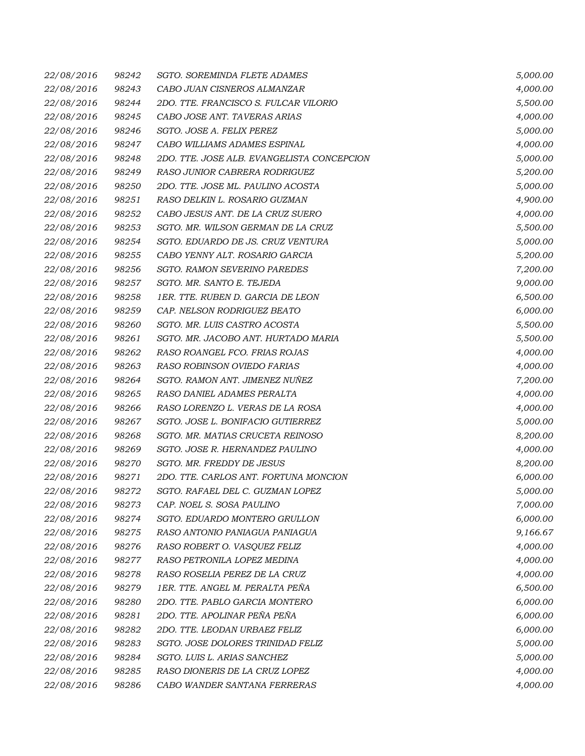| 22/08/2016 | 98242 | SGTO. SOREMINDA FLETE ADAMES               | 5,000.00 |
|------------|-------|--------------------------------------------|----------|
| 22/08/2016 | 98243 | CABO JUAN CISNEROS ALMANZAR                | 4,000.00 |
| 22/08/2016 | 98244 | 2DO. TTE. FRANCISCO S. FULCAR VILORIO      | 5,500.00 |
| 22/08/2016 | 98245 | CABO JOSE ANT. TAVERAS ARIAS               | 4,000.00 |
| 22/08/2016 | 98246 | SGTO. JOSE A. FELIX PEREZ                  | 5,000.00 |
| 22/08/2016 | 98247 | CABO WILLIAMS ADAMES ESPINAL               | 4,000.00 |
| 22/08/2016 | 98248 | 2DO. TTE. JOSE ALB. EVANGELISTA CONCEPCION | 5,000.00 |
| 22/08/2016 | 98249 | RASO JUNIOR CABRERA RODRIGUEZ              | 5,200.00 |
| 22/08/2016 | 98250 | 2DO. TTE. JOSE ML. PAULINO ACOSTA          | 5,000.00 |
| 22/08/2016 | 98251 | RASO DELKIN L. ROSARIO GUZMAN              | 4,900.00 |
| 22/08/2016 | 98252 | CABO JESUS ANT. DE LA CRUZ SUERO           | 4,000.00 |
| 22/08/2016 | 98253 | SGTO. MR. WILSON GERMAN DE LA CRUZ         | 5,500.00 |
| 22/08/2016 | 98254 | SGTO. EDUARDO DE JS. CRUZ VENTURA          | 5,000.00 |
| 22/08/2016 | 98255 | CABO YENNY ALT. ROSARIO GARCIA             | 5,200.00 |
| 22/08/2016 | 98256 | SGTO. RAMON SEVERINO PAREDES               | 7,200.00 |
| 22/08/2016 | 98257 | SGTO. MR. SANTO E. TEJEDA                  | 9,000.00 |
| 22/08/2016 | 98258 | 1ER. TTE. RUBEN D. GARCIA DE LEON          | 6,500.00 |
| 22/08/2016 | 98259 | CAP. NELSON RODRIGUEZ BEATO                | 6,000.00 |
| 22/08/2016 | 98260 | SGTO. MR. LUIS CASTRO ACOSTA               | 5,500.00 |
| 22/08/2016 | 98261 | SGTO. MR. JACOBO ANT. HURTADO MARIA        | 5,500.00 |
| 22/08/2016 | 98262 | RASO ROANGEL FCO. FRIAS ROJAS              | 4,000.00 |
| 22/08/2016 | 98263 | RASO ROBINSON OVIEDO FARIAS                | 4,000.00 |
| 22/08/2016 | 98264 | SGTO. RAMON ANT. JIMENEZ NUÑEZ             | 7,200.00 |
| 22/08/2016 | 98265 | RASO DANIEL ADAMES PERALTA                 | 4,000.00 |
| 22/08/2016 | 98266 | RASO LORENZO L. VERAS DE LA ROSA           | 4,000.00 |
| 22/08/2016 | 98267 | SGTO. JOSE L. BONIFACIO GUTIERREZ          | 5,000.00 |
| 22/08/2016 | 98268 | SGTO. MR. MATIAS CRUCETA REINOSO           | 8,200.00 |
| 22/08/2016 | 98269 | SGTO. JOSE R. HERNANDEZ PAULINO            | 4,000.00 |
| 22/08/2016 | 98270 | SGTO. MR. FREDDY DE JESUS                  | 8,200.00 |
| 22/08/2016 | 98271 | 2DO. TTE. CARLOS ANT. FORTUNA MONCION      | 6,000.00 |
| 22/08/2016 | 98272 | SGTO. RAFAEL DEL C. GUZMAN LOPEZ           | 5,000.00 |
| 22/08/2016 | 98273 | CAP. NOEL S. SOSA PAULINO                  | 7,000.00 |
| 22/08/2016 | 98274 | SGTO. EDUARDO MONTERO GRULLON              | 6,000.00 |
| 22/08/2016 | 98275 | RASO ANTONIO PANIAGUA PANIAGUA             | 9,166.67 |
| 22/08/2016 | 98276 | RASO ROBERT O. VASQUEZ FELIZ               | 4,000.00 |
| 22/08/2016 | 98277 | RASO PETRONILA LOPEZ MEDINA                | 4,000.00 |
| 22/08/2016 | 98278 | RASO ROSELIA PEREZ DE LA CRUZ              | 4,000.00 |
| 22/08/2016 | 98279 | 1ER. TTE. ANGEL M. PERALTA PEÑA            | 6,500.00 |
| 22/08/2016 | 98280 | 2DO. TTE. PABLO GARCIA MONTERO             | 6,000.00 |
| 22/08/2016 | 98281 | 2DO. TTE. APOLINAR PEÑA PEÑA               | 6,000.00 |
| 22/08/2016 | 98282 | 2DO. TTE. LEODAN URBAEZ FELIZ              | 6,000.00 |
| 22/08/2016 | 98283 | SGTO. JOSE DOLORES TRINIDAD FELIZ          | 5,000.00 |
| 22/08/2016 | 98284 | SGTO. LUIS L. ARIAS SANCHEZ                | 5,000.00 |
| 22/08/2016 | 98285 | RASO DIONERIS DE LA CRUZ LOPEZ             | 4,000.00 |
| 22/08/2016 | 98286 | CABO WANDER SANTANA FERRERAS               | 4,000.00 |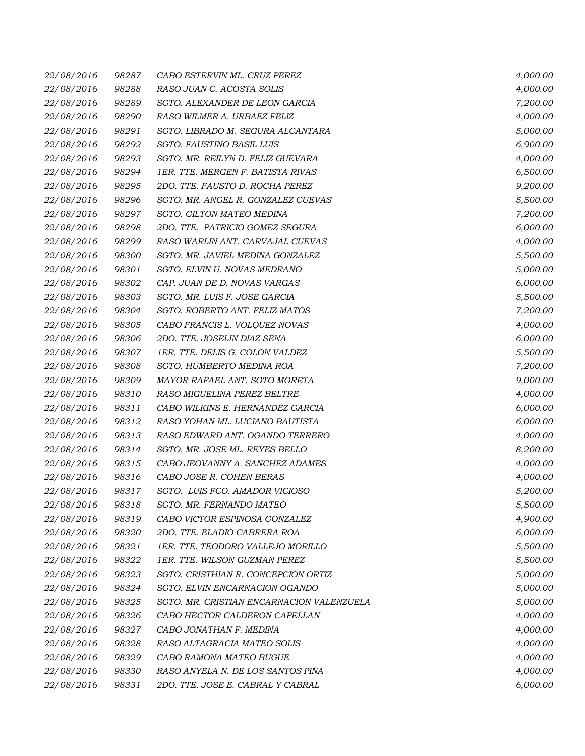| 22/08/2016 | 98287 | CABO ESTERVIN ML. CRUZ PEREZ              | 4,000.00 |
|------------|-------|-------------------------------------------|----------|
| 22/08/2016 | 98288 | RASO JUAN C. ACOSTA SOLIS                 | 4,000.00 |
| 22/08/2016 | 98289 | SGTO. ALEXANDER DE LEON GARCIA            | 7,200.00 |
| 22/08/2016 | 98290 | RASO WILMER A. URBAEZ FELIZ               | 4,000.00 |
| 22/08/2016 | 98291 | SGTO. LIBRADO M. SEGURA ALCANTARA         | 5,000.00 |
| 22/08/2016 | 98292 | SGTO. FAUSTINO BASIL LUIS                 | 6,900.00 |
| 22/08/2016 | 98293 | SGTO. MR. REILYN D. FELIZ GUEVARA         | 4,000.00 |
| 22/08/2016 | 98294 | 1ER. TTE. MERGEN F. BATISTA RIVAS         | 6,500.00 |
| 22/08/2016 | 98295 | 2DO. TTE. FAUSTO D. ROCHA PEREZ           | 9,200.00 |
| 22/08/2016 | 98296 | SGTO. MR. ANGEL R. GONZALEZ CUEVAS        | 5,500.00 |
| 22/08/2016 | 98297 | SGTO. GILTON MATEO MEDINA                 | 7,200.00 |
| 22/08/2016 | 98298 | 2DO. TTE. PATRICIO GOMEZ SEGURA           | 6,000.00 |
| 22/08/2016 | 98299 | RASO WARLIN ANT. CARVAJAL CUEVAS          | 4,000.00 |
| 22/08/2016 | 98300 | SGTO. MR. JAVIEL MEDINA GONZALEZ          | 5,500.00 |
| 22/08/2016 | 98301 | SGTO. ELVIN U. NOVAS MEDRANO              | 5,000.00 |
| 22/08/2016 | 98302 | CAP. JUAN DE D. NOVAS VARGAS              | 6,000.00 |
| 22/08/2016 | 98303 | SGTO. MR. LUIS F. JOSE GARCIA             | 5,500.00 |
| 22/08/2016 | 98304 | SGTO. ROBERTO ANT. FELIZ MATOS            | 7,200.00 |
| 22/08/2016 | 98305 | CABO FRANCIS L. VOLQUEZ NOVAS             | 4,000.00 |
| 22/08/2016 | 98306 | 2DO. TTE. JOSELIN DIAZ SENA               | 6,000.00 |
| 22/08/2016 | 98307 | 1ER. TTE. DELIS G. COLON VALDEZ           | 5,500.00 |
| 22/08/2016 | 98308 | SGTO. HUMBERTO MEDINA ROA                 | 7,200.00 |
| 22/08/2016 | 98309 | MAYOR RAFAEL ANT. SOTO MORETA             | 9,000.00 |
| 22/08/2016 | 98310 | RASO MIGUELINA PEREZ BELTRE               | 4,000.00 |
| 22/08/2016 | 98311 | CABO WILKINS E. HERNANDEZ GARCIA          | 6,000.00 |
| 22/08/2016 | 98312 | RASO YOHAN ML. LUCIANO BAUTISTA           | 6,000.00 |
| 22/08/2016 | 98313 | RASO EDWARD ANT. OGANDO TERRERO           | 4,000.00 |
| 22/08/2016 | 98314 | SGTO. MR. JOSE ML. REYES BELLO            | 8,200.00 |
| 22/08/2016 | 98315 | CABO JEOVANNY A. SANCHEZ ADAMES           | 4,000.00 |
| 22/08/2016 | 98316 | CABO JOSE R. COHEN BERAS                  | 4,000.00 |
| 22/08/2016 | 98317 | SGTO. LUIS FCO. AMADOR VICIOSO            | 5,200.00 |
| 22/08/2016 | 98318 | SGTO. MR. FERNANDO MATEO                  | 5,500.00 |
| 22/08/2016 | 98319 | CABO VICTOR ESPINOSA GONZALEZ             | 4,900.00 |
| 22/08/2016 | 98320 | 2DO. TTE. ELADIO CABRERA ROA              | 6,000.00 |
| 22/08/2016 | 98321 | 1ER. TTE. TEODORO VALLEJO MORILLO         | 5,500.00 |
| 22/08/2016 | 98322 | 1ER. TTE. WILSON GUZMAN PEREZ             | 5,500.00 |
| 22/08/2016 | 98323 | SGTO. CRISTHIAN R. CONCEPCION ORTIZ       | 5,000.00 |
| 22/08/2016 | 98324 | SGTO. ELVIN ENCARNACION OGANDO            | 5,000.00 |
| 22/08/2016 | 98325 | SGTO. MR. CRISTIAN ENCARNACION VALENZUELA | 5,000.00 |
| 22/08/2016 | 98326 | CABO HECTOR CALDERON CAPELLAN             | 4,000.00 |
| 22/08/2016 | 98327 | CABO JONATHAN F. MEDINA                   | 4,000.00 |
| 22/08/2016 | 98328 | RASO ALTAGRACIA MATEO SOLIS               | 4,000.00 |
| 22/08/2016 | 98329 | CABO RAMONA MATEO BUGUE                   | 4,000.00 |
| 22/08/2016 | 98330 | RASO ANYELA N. DE LOS SANTOS PIÑA         | 4,000.00 |
| 22/08/2016 | 98331 | 2DO. TTE. JOSE E. CABRAL Y CABRAL         | 6,000.00 |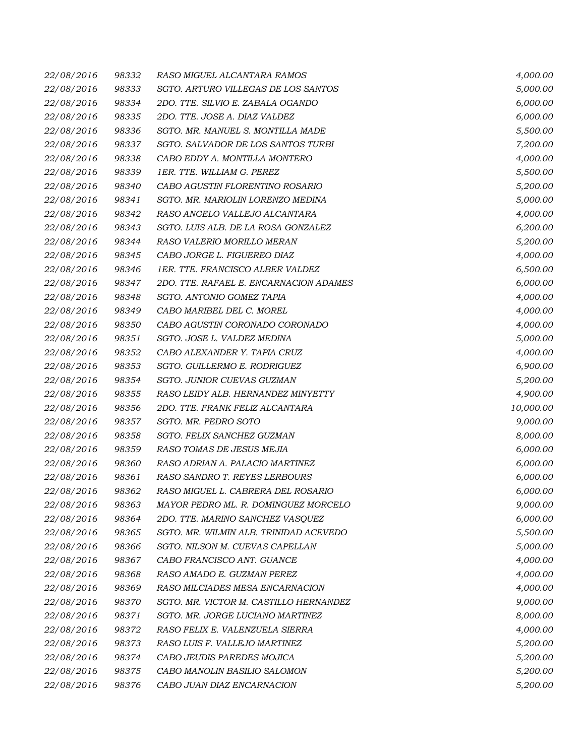| 22/08/2016 | 98332 | RASO MIGUEL ALCANTARA RAMOS            | 4,000.00  |
|------------|-------|----------------------------------------|-----------|
| 22/08/2016 | 98333 | SGTO. ARTURO VILLEGAS DE LOS SANTOS    | 5,000.00  |
| 22/08/2016 | 98334 | 2DO. TTE. SILVIO E. ZABALA OGANDO      | 6,000.00  |
| 22/08/2016 | 98335 | 2DO. TTE. JOSE A. DIAZ VALDEZ          | 6,000.00  |
| 22/08/2016 | 98336 | SGTO. MR. MANUEL S. MONTILLA MADE      | 5,500.00  |
| 22/08/2016 | 98337 | SGTO. SALVADOR DE LOS SANTOS TURBI     | 7,200.00  |
| 22/08/2016 | 98338 | CABO EDDY A. MONTILLA MONTERO          | 4,000.00  |
| 22/08/2016 | 98339 | 1ER. TTE. WILLIAM G. PEREZ             | 5,500.00  |
| 22/08/2016 | 98340 | CABO AGUSTIN FLORENTINO ROSARIO        | 5,200.00  |
| 22/08/2016 | 98341 | SGTO. MR. MARIOLIN LORENZO MEDINA      | 5,000.00  |
| 22/08/2016 | 98342 | RASO ANGELO VALLEJO ALCANTARA          | 4,000.00  |
| 22/08/2016 | 98343 | SGTO. LUIS ALB. DE LA ROSA GONZALEZ    | 6,200.00  |
| 22/08/2016 | 98344 | RASO VALERIO MORILLO MERAN             | 5,200.00  |
| 22/08/2016 | 98345 | CABO JORGE L. FIGUEREO DIAZ            | 4,000.00  |
| 22/08/2016 | 98346 | 1ER. TTE. FRANCISCO ALBER VALDEZ       | 6,500.00  |
| 22/08/2016 | 98347 | 2DO. TTE. RAFAEL E. ENCARNACION ADAMES | 6,000.00  |
| 22/08/2016 | 98348 | SGTO. ANTONIO GOMEZ TAPIA              | 4,000.00  |
| 22/08/2016 | 98349 | CABO MARIBEL DEL C. MOREL              | 4,000.00  |
| 22/08/2016 | 98350 | CABO AGUSTIN CORONADO CORONADO         | 4,000.00  |
| 22/08/2016 | 98351 | SGTO. JOSE L. VALDEZ MEDINA            | 5,000.00  |
| 22/08/2016 | 98352 | CABO ALEXANDER Y. TAPIA CRUZ           | 4,000.00  |
| 22/08/2016 | 98353 | SGTO. GUILLERMO E. RODRIGUEZ           | 6,900.00  |
| 22/08/2016 | 98354 | SGTO. JUNIOR CUEVAS GUZMAN             | 5,200.00  |
| 22/08/2016 | 98355 | RASO LEIDY ALB. HERNANDEZ MINYETTY     | 4,900.00  |
| 22/08/2016 | 98356 | 2DO. TTE. FRANK FELIZ ALCANTARA        | 10,000.00 |
| 22/08/2016 | 98357 | SGTO. MR. PEDRO SOTO                   | 9,000.00  |
| 22/08/2016 | 98358 | SGTO. FELIX SANCHEZ GUZMAN             | 8,000.00  |
| 22/08/2016 | 98359 | RASO TOMAS DE JESUS MEJIA              | 6,000.00  |
| 22/08/2016 | 98360 | RASO ADRIAN A. PALACIO MARTINEZ        | 6,000.00  |
| 22/08/2016 | 98361 | RASO SANDRO T. REYES LERBOURS          | 6,000.00  |
| 22/08/2016 | 98362 | RASO MIGUEL L. CABRERA DEL ROSARIO     | 6,000.00  |
| 22/08/2016 | 98363 | MAYOR PEDRO ML. R. DOMINGUEZ MORCELO   | 9,000.00  |
| 22/08/2016 | 98364 | 2DO. TTE. MARINO SANCHEZ VASQUEZ       | 6,000.00  |
| 22/08/2016 | 98365 | SGTO. MR. WILMIN ALB. TRINIDAD ACEVEDO | 5,500.00  |
| 22/08/2016 | 98366 | SGTO. NILSON M. CUEVAS CAPELLAN        | 5,000.00  |
| 22/08/2016 | 98367 | CABO FRANCISCO ANT. GUANCE             | 4,000.00  |
| 22/08/2016 | 98368 | RASO AMADO E. GUZMAN PEREZ             | 4,000.00  |
| 22/08/2016 | 98369 | RASO MILCIADES MESA ENCARNACION        | 4,000.00  |
| 22/08/2016 | 98370 | SGTO. MR. VICTOR M. CASTILLO HERNANDEZ | 9,000.00  |
| 22/08/2016 | 98371 | SGTO. MR. JORGE LUCIANO MARTINEZ       | 8,000.00  |
| 22/08/2016 | 98372 | RASO FELIX E. VALENZUELA SIERRA        | 4,000.00  |
| 22/08/2016 | 98373 | RASO LUIS F. VALLEJO MARTINEZ          | 5,200.00  |
| 22/08/2016 | 98374 | CABO JEUDIS PAREDES MOJICA             | 5,200.00  |
| 22/08/2016 | 98375 | CABO MANOLIN BASILIO SALOMON           | 5,200.00  |
| 22/08/2016 | 98376 | CABO JUAN DIAZ ENCARNACION             | 5,200.00  |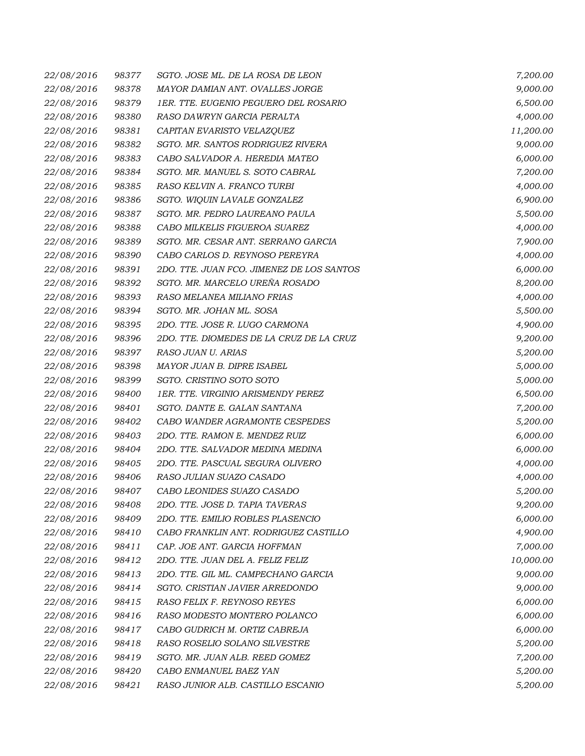| 22/08/2016 | 98377 | SGTO. JOSE ML. DE LA ROSA DE LEON         | 7,200.00  |
|------------|-------|-------------------------------------------|-----------|
| 22/08/2016 | 98378 | MAYOR DAMIAN ANT. OVALLES JORGE           | 9,000.00  |
| 22/08/2016 | 98379 | 1ER. TTE. EUGENIO PEGUERO DEL ROSARIO     | 6,500.00  |
| 22/08/2016 | 98380 | RASO DAWRYN GARCIA PERALTA                | 4,000.00  |
| 22/08/2016 | 98381 | CAPITAN EVARISTO VELAZQUEZ                | 11,200.00 |
| 22/08/2016 | 98382 | SGTO. MR. SANTOS RODRIGUEZ RIVERA         | 9,000.00  |
| 22/08/2016 | 98383 | CABO SALVADOR A. HEREDIA MATEO            | 6,000.00  |
| 22/08/2016 | 98384 | SGTO. MR. MANUEL S. SOTO CABRAL           | 7,200.00  |
| 22/08/2016 | 98385 | RASO KELVIN A. FRANCO TURBI               | 4,000.00  |
| 22/08/2016 | 98386 | SGTO. WIQUIN LAVALE GONZALEZ              | 6,900.00  |
| 22/08/2016 | 98387 | SGTO. MR. PEDRO LAUREANO PAULA            | 5,500.00  |
| 22/08/2016 | 98388 | CABO MILKELIS FIGUEROA SUAREZ             | 4,000.00  |
| 22/08/2016 | 98389 | SGTO. MR. CESAR ANT. SERRANO GARCIA       | 7,900.00  |
| 22/08/2016 | 98390 | CABO CARLOS D. REYNOSO PEREYRA            | 4,000.00  |
| 22/08/2016 | 98391 | 2DO. TTE. JUAN FCO. JIMENEZ DE LOS SANTOS | 6,000.00  |
| 22/08/2016 | 98392 | SGTO. MR. MARCELO UREÑA ROSADO            | 8,200.00  |
| 22/08/2016 | 98393 | RASO MELANEA MILIANO FRIAS                | 4,000.00  |
| 22/08/2016 | 98394 | SGTO. MR. JOHAN ML. SOSA                  | 5,500.00  |
| 22/08/2016 | 98395 | 2DO. TTE. JOSE R. LUGO CARMONA            | 4,900.00  |
| 22/08/2016 | 98396 | 2DO. TTE. DIOMEDES DE LA CRUZ DE LA CRUZ  | 9,200.00  |
| 22/08/2016 | 98397 | RASO JUAN U. ARIAS                        | 5,200.00  |
| 22/08/2016 | 98398 | MAYOR JUAN B. DIPRE ISABEL                | 5,000.00  |
| 22/08/2016 | 98399 | SGTO. CRISTINO SOTO SOTO                  | 5,000.00  |
| 22/08/2016 | 98400 | 1ER. TTE. VIRGINIO ARISMENDY PEREZ        | 6,500.00  |
| 22/08/2016 | 98401 | SGTO. DANTE E. GALAN SANTANA              | 7,200.00  |
| 22/08/2016 | 98402 | CABO WANDER AGRAMONTE CESPEDES            | 5,200.00  |
| 22/08/2016 | 98403 | 2DO. TTE. RAMON E. MENDEZ RUIZ            | 6,000.00  |
| 22/08/2016 | 98404 | 2DO. TTE. SALVADOR MEDINA MEDINA          | 6,000.00  |
| 22/08/2016 | 98405 | 2DO. TTE. PASCUAL SEGURA OLIVERO          | 4,000.00  |
| 22/08/2016 | 98406 | RASO JULIAN SUAZO CASADO                  | 4,000.00  |
| 22/08/2016 | 98407 | CABO LEONIDES SUAZO CASADO                | 5,200.00  |
| 22/08/2016 | 98408 | 2DO. TTE. JOSE D. TAPIA TAVERAS           | 9,200.00  |
| 22/08/2016 | 98409 | 2DO. TTE. EMILIO ROBLES PLASENCIO         | 6,000.00  |
| 22/08/2016 | 98410 | CABO FRANKLIN ANT. RODRIGUEZ CASTILLO     | 4,900.00  |
| 22/08/2016 | 98411 | CAP. JOE ANT. GARCIA HOFFMAN              | 7,000.00  |
| 22/08/2016 | 98412 | 2DO. TTE. JUAN DEL A. FELIZ FELIZ         | 10,000.00 |
| 22/08/2016 | 98413 | 2DO. TTE. GIL ML. CAMPECHANO GARCIA       | 9,000.00  |
| 22/08/2016 | 98414 | SGTO. CRISTIAN JAVIER ARREDONDO           | 9,000.00  |
| 22/08/2016 | 98415 | RASO FELIX F. REYNOSO REYES               | 6,000.00  |
| 22/08/2016 | 98416 | RASO MODESTO MONTERO POLANCO              | 6,000.00  |
| 22/08/2016 | 98417 | CABO GUDRICH M. ORTIZ CABREJA             | 6,000.00  |
| 22/08/2016 | 98418 | RASO ROSELIO SOLANO SILVESTRE             | 5,200.00  |
| 22/08/2016 | 98419 | SGTO. MR. JUAN ALB. REED GOMEZ            | 7,200.00  |
| 22/08/2016 | 98420 | CABO ENMANUEL BAEZ YAN                    | 5,200.00  |
| 22/08/2016 | 98421 | RASO JUNIOR ALB. CASTILLO ESCANIO         | 5,200.00  |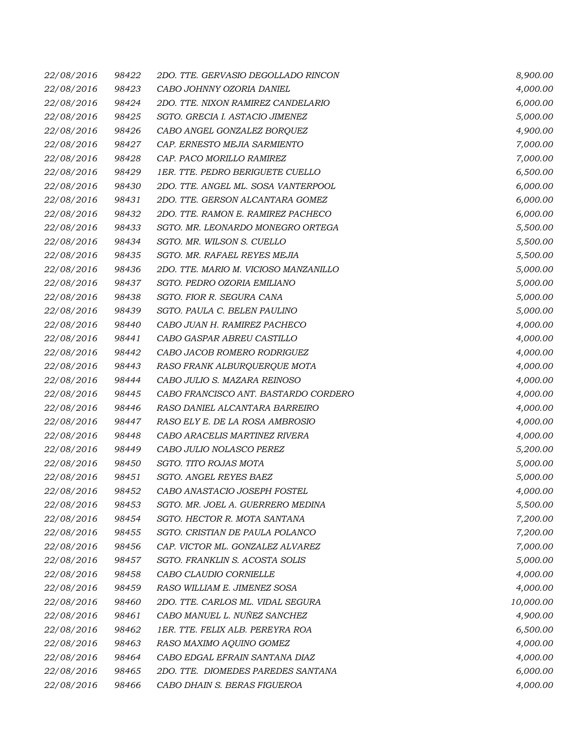| 22/08/2016 | 98422 | 2DO. TTE. GERVASIO DEGOLLADO RINCON   | 8,900.00  |
|------------|-------|---------------------------------------|-----------|
| 22/08/2016 | 98423 | CABO JOHNNY OZORIA DANIEL             | 4,000.00  |
| 22/08/2016 | 98424 | 2DO. TTE. NIXON RAMIREZ CANDELARIO    | 6,000.00  |
| 22/08/2016 | 98425 | SGTO. GRECIA I. ASTACIO JIMENEZ       | 5,000.00  |
| 22/08/2016 | 98426 | CABO ANGEL GONZALEZ BORQUEZ           | 4,900.00  |
| 22/08/2016 | 98427 | CAP. ERNESTO MEJIA SARMIENTO          | 7,000.00  |
| 22/08/2016 | 98428 | CAP. PACO MORILLO RAMIREZ             | 7,000.00  |
| 22/08/2016 | 98429 | 1ER. TTE. PEDRO BERIGUETE CUELLO      | 6,500.00  |
| 22/08/2016 | 98430 | 2DO. TTE. ANGEL ML. SOSA VANTERPOOL   | 6,000.00  |
| 22/08/2016 | 98431 | 2DO. TTE. GERSON ALCANTARA GOMEZ      | 6,000.00  |
| 22/08/2016 | 98432 | 2DO. TTE. RAMON E. RAMIREZ PACHECO    | 6,000.00  |
| 22/08/2016 | 98433 | SGTO. MR. LEONARDO MONEGRO ORTEGA     | 5,500.00  |
| 22/08/2016 | 98434 | SGTO. MR. WILSON S. CUELLO            | 5,500.00  |
| 22/08/2016 | 98435 | SGTO. MR. RAFAEL REYES MEJIA          | 5,500.00  |
| 22/08/2016 | 98436 | 2DO. TTE. MARIO M. VICIOSO MANZANILLO | 5,000.00  |
| 22/08/2016 | 98437 | SGTO. PEDRO OZORIA EMILIANO           | 5,000.00  |
| 22/08/2016 | 98438 | SGTO. FIOR R. SEGURA CANA             | 5,000.00  |
| 22/08/2016 | 98439 | SGTO. PAULA C. BELEN PAULINO          | 5,000.00  |
| 22/08/2016 | 98440 | CABO JUAN H. RAMIREZ PACHECO          | 4,000.00  |
| 22/08/2016 | 98441 | CABO GASPAR ABREU CASTILLO            | 4,000.00  |
| 22/08/2016 | 98442 | CABO JACOB ROMERO RODRIGUEZ           | 4,000.00  |
| 22/08/2016 | 98443 | RASO FRANK ALBURQUERQUE MOTA          | 4,000.00  |
| 22/08/2016 | 98444 | CABO JULIO S. MAZARA REINOSO          | 4,000.00  |
| 22/08/2016 | 98445 | CABO FRANCISCO ANT. BASTARDO CORDERO  | 4,000.00  |
| 22/08/2016 | 98446 | RASO DANIEL ALCANTARA BARREIRO        | 4,000.00  |
| 22/08/2016 | 98447 | RASO ELY E. DE LA ROSA AMBROSIO       | 4,000.00  |
| 22/08/2016 | 98448 | CABO ARACELIS MARTINEZ RIVERA         | 4,000.00  |
| 22/08/2016 | 98449 | CABO JULIO NOLASCO PEREZ              | 5,200.00  |
| 22/08/2016 | 98450 | SGTO. TITO ROJAS MOTA                 | 5,000.00  |
| 22/08/2016 | 98451 | SGTO. ANGEL REYES BAEZ                | 5,000.00  |
| 22/08/2016 | 98452 | CABO ANASTACIO JOSEPH FOSTEL          | 4,000.00  |
| 22/08/2016 | 98453 | SGTO. MR. JOEL A. GUERRERO MEDINA     | 5,500.00  |
| 22/08/2016 | 98454 | SGTO. HECTOR R. MOTA SANTANA          | 7,200.00  |
| 22/08/2016 | 98455 | SGTO. CRISTIAN DE PAULA POLANCO       | 7,200.00  |
| 22/08/2016 | 98456 | CAP. VICTOR ML. GONZALEZ ALVAREZ      | 7,000.00  |
| 22/08/2016 | 98457 | SGTO. FRANKLIN S. ACOSTA SOLIS        | 5,000.00  |
| 22/08/2016 | 98458 | CABO CLAUDIO CORNIELLE                | 4,000.00  |
| 22/08/2016 | 98459 | RASO WILLIAM E. JIMENEZ SOSA          | 4,000.00  |
| 22/08/2016 | 98460 | 2DO. TTE. CARLOS ML. VIDAL SEGURA     | 10,000.00 |
| 22/08/2016 | 98461 | CABO MANUEL L. NUÑEZ SANCHEZ          | 4,900.00  |
| 22/08/2016 | 98462 | 1ER. TTE. FELIX ALB. PEREYRA ROA      | 6,500.00  |
| 22/08/2016 | 98463 | RASO MAXIMO AQUINO GOMEZ              | 4,000.00  |
| 22/08/2016 | 98464 | CABO EDGAL EFRAIN SANTANA DIAZ        | 4,000.00  |
| 22/08/2016 | 98465 | 2DO. TTE. DIOMEDES PAREDES SANTANA    | 6,000.00  |
| 22/08/2016 | 98466 | CABO DHAIN S. BERAS FIGUEROA          | 4,000.00  |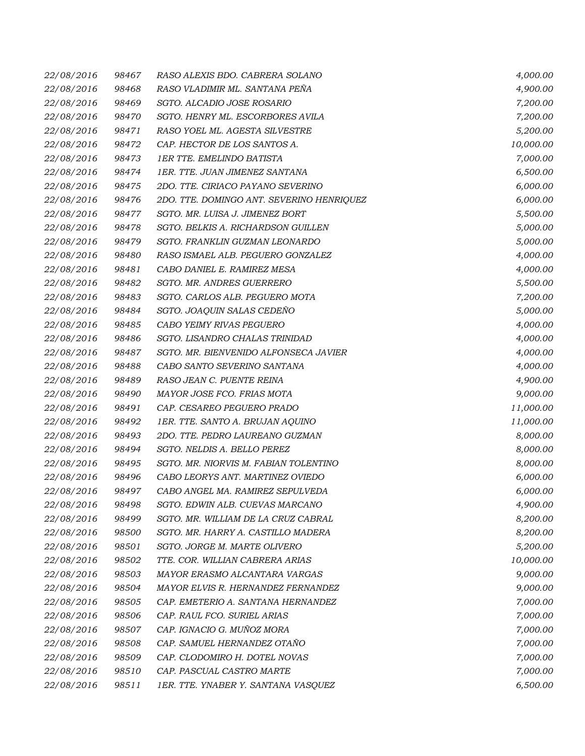| 22/08/2016 | 98467 | RASO ALEXIS BDO. CABRERA SOLANO           | 4,000.00  |
|------------|-------|-------------------------------------------|-----------|
| 22/08/2016 | 98468 | RASO VLADIMIR ML. SANTANA PEÑA            | 4,900.00  |
| 22/08/2016 | 98469 | SGTO. ALCADIO JOSE ROSARIO                | 7,200.00  |
| 22/08/2016 | 98470 | SGTO. HENRY ML. ESCORBORES AVILA          | 7,200.00  |
| 22/08/2016 | 98471 | RASO YOEL ML. AGESTA SILVESTRE            | 5,200.00  |
| 22/08/2016 | 98472 | CAP. HECTOR DE LOS SANTOS A.              | 10,000.00 |
| 22/08/2016 | 98473 | <b>1ER TTE, EMELINDO BATISTA</b>          | 7,000.00  |
| 22/08/2016 | 98474 | 1ER. TTE. JUAN JIMENEZ SANTANA            | 6,500.00  |
| 22/08/2016 | 98475 | 2DO. TTE. CIRIACO PAYANO SEVERINO         | 6,000.00  |
| 22/08/2016 | 98476 | 2DO. TTE. DOMINGO ANT. SEVERINO HENRIQUEZ | 6,000.00  |
| 22/08/2016 | 98477 | SGTO. MR. LUISA J. JIMENEZ BORT           | 5,500.00  |
| 22/08/2016 | 98478 | SGTO. BELKIS A. RICHARDSON GUILLEN        | 5,000.00  |
| 22/08/2016 | 98479 | SGTO. FRANKLIN GUZMAN LEONARDO            | 5,000.00  |
| 22/08/2016 | 98480 | RASO ISMAEL ALB. PEGUERO GONZALEZ         | 4,000.00  |
| 22/08/2016 | 98481 | CABO DANIEL E. RAMIREZ MESA               | 4,000.00  |
| 22/08/2016 | 98482 | SGTO. MR. ANDRES GUERRERO                 | 5,500.00  |
| 22/08/2016 | 98483 | SGTO. CARLOS ALB. PEGUERO MOTA            | 7,200.00  |
| 22/08/2016 | 98484 | SGTO. JOAQUIN SALAS CEDEÑO                | 5,000.00  |
| 22/08/2016 | 98485 | CABO YEIMY RIVAS PEGUERO                  | 4,000.00  |
| 22/08/2016 | 98486 | SGTO. LISANDRO CHALAS TRINIDAD            | 4,000.00  |
| 22/08/2016 | 98487 | SGTO. MR. BIENVENIDO ALFONSECA JAVIER     | 4,000.00  |
| 22/08/2016 | 98488 | CABO SANTO SEVERINO SANTANA               | 4,000.00  |
| 22/08/2016 | 98489 | RASO JEAN C. PUENTE REINA                 | 4,900.00  |
| 22/08/2016 | 98490 | MAYOR JOSE FCO. FRIAS MOTA                | 9,000.00  |
| 22/08/2016 | 98491 | CAP. CESAREO PEGUERO PRADO                | 11,000.00 |
| 22/08/2016 | 98492 | 1ER. TTE. SANTO A. BRUJAN AQUINO          | 11,000.00 |
| 22/08/2016 | 98493 | 2DO. TTE. PEDRO LAUREANO GUZMAN           | 8,000.00  |
| 22/08/2016 | 98494 | SGTO. NELDIS A. BELLO PEREZ               | 8,000.00  |
| 22/08/2016 | 98495 | SGTO. MR. NIORVIS M. FABIAN TOLENTINO     | 8,000.00  |
| 22/08/2016 | 98496 | CABO LEORYS ANT. MARTINEZ OVIEDO          | 6,000.00  |
| 22/08/2016 | 98497 | CABO ANGEL MA. RAMIREZ SEPULVEDA          | 6,000.00  |
| 22/08/2016 | 98498 | SGTO. EDWIN ALB. CUEVAS MARCANO           | 4,900.00  |
| 22/08/2016 | 98499 | SGTO. MR. WILLIAM DE LA CRUZ CABRAL       | 8,200.00  |
| 22/08/2016 | 98500 | SGTO. MR. HARRY A. CASTILLO MADERA        | 8,200.00  |
| 22/08/2016 | 98501 | SGTO. JORGE M. MARTE OLIVERO              | 5,200.00  |
| 22/08/2016 | 98502 | TTE. COR. WILLIAN CABRERA ARIAS           | 10,000.00 |
| 22/08/2016 | 98503 | MAYOR ERASMO ALCANTARA VARGAS             | 9,000.00  |
| 22/08/2016 | 98504 | MAYOR ELVIS R. HERNANDEZ FERNANDEZ        | 9,000.00  |
| 22/08/2016 | 98505 | CAP. EMETERIO A. SANTANA HERNANDEZ        | 7,000.00  |
| 22/08/2016 | 98506 | CAP. RAUL FCO. SURIEL ARIAS               | 7,000.00  |
| 22/08/2016 | 98507 | CAP. IGNACIO G. MUÑOZ MORA                | 7,000.00  |
| 22/08/2016 | 98508 | CAP. SAMUEL HERNANDEZ OTAÑO               | 7,000.00  |
| 22/08/2016 | 98509 | CAP. CLODOMIRO H. DOTEL NOVAS             | 7,000.00  |
| 22/08/2016 | 98510 | CAP. PASCUAL CASTRO MARTE                 | 7,000.00  |
| 22/08/2016 | 98511 | 1ER. TTE. YNABER Y. SANTANA VASQUEZ       | 6,500.00  |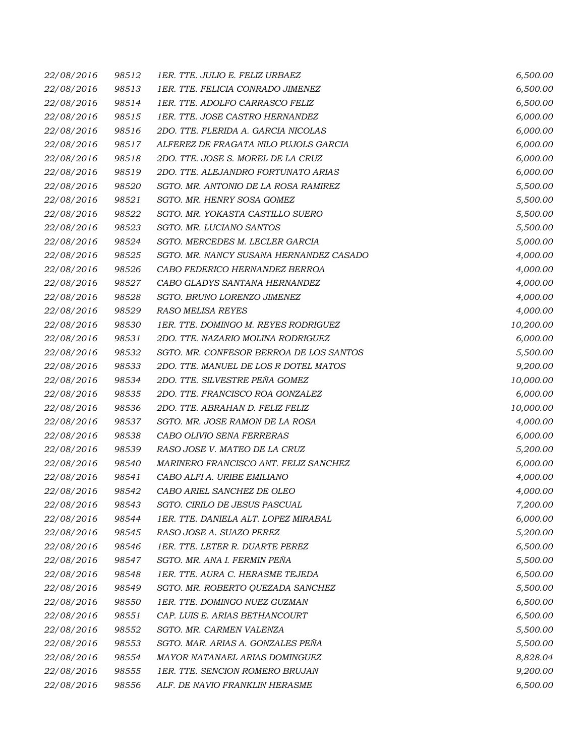| 22/08/2016 | 98512 | 1ER. TTE. JULIO E. FELIZ URBAEZ         | 6,500.00  |
|------------|-------|-----------------------------------------|-----------|
| 22/08/2016 | 98513 | 1ER. TTE. FELICIA CONRADO JIMENEZ       | 6,500.00  |
| 22/08/2016 | 98514 | 1ER. TTE. ADOLFO CARRASCO FELIZ         | 6,500.00  |
| 22/08/2016 | 98515 | 1ER. TTE. JOSE CASTRO HERNANDEZ         | 6,000.00  |
| 22/08/2016 | 98516 | 2DO. TTE. FLERIDA A. GARCIA NICOLAS     | 6,000.00  |
| 22/08/2016 | 98517 | ALFEREZ DE FRAGATA NILO PUJOLS GARCIA   | 6,000.00  |
| 22/08/2016 | 98518 | 2DO. TTE. JOSE S. MOREL DE LA CRUZ      | 6,000.00  |
| 22/08/2016 | 98519 | 2DO. TTE. ALEJANDRO FORTUNATO ARIAS     | 6,000.00  |
| 22/08/2016 | 98520 | SGTO. MR. ANTONIO DE LA ROSA RAMIREZ    | 5,500.00  |
| 22/08/2016 | 98521 | SGTO. MR. HENRY SOSA GOMEZ              | 5,500.00  |
| 22/08/2016 | 98522 | SGTO. MR. YOKASTA CASTILLO SUERO        | 5,500.00  |
| 22/08/2016 | 98523 | SGTO. MR. LUCIANO SANTOS                | 5,500.00  |
| 22/08/2016 | 98524 | SGTO. MERCEDES M. LECLER GARCIA         | 5,000.00  |
| 22/08/2016 | 98525 | SGTO. MR. NANCY SUSANA HERNANDEZ CASADO | 4,000.00  |
| 22/08/2016 | 98526 | CABO FEDERICO HERNANDEZ BERROA          | 4,000.00  |
| 22/08/2016 | 98527 | CABO GLADYS SANTANA HERNANDEZ           | 4,000.00  |
| 22/08/2016 | 98528 | SGTO. BRUNO LORENZO JIMENEZ             | 4,000.00  |
| 22/08/2016 | 98529 | <b>RASO MELISA REYES</b>                | 4,000.00  |
| 22/08/2016 | 98530 | 1ER. TTE. DOMINGO M. REYES RODRIGUEZ    | 10,200.00 |
| 22/08/2016 | 98531 | 2DO. TTE. NAZARIO MOLINA RODRIGUEZ      | 6,000.00  |
| 22/08/2016 | 98532 | SGTO. MR. CONFESOR BERROA DE LOS SANTOS | 5,500.00  |
| 22/08/2016 | 98533 | 2DO. TTE. MANUEL DE LOS R DOTEL MATOS   | 9,200.00  |
| 22/08/2016 | 98534 | 2DO. TTE. SILVESTRE PEÑA GOMEZ          | 10,000.00 |
| 22/08/2016 | 98535 | 2DO. TTE. FRANCISCO ROA GONZALEZ        | 6,000.00  |
| 22/08/2016 | 98536 | 2DO. TTE. ABRAHAN D. FELIZ FELIZ        | 10,000.00 |
| 22/08/2016 | 98537 | SGTO. MR. JOSE RAMON DE LA ROSA         | 4,000.00  |
| 22/08/2016 | 98538 | CABO OLIVIO SENA FERRERAS               | 6,000.00  |
| 22/08/2016 | 98539 | RASO JOSE V. MATEO DE LA CRUZ           | 5,200.00  |
| 22/08/2016 | 98540 | MARINERO FRANCISCO ANT. FELIZ SANCHEZ   | 6,000.00  |
| 22/08/2016 | 98541 | CABO ALFI A. URIBE EMILIANO             | 4,000.00  |
| 22/08/2016 | 98542 | CABO ARIEL SANCHEZ DE OLEO              | 4,000.00  |
| 22/08/2016 | 98543 | SGTO. CIRILO DE JESUS PASCUAL           | 7,200.00  |
| 22/08/2016 | 98544 | 1ER. TTE. DANIELA ALT. LOPEZ MIRABAL    | 6,000.00  |
| 22/08/2016 | 98545 | RASO JOSE A. SUAZO PEREZ                | 5,200.00  |
| 22/08/2016 | 98546 | 1ER. TTE. LETER R. DUARTE PEREZ         | 6,500.00  |
| 22/08/2016 | 98547 | SGTO. MR. ANA I. FERMIN PEÑA            | 5,500.00  |
| 22/08/2016 | 98548 | 1ER. TTE. AURA C. HERASME TEJEDA        | 6,500.00  |
| 22/08/2016 | 98549 | SGTO. MR. ROBERTO QUEZADA SANCHEZ       | 5,500.00  |
| 22/08/2016 | 98550 | 1ER. TTE. DOMINGO NUEZ GUZMAN           | 6,500.00  |
| 22/08/2016 | 98551 | CAP. LUIS E. ARIAS BETHANCOURT          | 6,500.00  |
| 22/08/2016 | 98552 | SGTO. MR. CARMEN VALENZA                | 5,500.00  |
| 22/08/2016 | 98553 | SGTO. MAR. ARIAS A. GONZALES PEÑA       | 5,500.00  |
| 22/08/2016 | 98554 | MAYOR NATANAEL ARIAS DOMINGUEZ          | 8,828.04  |
| 22/08/2016 | 98555 | 1ER. TTE. SENCION ROMERO BRUJAN         | 9,200.00  |
| 22/08/2016 | 98556 | ALF. DE NAVIO FRANKLIN HERASME          | 6,500.00  |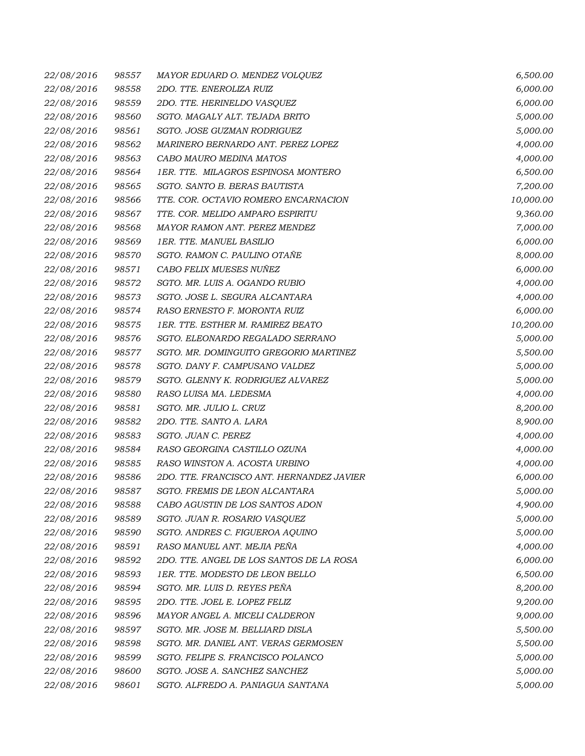| 22/08/2016 | 98557 | MAYOR EDUARD O. MENDEZ VOLQUEZ            | 6,500.00  |
|------------|-------|-------------------------------------------|-----------|
| 22/08/2016 | 98558 | 2DO. TTE. ENEROLIZA RUIZ                  | 6,000.00  |
| 22/08/2016 | 98559 | 2DO. TTE. HERINELDO VASQUEZ               | 6,000.00  |
| 22/08/2016 | 98560 | SGTO. MAGALY ALT. TEJADA BRITO            | 5,000.00  |
| 22/08/2016 | 98561 | SGTO. JOSE GUZMAN RODRIGUEZ               | 5,000.00  |
| 22/08/2016 | 98562 | MARINERO BERNARDO ANT. PEREZ LOPEZ        | 4,000.00  |
| 22/08/2016 | 98563 | CABO MAURO MEDINA MATOS                   | 4,000.00  |
| 22/08/2016 | 98564 | 1ER. TTE. MILAGROS ESPINOSA MONTERO       | 6,500.00  |
| 22/08/2016 | 98565 | SGTO. SANTO B. BERAS BAUTISTA             | 7,200.00  |
| 22/08/2016 | 98566 | TTE. COR. OCTAVIO ROMERO ENCARNACION      | 10,000.00 |
| 22/08/2016 | 98567 | TTE. COR. MELIDO AMPARO ESPIRITU          | 9,360.00  |
| 22/08/2016 | 98568 | MAYOR RAMON ANT. PEREZ MENDEZ             | 7,000.00  |
| 22/08/2016 | 98569 | 1ER. TTE. MANUEL BASILIO                  | 6,000.00  |
| 22/08/2016 | 98570 | SGTO. RAMON C. PAULINO OTAÑE              | 8,000.00  |
| 22/08/2016 | 98571 | CABO FELIX MUESES NUÑEZ                   | 6,000.00  |
| 22/08/2016 | 98572 | SGTO. MR. LUIS A. OGANDO RUBIO            | 4,000.00  |
| 22/08/2016 | 98573 | SGTO. JOSE L. SEGURA ALCANTARA            | 4,000.00  |
| 22/08/2016 | 98574 | RASO ERNESTO F. MORONTA RUIZ              | 6,000.00  |
| 22/08/2016 | 98575 | 1ER. TTE. ESTHER M. RAMIREZ BEATO         | 10,200.00 |
| 22/08/2016 | 98576 | SGTO. ELEONARDO REGALADO SERRANO          | 5,000.00  |
| 22/08/2016 | 98577 | SGTO. MR. DOMINGUITO GREGORIO MARTINEZ    | 5,500.00  |
| 22/08/2016 | 98578 | SGTO. DANY F. CAMPUSANO VALDEZ            | 5,000.00  |
| 22/08/2016 | 98579 | SGTO. GLENNY K. RODRIGUEZ ALVAREZ         | 5,000.00  |
| 22/08/2016 | 98580 | RASO LUISA MA. LEDESMA                    | 4,000.00  |
| 22/08/2016 | 98581 | SGTO. MR. JULIO L. CRUZ                   | 8,200.00  |
| 22/08/2016 | 98582 | 2DO. TTE. SANTO A. LARA                   | 8,900.00  |
| 22/08/2016 | 98583 | SGTO. JUAN C. PEREZ                       | 4,000.00  |
| 22/08/2016 | 98584 | RASO GEORGINA CASTILLO OZUNA              | 4,000.00  |
| 22/08/2016 | 98585 | RASO WINSTON A. ACOSTA URBINO             | 4,000.00  |
| 22/08/2016 | 98586 | 2DO. TTE. FRANCISCO ANT. HERNANDEZ JAVIER | 6,000.00  |
| 22/08/2016 | 98587 | SGTO. FREMIS DE LEON ALCANTARA            | 5,000.00  |
| 22/08/2016 | 98588 | CABO AGUSTIN DE LOS SANTOS ADON           | 4,900.00  |
| 22/08/2016 | 98589 | SGTO. JUAN R. ROSARIO VASQUEZ             | 5,000.00  |
| 22/08/2016 | 98590 | SGTO. ANDRES C. FIGUEROA AQUINO           | 5,000.00  |
| 22/08/2016 | 98591 | RASO MANUEL ANT. MEJIA PEÑA               | 4,000.00  |
| 22/08/2016 | 98592 | 2DO. TTE. ANGEL DE LOS SANTOS DE LA ROSA  | 6,000.00  |
| 22/08/2016 | 98593 | 1ER. TTE. MODESTO DE LEON BELLO           | 6,500.00  |
| 22/08/2016 | 98594 | SGTO. MR. LUIS D. REYES PEÑA              | 8,200.00  |
| 22/08/2016 | 98595 | 2DO. TTE. JOEL E. LOPEZ FELIZ             | 9,200.00  |
| 22/08/2016 | 98596 | MAYOR ANGEL A. MICELI CALDERON            | 9,000.00  |
| 22/08/2016 | 98597 | SGTO. MR. JOSE M. BELLIARD DISLA          | 5,500.00  |
| 22/08/2016 | 98598 | SGTO. MR. DANIEL ANT. VERAS GERMOSEN      | 5,500.00  |
| 22/08/2016 | 98599 | SGTO. FELIPE S. FRANCISCO POLANCO         | 5,000.00  |
| 22/08/2016 | 98600 | SGTO. JOSE A. SANCHEZ SANCHEZ             | 5,000.00  |
| 22/08/2016 | 98601 | SGTO. ALFREDO A. PANIAGUA SANTANA         | 5,000.00  |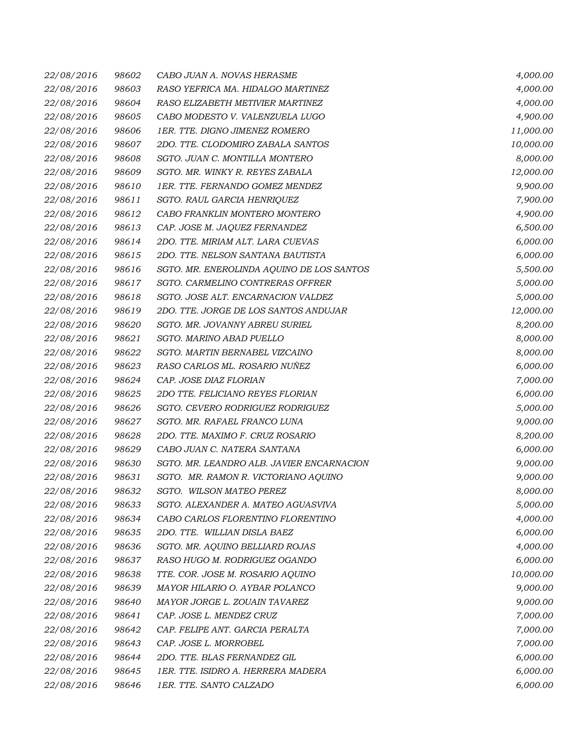| 22/08/2016 | 98602 | CABO JUAN A. NOVAS HERASME                | 4,000.00  |
|------------|-------|-------------------------------------------|-----------|
| 22/08/2016 | 98603 | RASO YEFRICA MA. HIDALGO MARTINEZ         | 4,000.00  |
| 22/08/2016 | 98604 | RASO ELIZABETH METIVIER MARTINEZ          | 4,000.00  |
| 22/08/2016 | 98605 | CABO MODESTO V. VALENZUELA LUGO           | 4,900.00  |
| 22/08/2016 | 98606 | 1ER. TTE. DIGNO JIMENEZ ROMERO            | 11,000.00 |
| 22/08/2016 | 98607 | 2DO. TTE. CLODOMIRO ZABALA SANTOS         | 10,000.00 |
| 22/08/2016 | 98608 | SGTO. JUAN C. MONTILLA MONTERO            | 8,000.00  |
| 22/08/2016 | 98609 | SGTO. MR. WINKY R. REYES ZABALA           | 12,000.00 |
| 22/08/2016 | 98610 | 1ER. TTE. FERNANDO GOMEZ MENDEZ           | 9,900.00  |
| 22/08/2016 | 98611 | SGTO. RAUL GARCIA HENRIQUEZ               | 7,900.00  |
| 22/08/2016 | 98612 | CABO FRANKLIN MONTERO MONTERO             | 4,900.00  |
| 22/08/2016 | 98613 | CAP. JOSE M. JAQUEZ FERNANDEZ             | 6,500.00  |
| 22/08/2016 | 98614 | 2DO. TTE. MIRIAM ALT. LARA CUEVAS         | 6,000.00  |
| 22/08/2016 | 98615 | 2DO. TTE. NELSON SANTANA BAUTISTA         | 6,000.00  |
| 22/08/2016 | 98616 | SGTO. MR. ENEROLINDA AQUINO DE LOS SANTOS | 5,500.00  |
| 22/08/2016 | 98617 | SGTO. CARMELINO CONTRERAS OFFRER          | 5,000.00  |
| 22/08/2016 | 98618 | SGTO. JOSE ALT. ENCARNACION VALDEZ        | 5,000.00  |
| 22/08/2016 | 98619 | 2DO. TTE. JORGE DE LOS SANTOS ANDUJAR     | 12,000.00 |
| 22/08/2016 | 98620 | SGTO. MR. JOVANNY ABREU SURIEL            | 8,200.00  |
| 22/08/2016 | 98621 | SGTO. MARINO ABAD PUELLO                  | 8,000.00  |
| 22/08/2016 | 98622 | SGTO. MARTIN BERNABEL VIZCAINO            | 8,000.00  |
| 22/08/2016 | 98623 | RASO CARLOS ML. ROSARIO NUÑEZ             | 6,000.00  |
| 22/08/2016 | 98624 | CAP. JOSE DIAZ FLORIAN                    | 7,000.00  |
| 22/08/2016 | 98625 | 2DO TTE. FELICIANO REYES FLORIAN          | 6,000.00  |
| 22/08/2016 | 98626 | SGTO. CEVERO RODRIGUEZ RODRIGUEZ          | 5,000.00  |
| 22/08/2016 | 98627 | SGTO. MR. RAFAEL FRANCO LUNA              | 9,000.00  |
| 22/08/2016 | 98628 | 2DO. TTE. MAXIMO F. CRUZ ROSARIO          | 8,200.00  |
| 22/08/2016 | 98629 | CABO JUAN C. NATERA SANTANA               | 6,000.00  |
| 22/08/2016 | 98630 | SGTO. MR. LEANDRO ALB. JAVIER ENCARNACION | 9,000.00  |
| 22/08/2016 | 98631 | SGTO. MR. RAMON R. VICTORIANO AQUINO      | 9,000.00  |
| 22/08/2016 | 98632 | SGTO. WILSON MATEO PEREZ                  | 8,000.00  |
| 22/08/2016 | 98633 | SGTO. ALEXANDER A. MATEO AGUASVIVA        | 5,000.00  |
| 22/08/2016 | 98634 | CABO CARLOS FLORENTINO FLORENTINO         | 4,000.00  |
| 22/08/2016 | 98635 | 2DO. TTE. WILLIAN DISLA BAEZ              | 6,000.00  |
| 22/08/2016 | 98636 | SGTO. MR. AQUINO BELLIARD ROJAS           | 4,000.00  |
| 22/08/2016 | 98637 | RASO HUGO M. RODRIGUEZ OGANDO             | 6,000.00  |
| 22/08/2016 | 98638 | TTE. COR. JOSE M. ROSARIO AQUINO          | 10,000.00 |
| 22/08/2016 | 98639 | MAYOR HILARIO O. AYBAR POLANCO            | 9,000.00  |
| 22/08/2016 | 98640 | MAYOR JORGE L. ZOUAIN TAVAREZ             | 9,000.00  |
| 22/08/2016 | 98641 | CAP. JOSE L. MENDEZ CRUZ                  | 7,000.00  |
| 22/08/2016 | 98642 | CAP. FELIPE ANT. GARCIA PERALTA           | 7,000.00  |
| 22/08/2016 | 98643 | CAP. JOSE L. MORROBEL                     | 7,000.00  |
| 22/08/2016 | 98644 | 2DO. TTE. BLAS FERNANDEZ GIL              | 6,000.00  |
| 22/08/2016 | 98645 | 1ER. TTE. ISIDRO A. HERRERA MADERA        | 6,000.00  |
| 22/08/2016 | 98646 | 1ER. TTE. SANTO CALZADO                   | 6,000.00  |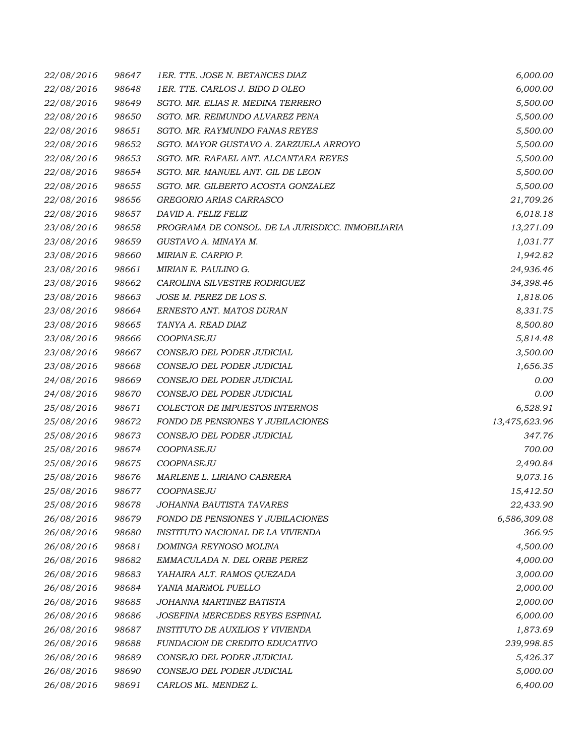| 22/08/2016 | 98647 | 1ER. TTE. JOSE N. BETANCES DIAZ                   | 6,000.00      |
|------------|-------|---------------------------------------------------|---------------|
| 22/08/2016 | 98648 | 1ER. TTE. CARLOS J. BIDO D OLEO                   | 6,000.00      |
| 22/08/2016 | 98649 | SGTO. MR. ELIAS R. MEDINA TERRERO                 | 5,500.00      |
| 22/08/2016 | 98650 | SGTO. MR. REIMUNDO ALVAREZ PENA                   | 5,500.00      |
| 22/08/2016 | 98651 | SGTO. MR. RAYMUNDO FANAS REYES                    | 5,500.00      |
| 22/08/2016 | 98652 | SGTO. MAYOR GUSTAVO A. ZARZUELA ARROYO            | 5,500.00      |
| 22/08/2016 | 98653 | SGTO. MR. RAFAEL ANT. ALCANTARA REYES             | 5,500.00      |
| 22/08/2016 | 98654 | SGTO. MR. MANUEL ANT. GIL DE LEON                 | 5,500.00      |
| 22/08/2016 | 98655 | SGTO. MR. GILBERTO ACOSTA GONZALEZ                | 5,500.00      |
| 22/08/2016 | 98656 | GREGORIO ARIAS CARRASCO                           | 21,709.26     |
| 22/08/2016 | 98657 | DAVID A. FELIZ FELIZ                              | 6,018.18      |
| 23/08/2016 | 98658 | PROGRAMA DE CONSOL. DE LA JURISDICC. INMOBILIARIA | 13,271.09     |
| 23/08/2016 | 98659 | GUSTAVO A. MINAYA M.                              | 1,031.77      |
| 23/08/2016 | 98660 | MIRIAN E. CARPIO P.                               | 1,942.82      |
| 23/08/2016 | 98661 | MIRIAN E. PAULINO G.                              | 24,936.46     |
| 23/08/2016 | 98662 | CAROLINA SILVESTRE RODRIGUEZ                      | 34,398.46     |
| 23/08/2016 | 98663 | JOSE M. PEREZ DE LOS S.                           | 1,818.06      |
| 23/08/2016 | 98664 | ERNESTO ANT. MATOS DURAN                          | 8,331.75      |
| 23/08/2016 | 98665 | TANYA A. READ DIAZ                                | 8,500.80      |
| 23/08/2016 | 98666 | COOPNASEJU                                        | 5,814.48      |
| 23/08/2016 | 98667 | CONSEJO DEL PODER JUDICIAL                        | 3,500.00      |
| 23/08/2016 | 98668 | CONSEJO DEL PODER JUDICIAL                        | 1,656.35      |
| 24/08/2016 | 98669 | CONSEJO DEL PODER JUDICIAL                        | 0.00          |
| 24/08/2016 | 98670 | CONSEJO DEL PODER JUDICIAL                        | 0.00          |
| 25/08/2016 | 98671 | COLECTOR DE IMPUESTOS INTERNOS                    | 6,528.91      |
| 25/08/2016 | 98672 | FONDO DE PENSIONES Y JUBILACIONES                 | 13,475,623.96 |
| 25/08/2016 | 98673 | CONSEJO DEL PODER JUDICIAL                        | 347.76        |
| 25/08/2016 | 98674 | COOPNASEJU                                        | 700.00        |
| 25/08/2016 | 98675 | COOPNASEJU                                        | 2,490.84      |
| 25/08/2016 | 98676 | MARLENE L. LIRIANO CABRERA                        | 9,073.16      |
| 25/08/2016 | 98677 | COOPNASEJU                                        | 15,412.50     |
| 25/08/2016 | 98678 | JOHANNA BAUTISTA TAVARES                          | 22,433.90     |
| 26/08/2016 | 98679 | <b>FONDO DE PENSIONES Y JUBILACIONES</b>          | 6,586,309.08  |
| 26/08/2016 | 98680 | INSTITUTO NACIONAL DE LA VIVIENDA                 | 366.95        |
| 26/08/2016 | 98681 | DOMINGA REYNOSO MOLINA                            | 4,500.00      |
| 26/08/2016 | 98682 | EMMACULADA N. DEL ORBE PEREZ                      | 4,000.00      |
| 26/08/2016 | 98683 | YAHAIRA ALT. RAMOS QUEZADA                        | 3,000.00      |
| 26/08/2016 | 98684 | YANIA MARMOL PUELLO                               | 2,000.00      |
| 26/08/2016 | 98685 | JOHANNA MARTINEZ BATISTA                          | 2,000.00      |
| 26/08/2016 | 98686 | <b>JOSEFINA MERCEDES REYES ESPINAL</b>            | 6,000.00      |
| 26/08/2016 | 98687 | INSTITUTO DE AUXILIOS Y VIVIENDA                  | 1,873.69      |
| 26/08/2016 | 98688 | <b>FUNDACION DE CREDITO EDUCATIVO</b>             | 239,998.85    |
| 26/08/2016 | 98689 | CONSEJO DEL PODER JUDICIAL                        | 5,426.37      |
| 26/08/2016 | 98690 | CONSEJO DEL PODER JUDICIAL                        | 5,000.00      |
| 26/08/2016 | 98691 | CARLOS ML. MENDEZ L.                              | 6,400.00      |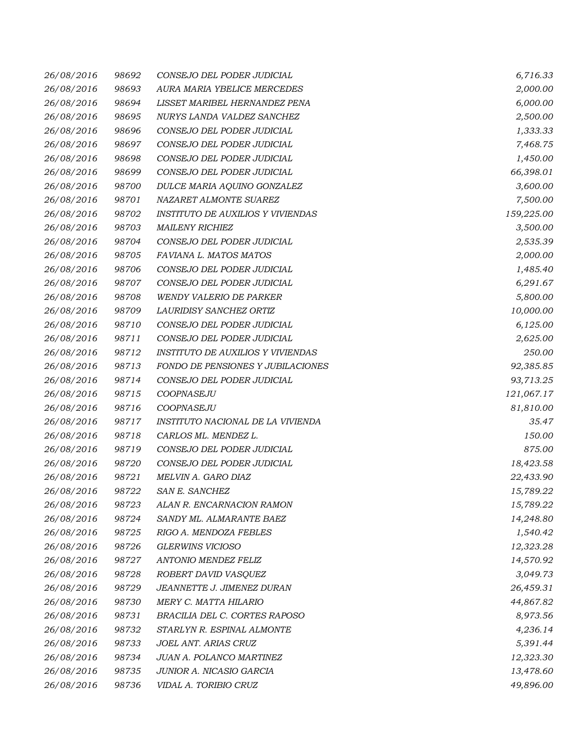| 26/08/2016 | 98692 | CONSEJO DEL PODER JUDICIAL               | 6,716.33   |
|------------|-------|------------------------------------------|------------|
| 26/08/2016 | 98693 | AURA MARIA YBELICE MERCEDES              | 2,000.00   |
| 26/08/2016 | 98694 | LISSET MARIBEL HERNANDEZ PENA            | 6,000.00   |
| 26/08/2016 | 98695 | NURYS LANDA VALDEZ SANCHEZ               | 2,500.00   |
| 26/08/2016 | 98696 | CONSEJO DEL PODER JUDICIAL               | 1,333.33   |
| 26/08/2016 | 98697 | CONSEJO DEL PODER JUDICIAL               | 7,468.75   |
| 26/08/2016 | 98698 | CONSEJO DEL PODER JUDICIAL               | 1,450.00   |
| 26/08/2016 | 98699 | CONSEJO DEL PODER JUDICIAL               | 66,398.01  |
| 26/08/2016 | 98700 | DULCE MARIA AQUINO GONZALEZ              | 3,600.00   |
| 26/08/2016 | 98701 | NAZARET ALMONTE SUAREZ                   | 7,500.00   |
| 26/08/2016 | 98702 | <b>INSTITUTO DE AUXILIOS Y VIVIENDAS</b> | 159,225.00 |
| 26/08/2016 | 98703 | <b>MAILENY RICHIEZ</b>                   | 3,500.00   |
| 26/08/2016 | 98704 | CONSEJO DEL PODER JUDICIAL               | 2,535.39   |
| 26/08/2016 | 98705 | FAVIANA L. MATOS MATOS                   | 2,000.00   |
| 26/08/2016 | 98706 | CONSEJO DEL PODER JUDICIAL               | 1,485.40   |
| 26/08/2016 | 98707 | CONSEJO DEL PODER JUDICIAL               | 6,291.67   |
| 26/08/2016 | 98708 | <b>WENDY VALERIO DE PARKER</b>           | 5,800.00   |
| 26/08/2016 | 98709 | LAURIDISY SANCHEZ ORTIZ                  | 10,000.00  |
| 26/08/2016 | 98710 | CONSEJO DEL PODER JUDICIAL               | 6,125.00   |
| 26/08/2016 | 98711 | CONSEJO DEL PODER JUDICIAL               | 2,625.00   |
| 26/08/2016 | 98712 | <b>INSTITUTO DE AUXILIOS Y VIVIENDAS</b> | 250.00     |
| 26/08/2016 | 98713 | FONDO DE PENSIONES Y JUBILACIONES        | 92,385.85  |
| 26/08/2016 | 98714 | CONSEJO DEL PODER JUDICIAL               | 93,713.25  |
| 26/08/2016 | 98715 | COOPNASEJU                               | 121,067.17 |
| 26/08/2016 | 98716 | COOPNASEJU                               | 81,810.00  |
| 26/08/2016 | 98717 | INSTITUTO NACIONAL DE LA VIVIENDA        | 35.47      |
| 26/08/2016 | 98718 | CARLOS ML. MENDEZ L.                     | 150.00     |
| 26/08/2016 | 98719 | CONSEJO DEL PODER JUDICIAL               | 875.00     |
| 26/08/2016 | 98720 | CONSEJO DEL PODER JUDICIAL               | 18,423.58  |
| 26/08/2016 | 98721 | MELVIN A. GARO DIAZ                      | 22,433.90  |
| 26/08/2016 | 98722 | SAN E. SANCHEZ                           | 15,789.22  |
| 26/08/2016 | 98723 | ALAN R. ENCARNACION RAMON                | 15,789.22  |
| 26/08/2016 | 98724 | SANDY ML. ALMARANTE BAEZ                 | 14,248.80  |
| 26/08/2016 | 98725 | RIGO A. MENDOZA FEBLES                   | 1,540.42   |
| 26/08/2016 | 98726 | <b>GLERWINS VICIOSO</b>                  | 12,323.28  |
| 26/08/2016 | 98727 | ANTONIO MENDEZ FELIZ                     | 14,570.92  |
| 26/08/2016 | 98728 | ROBERT DAVID VASQUEZ                     | 3,049.73   |
| 26/08/2016 | 98729 | JEANNETTE J. JIMENEZ DURAN               | 26,459.31  |
| 26/08/2016 | 98730 | MERY C. MATTA HILARIO                    | 44,867.82  |
| 26/08/2016 | 98731 | BRACILIA DEL C. CORTES RAPOSO            | 8,973.56   |
| 26/08/2016 | 98732 | STARLYN R. ESPINAL ALMONTE               | 4,236.14   |
| 26/08/2016 | 98733 | JOEL ANT. ARIAS CRUZ                     | 5,391.44   |
| 26/08/2016 | 98734 | JUAN A. POLANCO MARTINEZ                 | 12,323.30  |
| 26/08/2016 | 98735 | JUNIOR A. NICASIO GARCIA                 | 13,478.60  |
| 26/08/2016 | 98736 | VIDAL A. TORIBIO CRUZ                    | 49,896.00  |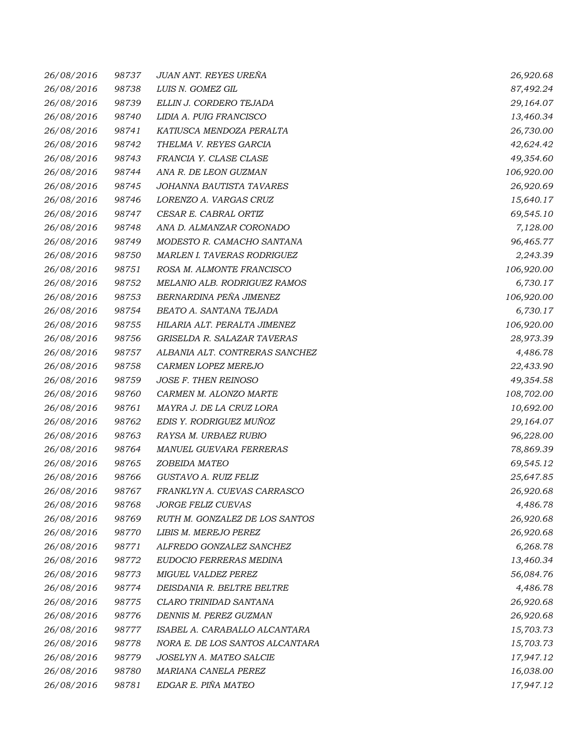| 26/08/2016 | 98737 | JUAN ANT. REYES UREÑA           | 26,920.68  |
|------------|-------|---------------------------------|------------|
| 26/08/2016 | 98738 | LUIS N. GOMEZ GIL               | 87,492.24  |
| 26/08/2016 | 98739 | ELLIN J. CORDERO TEJADA         | 29,164.07  |
| 26/08/2016 | 98740 | LIDIA A. PUIG FRANCISCO         | 13,460.34  |
| 26/08/2016 | 98741 | KATIUSCA MENDOZA PERALTA        | 26,730.00  |
| 26/08/2016 | 98742 | THELMA V. REYES GARCIA          | 42,624.42  |
| 26/08/2016 | 98743 | FRANCIA Y. CLASE CLASE          | 49,354.60  |
| 26/08/2016 | 98744 | ANA R. DE LEON GUZMAN           | 106,920.00 |
| 26/08/2016 | 98745 | JOHANNA BAUTISTA TAVARES        | 26,920.69  |
| 26/08/2016 | 98746 | LORENZO A. VARGAS CRUZ          | 15,640.17  |
| 26/08/2016 | 98747 | CESAR E. CABRAL ORTIZ           | 69,545.10  |
| 26/08/2016 | 98748 | ANA D. ALMANZAR CORONADO        | 7,128.00   |
| 26/08/2016 | 98749 | MODESTO R. CAMACHO SANTANA      | 96,465.77  |
| 26/08/2016 | 98750 | MARLEN I. TAVERAS RODRIGUEZ     | 2,243.39   |
| 26/08/2016 | 98751 | ROSA M. ALMONTE FRANCISCO       | 106,920.00 |
| 26/08/2016 | 98752 | MELANIO ALB. RODRIGUEZ RAMOS    | 6,730.17   |
| 26/08/2016 | 98753 | BERNARDINA PEÑA JIMENEZ         | 106,920.00 |
| 26/08/2016 | 98754 | BEATO A. SANTANA TEJADA         | 6,730.17   |
| 26/08/2016 | 98755 | HILARIA ALT. PERALTA JIMENEZ    | 106,920.00 |
| 26/08/2016 | 98756 | GRISELDA R. SALAZAR TAVERAS     | 28,973.39  |
| 26/08/2016 | 98757 | ALBANIA ALT. CONTRERAS SANCHEZ  | 4,486.78   |
| 26/08/2016 | 98758 | CARMEN LOPEZ MEREJO             | 22,433.90  |
| 26/08/2016 | 98759 | JOSE F. THEN REINOSO            | 49,354.58  |
| 26/08/2016 | 98760 | CARMEN M. ALONZO MARTE          | 108,702.00 |
| 26/08/2016 | 98761 | MAYRA J. DE LA CRUZ LORA        | 10,692.00  |
| 26/08/2016 | 98762 | EDIS Y. RODRIGUEZ MUÑOZ         | 29,164.07  |
| 26/08/2016 | 98763 | RAYSA M. URBAEZ RUBIO           | 96,228.00  |
| 26/08/2016 | 98764 | MANUEL GUEVARA FERRERAS         | 78,869.39  |
| 26/08/2016 | 98765 | ZOBEIDA MATEO                   | 69,545.12  |
| 26/08/2016 | 98766 | GUSTAVO A. RUIZ FELIZ           | 25,647.85  |
| 26/08/2016 | 98767 | FRANKLYN A. CUEVAS CARRASCO     | 26,920.68  |
| 26/08/2016 | 98768 | <i>JORGE FELIZ CUEVAS</i>       | 4,486.78   |
| 26/08/2016 | 98769 | RUTH M. GONZALEZ DE LOS SANTOS  | 26,920.68  |
| 26/08/2016 | 98770 | LIBIS M. MEREJO PEREZ           | 26,920.68  |
| 26/08/2016 | 98771 | ALFREDO GONZALEZ SANCHEZ        | 6,268.78   |
| 26/08/2016 | 98772 | EUDOCIO FERRERAS MEDINA         | 13,460.34  |
| 26/08/2016 | 98773 | <b>MIGUEL VALDEZ PEREZ</b>      | 56,084.76  |
| 26/08/2016 | 98774 | DEISDANIA R. BELTRE BELTRE      | 4,486.78   |
| 26/08/2016 | 98775 | CLARO TRINIDAD SANTANA          | 26,920.68  |
| 26/08/2016 | 98776 | DENNIS M. PEREZ GUZMAN          | 26,920.68  |
| 26/08/2016 | 98777 | ISABEL A. CARABALLO ALCANTARA   | 15,703.73  |
| 26/08/2016 | 98778 | NORA E. DE LOS SANTOS ALCANTARA | 15,703.73  |
| 26/08/2016 | 98779 | JOSELYN A. MATEO SALCIE         | 17,947.12  |
| 26/08/2016 | 98780 | MARIANA CANELA PEREZ            | 16,038.00  |
| 26/08/2016 | 98781 | EDGAR E. PIÑA MATEO             | 17,947.12  |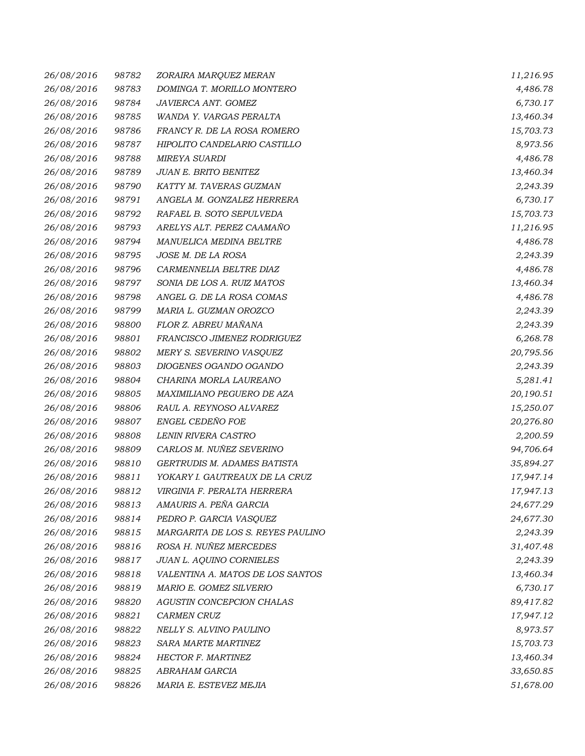| 26/08/2016 | 98782 | ZORAIRA MARQUEZ MERAN             | 11,216.95 |
|------------|-------|-----------------------------------|-----------|
| 26/08/2016 | 98783 | DOMINGA T. MORILLO MONTERO        | 4,486.78  |
| 26/08/2016 | 98784 | JAVIERCA ANT. GOMEZ               | 6,730.17  |
| 26/08/2016 | 98785 | WANDA Y. VARGAS PERALTA           | 13,460.34 |
| 26/08/2016 | 98786 | FRANCY R. DE LA ROSA ROMERO       | 15,703.73 |
| 26/08/2016 | 98787 | HIPOLITO CANDELARIO CASTILLO      | 8,973.56  |
| 26/08/2016 | 98788 | MIREYA SUARDI                     | 4,486.78  |
| 26/08/2016 | 98789 | JUAN E. BRITO BENITEZ             | 13,460.34 |
| 26/08/2016 | 98790 | KATTY M. TAVERAS GUZMAN           | 2,243.39  |
| 26/08/2016 | 98791 | ANGELA M. GONZALEZ HERRERA        | 6,730.17  |
| 26/08/2016 | 98792 | RAFAEL B. SOTO SEPULVEDA          | 15,703.73 |
| 26/08/2016 | 98793 | ARELYS ALT. PEREZ CAAMAÑO         | 11,216.95 |
| 26/08/2016 | 98794 | MANUELICA MEDINA BELTRE           | 4,486.78  |
| 26/08/2016 | 98795 | JOSE M. DE LA ROSA                | 2,243.39  |
| 26/08/2016 | 98796 | CARMENNELIA BELTRE DIAZ           | 4,486.78  |
| 26/08/2016 | 98797 | SONIA DE LOS A. RUIZ MATOS        | 13,460.34 |
| 26/08/2016 | 98798 | ANGEL G. DE LA ROSA COMAS         | 4,486.78  |
| 26/08/2016 | 98799 | MARIA L. GUZMAN OROZCO            | 2,243.39  |
| 26/08/2016 | 98800 | FLOR Z. ABREU MAÑANA              | 2,243.39  |
| 26/08/2016 | 98801 | FRANCISCO JIMENEZ RODRIGUEZ       | 6,268.78  |
| 26/08/2016 | 98802 | MERY S. SEVERINO VASQUEZ          | 20,795.56 |
| 26/08/2016 | 98803 | DIOGENES OGANDO OGANDO            | 2,243.39  |
| 26/08/2016 | 98804 | CHARINA MORLA LAUREANO            | 5,281.41  |
| 26/08/2016 | 98805 | MAXIMILIANO PEGUERO DE AZA        | 20,190.51 |
| 26/08/2016 | 98806 | RAUL A. REYNOSO ALVAREZ           | 15,250.07 |
| 26/08/2016 | 98807 | ENGEL CEDEÑO FOE                  | 20,276.80 |
| 26/08/2016 | 98808 | LENIN RIVERA CASTRO               | 2,200.59  |
| 26/08/2016 | 98809 | CARLOS M. NUÑEZ SEVERINO          | 94,706.64 |
| 26/08/2016 | 98810 | GERTRUDIS M. ADAMES BATISTA       | 35,894.27 |
| 26/08/2016 | 98811 | YOKARY I. GAUTREAUX DE LA CRUZ    | 17,947.14 |
| 26/08/2016 | 98812 | VIRGINIA F. PERALTA HERRERA       | 17,947.13 |
| 26/08/2016 | 98813 | AMAURIS A. PEÑA GARCIA            | 24,677.29 |
| 26/08/2016 | 98814 | PEDRO P. GARCIA VASQUEZ           | 24,677.30 |
| 26/08/2016 | 98815 | MARGARITA DE LOS S. REYES PAULINO | 2,243.39  |
| 26/08/2016 | 98816 | ROSA H. NUÑEZ MERCEDES            | 31,407.48 |
| 26/08/2016 | 98817 | JUAN L. AQUINO CORNIELES          | 2,243.39  |
| 26/08/2016 | 98818 | VALENTINA A. MATOS DE LOS SANTOS  | 13,460.34 |
| 26/08/2016 | 98819 | MARIO E. GOMEZ SILVERIO           | 6,730.17  |
| 26/08/2016 | 98820 | AGUSTIN CONCEPCION CHALAS         | 89,417.82 |
| 26/08/2016 | 98821 | <b>CARMEN CRUZ</b>                | 17,947.12 |
| 26/08/2016 | 98822 | NELLY S. ALVINO PAULINO           | 8,973.57  |
| 26/08/2016 | 98823 | SARA MARTE MARTINEZ               | 15,703.73 |
| 26/08/2016 | 98824 | HECTOR F. MARTINEZ                | 13,460.34 |
| 26/08/2016 | 98825 | ABRAHAM GARCIA                    | 33,650.85 |
| 26/08/2016 | 98826 | MARIA E. ESTEVEZ MEJIA            | 51,678.00 |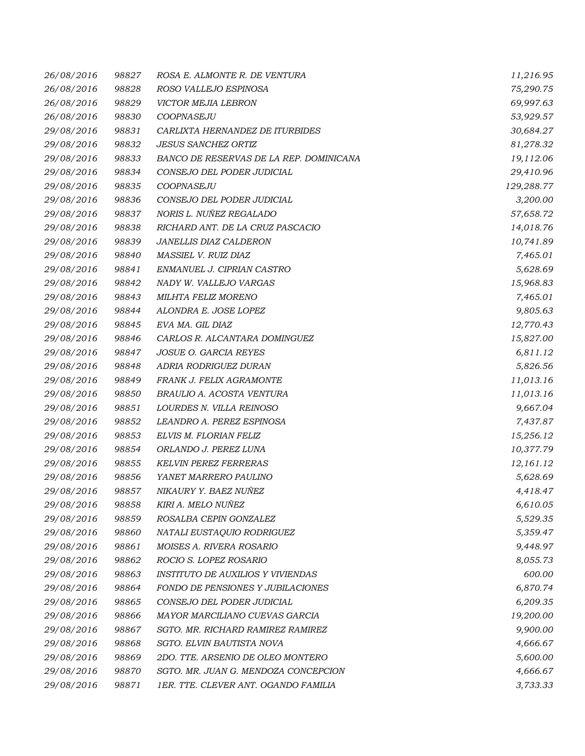| 26/08/2016 | 98827 | ROSA E. ALMONTE R. DE VENTURA            | 11,216.95  |
|------------|-------|------------------------------------------|------------|
| 26/08/2016 | 98828 | ROSO VALLEJO ESPINOSA                    | 75,290.75  |
| 26/08/2016 | 98829 | VICTOR MEJIA LEBRON                      | 69,997.63  |
| 26/08/2016 | 98830 | COOPNASEJU                               | 53,929.57  |
| 29/08/2016 | 98831 | CARLIXTA HERNANDEZ DE ITURBIDES          | 30,684.27  |
| 29/08/2016 | 98832 | <b>JESUS SANCHEZ ORTIZ</b>               | 81,278.32  |
| 29/08/2016 | 98833 | BANCO DE RESERVAS DE LA REP. DOMINICANA  | 19,112.06  |
| 29/08/2016 | 98834 | CONSEJO DEL PODER JUDICIAL               | 29,410.96  |
| 29/08/2016 | 98835 | COOPNASEJU                               | 129,288.77 |
| 29/08/2016 | 98836 | CONSEJO DEL PODER JUDICIAL               | 3,200.00   |
| 29/08/2016 | 98837 | NORIS L. NUÑEZ REGALADO                  | 57,658.72  |
| 29/08/2016 | 98838 | RICHARD ANT. DE LA CRUZ PASCACIO         | 14,018.76  |
| 29/08/2016 | 98839 | JANELLIS DIAZ CALDERON                   | 10,741.89  |
| 29/08/2016 | 98840 | MASSIEL V. RUIZ DIAZ                     | 7,465.01   |
| 29/08/2016 | 98841 | ENMANUEL J. CIPRIAN CASTRO               | 5,628.69   |
| 29/08/2016 | 98842 | NADY W. VALLEJO VARGAS                   | 15,968.83  |
| 29/08/2016 | 98843 | MILHTA FELIZ MORENO                      | 7,465.01   |
| 29/08/2016 | 98844 | ALONDRA E. JOSE LOPEZ                    | 9,805.63   |
| 29/08/2016 | 98845 | EVA MA. GIL DIAZ                         | 12,770.43  |
| 29/08/2016 | 98846 | CARLOS R. ALCANTARA DOMINGUEZ            | 15,827.00  |
| 29/08/2016 | 98847 | JOSUE O. GARCIA REYES                    | 6,811.12   |
| 29/08/2016 | 98848 | ADRIA RODRIGUEZ DURAN                    | 5,826.56   |
| 29/08/2016 | 98849 | FRANK J. FELIX AGRAMONTE                 | 11,013.16  |
| 29/08/2016 | 98850 | BRAULIO A. ACOSTA VENTURA                | 11,013.16  |
| 29/08/2016 | 98851 | LOURDES N. VILLA REINOSO                 | 9,667.04   |
| 29/08/2016 | 98852 | LEANDRO A. PEREZ ESPINOSA                | 7,437.87   |
| 29/08/2016 | 98853 | ELVIS M. FLORIAN FELIZ                   | 15,256.12  |
| 29/08/2016 | 98854 | ORLANDO J. PEREZ LUNA                    | 10,377.79  |
| 29/08/2016 | 98855 | <b>KELVIN PEREZ FERRERAS</b>             | 12,161.12  |
| 29/08/2016 | 98856 | YANET MARRERO PAULINO                    | 5,628.69   |
| 29/08/2016 | 98857 | NIKAURY Y. BAEZ NUÑEZ                    | 4,418.47   |
| 29/08/2016 | 98858 | KIRI A. MELO NUNEZ                       | 6,610.05   |
| 29/08/2016 | 98859 | ROSALBA CEPIN GONZALEZ                   | 5,529.35   |
| 29/08/2016 | 98860 | NATALI EUSTAQUIO RODRIGUEZ               | 5,359.47   |
| 29/08/2016 | 98861 | MOISES A. RIVERA ROSARIO                 | 9,448.97   |
| 29/08/2016 | 98862 | ROCIO S. LOPEZ ROSARIO                   | 8,055.73   |
| 29/08/2016 | 98863 | <b>INSTITUTO DE AUXILIOS Y VIVIENDAS</b> | 600.00     |
| 29/08/2016 | 98864 | FONDO DE PENSIONES Y JUBILACIONES        | 6,870.74   |
| 29/08/2016 | 98865 | CONSEJO DEL PODER JUDICIAL               | 6,209.35   |
| 29/08/2016 | 98866 | MAYOR MARCILIANO CUEVAS GARCIA           | 19,200.00  |
| 29/08/2016 | 98867 | SGTO. MR. RICHARD RAMIREZ RAMIREZ        | 9,900.00   |
| 29/08/2016 | 98868 | SGTO. ELVIN BAUTISTA NOVA                | 4,666.67   |
| 29/08/2016 | 98869 | 2DO. TTE. ARSENIO DE OLEO MONTERO        | 5,600.00   |
| 29/08/2016 | 98870 | SGTO. MR. JUAN G. MENDOZA CONCEPCION     | 4,666.67   |
| 29/08/2016 | 98871 | 1ER. TTE. CLEVER ANT. OGANDO FAMILIA     | 3,733.33   |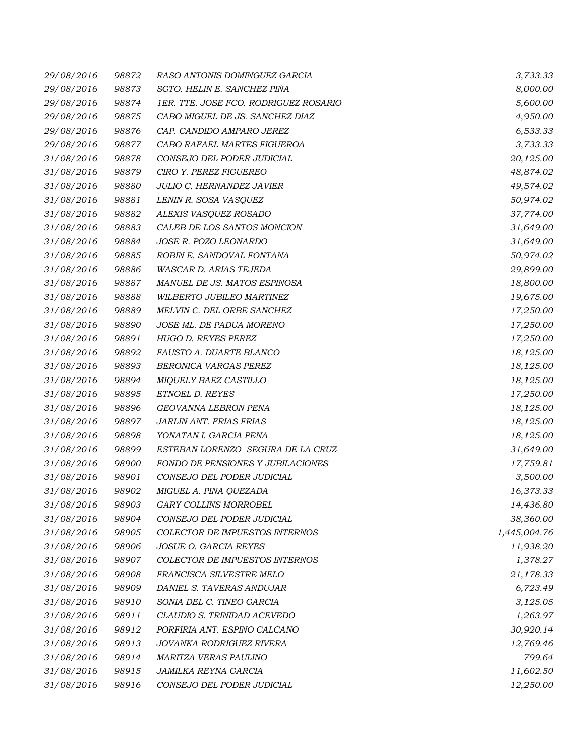| 29/08/2016 | 98872 | RASO ANTONIS DOMINGUEZ GARCIA         | 3,733.33     |
|------------|-------|---------------------------------------|--------------|
| 29/08/2016 | 98873 | SGTO. HELIN E. SANCHEZ PIÑA           | 8,000.00     |
| 29/08/2016 | 98874 | 1ER. TTE. JOSE FCO. RODRIGUEZ ROSARIO | 5,600.00     |
| 29/08/2016 | 98875 | CABO MIGUEL DE JS. SANCHEZ DIAZ       | 4,950.00     |
| 29/08/2016 | 98876 | CAP. CANDIDO AMPARO JEREZ             | 6,533.33     |
| 29/08/2016 | 98877 | CABO RAFAEL MARTES FIGUEROA           | 3,733.33     |
| 31/08/2016 | 98878 | CONSEJO DEL PODER JUDICIAL            | 20,125.00    |
| 31/08/2016 | 98879 | CIRO Y. PEREZ FIGUEREO                | 48,874.02    |
| 31/08/2016 | 98880 | JULIO C. HERNANDEZ JAVIER             | 49,574.02    |
| 31/08/2016 | 98881 | LENIN R. SOSA VASQUEZ                 | 50,974.02    |
| 31/08/2016 | 98882 | ALEXIS VASQUEZ ROSADO                 | 37,774.00    |
| 31/08/2016 | 98883 | CALEB DE LOS SANTOS MONCION           | 31,649.00    |
| 31/08/2016 | 98884 | <i>JOSE R. POZO LEONARDO</i>          | 31,649.00    |
| 31/08/2016 | 98885 | ROBIN E. SANDOVAL FONTANA             | 50,974.02    |
| 31/08/2016 | 98886 | WASCAR D. ARIAS TEJEDA                | 29,899.00    |
| 31/08/2016 | 98887 | MANUEL DE JS. MATOS ESPINOSA          | 18,800.00    |
| 31/08/2016 | 98888 | WILBERTO JUBILEO MARTINEZ             | 19,675.00    |
| 31/08/2016 | 98889 | MELVIN C. DEL ORBE SANCHEZ            | 17,250.00    |
| 31/08/2016 | 98890 | JOSE ML. DE PADUA MORENO              | 17,250.00    |
| 31/08/2016 | 98891 | HUGO D. REYES PEREZ                   | 17,250.00    |
| 31/08/2016 | 98892 | FAUSTO A. DUARTE BLANCO               | 18,125.00    |
| 31/08/2016 | 98893 | BERONICA VARGAS PEREZ                 | 18,125.00    |
| 31/08/2016 | 98894 | MIQUELY BAEZ CASTILLO                 | 18,125.00    |
| 31/08/2016 | 98895 | ETNOEL D. REYES                       | 17,250.00    |
| 31/08/2016 | 98896 | GEOVANNA LEBRON PENA                  | 18,125.00    |
| 31/08/2016 | 98897 | JARLIN ANT. FRIAS FRIAS               | 18,125.00    |
| 31/08/2016 | 98898 | YONATAN I. GARCIA PENA                | 18,125.00    |
| 31/08/2016 | 98899 | ESTEBAN LORENZO SEGURA DE LA CRUZ     | 31,649.00    |
| 31/08/2016 | 98900 | FONDO DE PENSIONES Y JUBILACIONES     | 17,759.81    |
| 31/08/2016 | 98901 | CONSEJO DEL PODER JUDICIAL            | 3,500.00     |
| 31/08/2016 | 98902 | MIGUEL A. PINA QUEZADA                | 16,373.33    |
| 31/08/2016 | 98903 | GARY COLLINS MORROBEL                 | 14,436.80    |
| 31/08/2016 | 98904 | CONSEJO DEL PODER JUDICIAL            | 38,360.00    |
| 31/08/2016 | 98905 | COLECTOR DE IMPUESTOS INTERNOS        | 1,445,004.76 |
| 31/08/2016 | 98906 | <b>JOSUE O. GARCIA REYES</b>          | 11,938.20    |
| 31/08/2016 | 98907 | COLECTOR DE IMPUESTOS INTERNOS        | 1,378.27     |
| 31/08/2016 | 98908 | FRANCISCA SILVESTRE MELO              | 21,178.33    |
| 31/08/2016 | 98909 | DANIEL S. TAVERAS ANDUJAR             | 6,723.49     |
| 31/08/2016 | 98910 | SONIA DEL C. TINEO GARCIA             | 3,125.05     |
| 31/08/2016 | 98911 | CLAUDIO S. TRINIDAD ACEVEDO           | 1,263.97     |
| 31/08/2016 | 98912 | PORFIRIA ANT. ESPINO CALCANO          | 30,920.14    |
| 31/08/2016 | 98913 | JOVANKA RODRIGUEZ RIVERA              | 12,769.46    |
| 31/08/2016 | 98914 | MARITZA VERAS PAULINO                 | 799.64       |
| 31/08/2016 | 98915 | JAMILKA REYNA GARCIA                  | 11,602.50    |
| 31/08/2016 | 98916 | CONSEJO DEL PODER JUDICIAL            | 12,250.00    |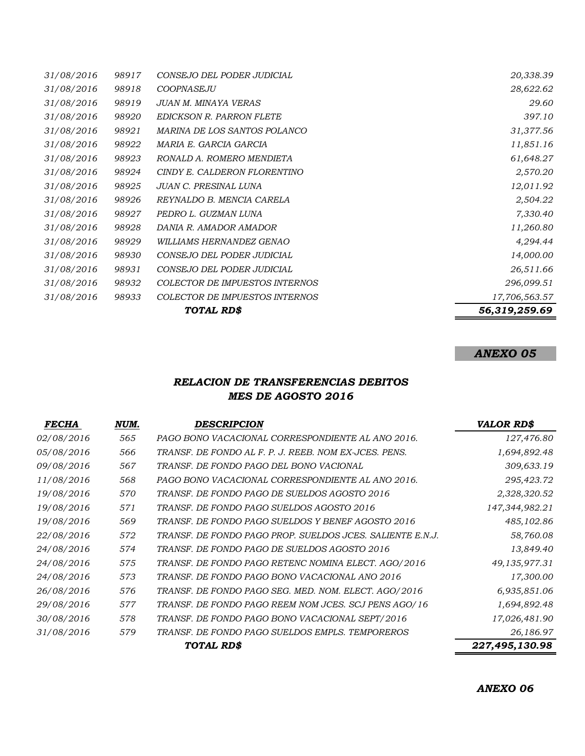|            |       | TOTAL RD\$                          | 56,319,259.69 |
|------------|-------|-------------------------------------|---------------|
| 31/08/2016 | 98933 | COLECTOR DE IMPUESTOS INTERNOS      | 17,706,563.57 |
| 31/08/2016 | 98932 | COLECTOR DE IMPUESTOS INTERNOS      | 296,099.51    |
| 31/08/2016 | 98931 | CONSEJO DEL PODER JUDICIAL          | 26,511.66     |
| 31/08/2016 | 98930 | CONSEJO DEL PODER JUDICIAL          | 14,000.00     |
| 31/08/2016 | 98929 | WILLIAMS HERNANDEZ GENAO            | 4,294.44      |
| 31/08/2016 | 98928 | DANIA R. AMADOR AMADOR              | 11,260.80     |
| 31/08/2016 | 98927 | PEDRO L. GUZMAN LUNA                | 7,330.40      |
| 31/08/2016 | 98926 | REYNALDO B. MENCIA CARELA           | 2,504.22      |
| 31/08/2016 | 98925 | JUAN C. PRESINAL LUNA               | 12,011.92     |
| 31/08/2016 | 98924 | CINDY E. CALDERON FLORENTINO        | 2,570.20      |
| 31/08/2016 | 98923 | RONALD A. ROMERO MENDIETA           | 61,648.27     |
| 31/08/2016 | 98922 | MARIA E. GARCIA GARCIA              | 11,851.16     |
| 31/08/2016 | 98921 | <i>MARINA DE LOS SANTOS POLANCO</i> | 31,377.56     |
| 31/08/2016 | 98920 | EDICKSON R. PARRON FLETE            | 397.10        |
| 31/08/2016 | 98919 | JUAN M. MINAYA VERAS                | 29.60         |
| 31/08/2016 | 98918 | <b>COOPNASEJU</b>                   | 28,622.62     |
| 31/08/2016 | 98917 | CONSEJO DEL PODER JUDICIAL          | 20,338.39     |

# *ANEXO 05*

#### *RELACION DE TRANSFERENCIAS DEBITOS MES DE AGOSTO 2016*

| <i>FECHA</i> | NUM. | <b>DESCRIPCION</b>                                        | <b>VALOR RD\$</b> |
|--------------|------|-----------------------------------------------------------|-------------------|
| 02/08/2016   | 565  | PAGO BONO VACACIONAL CORRESPONDIENTE AL ANO 2016.         | 127,476.80        |
| 05/08/2016   | 566  | TRANSF. DE FONDO AL F. P. J. REEB. NOM EX-JCES. PENS.     | 1,694,892.48      |
| 09/08/2016   | 567  | TRANSF. DE FONDO PAGO DEL BONO VACIONAL                   | 309,633.19        |
| 11/08/2016   | 568  | PAGO BONO VACACIONAL CORRESPONDIENTE AL ANO 2016.         | 295,423.72        |
| 19/08/2016   | 570  | TRANSF. DE FONDO PAGO DE SUELDOS AGOSTO 2016              | 2,328,320.52      |
| 19/08/2016   | 571  | TRANSF. DE FONDO PAGO SUELDOS AGOSTO 2016                 | 147,344,982.21    |
| 19/08/2016   | 569  | TRANSF. DE FONDO PAGO SUELDOS Y BENEF AGOSTO 2016         | 485,102.86        |
| 22/08/2016   | 572  | TRANSF. DE FONDO PAGO PROP. SUELDOS JCES. SALIENTE E.N.J. | 58,760.08         |
| 24/08/2016   | 574  | TRANSF. DE FONDO PAGO DE SUELDOS AGOSTO 2016              | 13,849.40         |
| 24/08/2016   | 575  | TRANSF. DE FONDO PAGO RETENC NOMINA ELECT. AGO/2016       | 49,135,977.31     |
| 24/08/2016   | 573  | TRANSF. DE FONDO PAGO BONO VACACIONAL ANO 2016            | 17,300.00         |
| 26/08/2016   | 576  | TRANSF. DE FONDO PAGO SEG. MED. NOM. ELECT. AGO/2016      | 6,935,851.06      |
| 29/08/2016   | 577  | TRANSF. DE FONDO PAGO REEM NOM JCES. SCJ PENS AGO/16      | 1,694,892.48      |
| 30/08/2016   | 578  | TRANSF. DE FONDO PAGO BONO VACACIONAL SEPT/2016           | 17,026,481.90     |
| 31/08/2016   | 579  | TRANSF. DE FONDO PAGO SUELDOS EMPLS. TEMPOREROS           | 26,186.97         |
|              |      | TOTAL RD\$                                                | 227,495,130.98    |

*ANEXO 06*